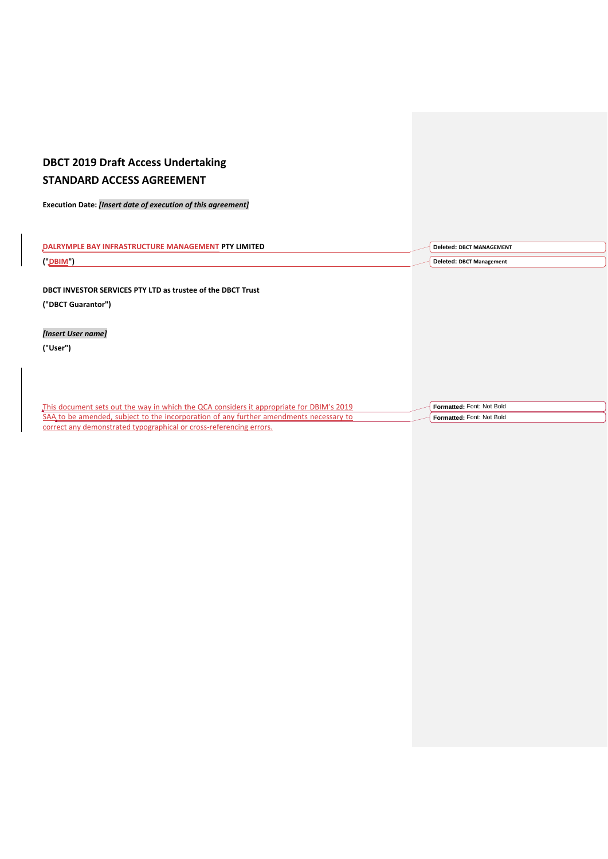# **DBCT 2019 Draft Access Undertaking STANDARD ACCESS AGREEMENT**

**Execution Date:** *[Insert date of execution of this agreement]*

| IMII LU | EMENT                                         |
|---------|-----------------------------------------------|
| ("DBIM" | nalatad<br>าgement<br>iviana<br>$\sim$ $\sim$ |

**DBCT INVESTOR SERVICES PTY LTD as trustee of the DBCT Trust ("DBCT Guarantor")**

*[Insert User name]*

**("User")**

This document sets out the way in which the QCA considers it appropriate for DBIM's 2019 SAA to be amended, subject to the incorporation of any further amendments necessary to correct any demonstrated typographical or cross-referencing errors. **Formatted:** Font: Not Bold **Formatted:** Font: Not Bold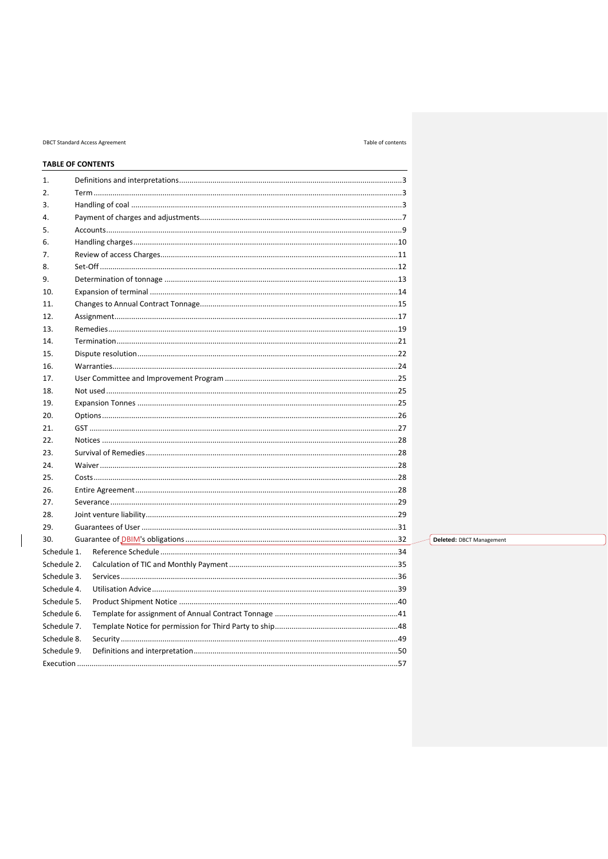# **DBCT Standard Access Agreement**

# Table of contents

|             | <b>TABLE OF CONTENTS</b> |  |
|-------------|--------------------------|--|
| 1.          |                          |  |
| 2.          |                          |  |
| 3.          |                          |  |
| 4.          |                          |  |
| 5.          |                          |  |
| 6.          |                          |  |
| 7.          |                          |  |
| 8.          |                          |  |
| 9.          |                          |  |
| 10.         |                          |  |
| 11.         |                          |  |
| 12.         |                          |  |
| 13.         |                          |  |
| 14.         |                          |  |
| 15.         |                          |  |
| 16.         |                          |  |
| 17.         |                          |  |
| 18.         |                          |  |
| 19.         |                          |  |
| 20.         |                          |  |
| 21.         |                          |  |
| 22.         |                          |  |
| 23.         |                          |  |
| 24.         |                          |  |
| 25.         |                          |  |
| 26.         |                          |  |
| 27.         |                          |  |
| 28.         |                          |  |
| 29.         |                          |  |
| 30.         |                          |  |
| Schedule 1. |                          |  |
| Schedule 2. |                          |  |
| Schedule 3. |                          |  |
| Schedule 4. |                          |  |
| Schedule 5. |                          |  |
| Schedule 6. |                          |  |
| Schedule 7. |                          |  |
| Schedule 8. |                          |  |
| Schedule 9. |                          |  |
|             |                          |  |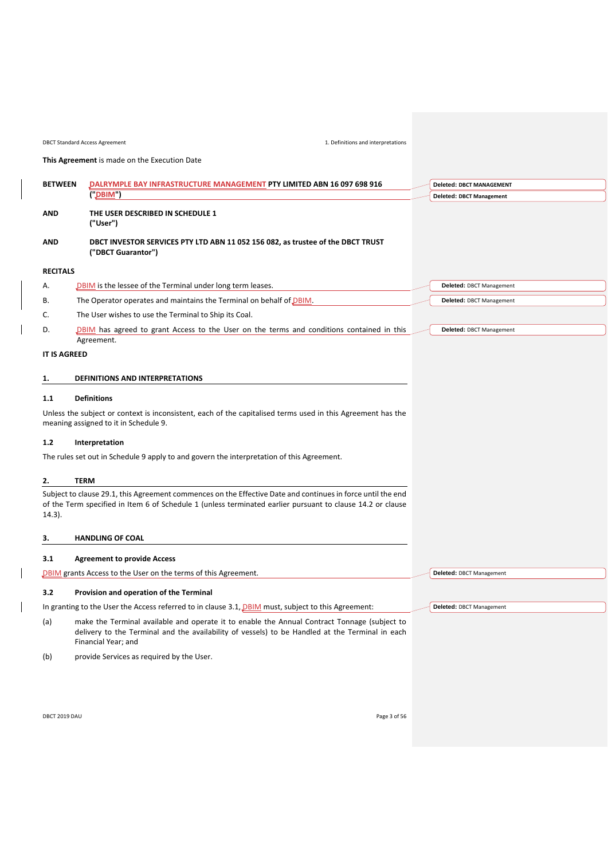<span id="page-2-0"></span>

|                     | This Agreement is made on the Execution Date                                                                                                                                                                              |                                 |
|---------------------|---------------------------------------------------------------------------------------------------------------------------------------------------------------------------------------------------------------------------|---------------------------------|
| <b>BETWEEN</b>      | DALRYMPLE BAY INFRASTRUCTURE MANAGEMENT PTY LIMITED ABN 16 097 698 916                                                                                                                                                    | <b>Deleted: DBCT MANAGEMENT</b> |
|                     | (DBIM)                                                                                                                                                                                                                    | <b>Deleted: DBCT Management</b> |
| AND                 | THE USER DESCRIBED IN SCHEDULE 1<br>("User")                                                                                                                                                                              |                                 |
| <b>AND</b>          | DBCT INVESTOR SERVICES PTY LTD ABN 11 052 156 082, as trustee of the DBCT TRUST<br>("DBCT Guarantor")                                                                                                                     |                                 |
| <b>RECITALS</b>     |                                                                                                                                                                                                                           |                                 |
| А.                  | DBIM is the lessee of the Terminal under long term leases.                                                                                                                                                                | <b>Deleted: DBCT Management</b> |
| В.                  | The Operator operates and maintains the Terminal on behalf of DBIM.                                                                                                                                                       | Deleted: DBCT Management        |
| C.                  | The User wishes to use the Terminal to Ship its Coal.                                                                                                                                                                     |                                 |
| D.                  | DBIM has agreed to grant Access to the User on the terms and conditions contained in this                                                                                                                                 | Deleted: DBCT Management        |
|                     | Agreement.                                                                                                                                                                                                                |                                 |
| <b>IT IS AGREED</b> |                                                                                                                                                                                                                           |                                 |
| 1.                  | <b>DEFINITIONS AND INTERPRETATIONS</b>                                                                                                                                                                                    |                                 |
| 1.1                 | <b>Definitions</b>                                                                                                                                                                                                        |                                 |
|                     | Unless the subject or context is inconsistent, each of the capitalised terms used in this Agreement has the<br>meaning assigned to it in Schedule 9.                                                                      |                                 |
| $1.2$               | Interpretation                                                                                                                                                                                                            |                                 |
|                     | The rules set out in Schedule 9 apply to and govern the interpretation of this Agreement.                                                                                                                                 |                                 |
| 2.                  | <b>TERM</b>                                                                                                                                                                                                               |                                 |
| $14.3$ ).           | Subject to clause 29.1, this Agreement commences on the Effective Date and continues in force until the end<br>of the Term specified in Item 6 of Schedule 1 (unless terminated earlier pursuant to clause 14.2 or clause |                                 |
| з.                  | <b>HANDLING OF COAL</b>                                                                                                                                                                                                   |                                 |
| 3.1                 | <b>Agreement to provide Access</b>                                                                                                                                                                                        |                                 |
|                     | DBIM grants Access to the User on the terms of this Agreement.                                                                                                                                                            | <b>Deleted: DBCT Management</b> |
| 3.2                 | Provision and operation of the Terminal                                                                                                                                                                                   |                                 |

<span id="page-2-3"></span><span id="page-2-2"></span><span id="page-2-1"></span>In granting to the User the Access referred to in clause [3.1,](#page-2-3) *DBIM* must, subject to this Agreement:

(a) make the Terminal available and operate it to enable the Annual Contract Tonnage (subject to delivery to the Terminal and the availability of vessels) to be Handled at the Terminal in each Financial Year; and

(b) provide Services as required by the User.

DBCT 2019 DAU Page 3 of 56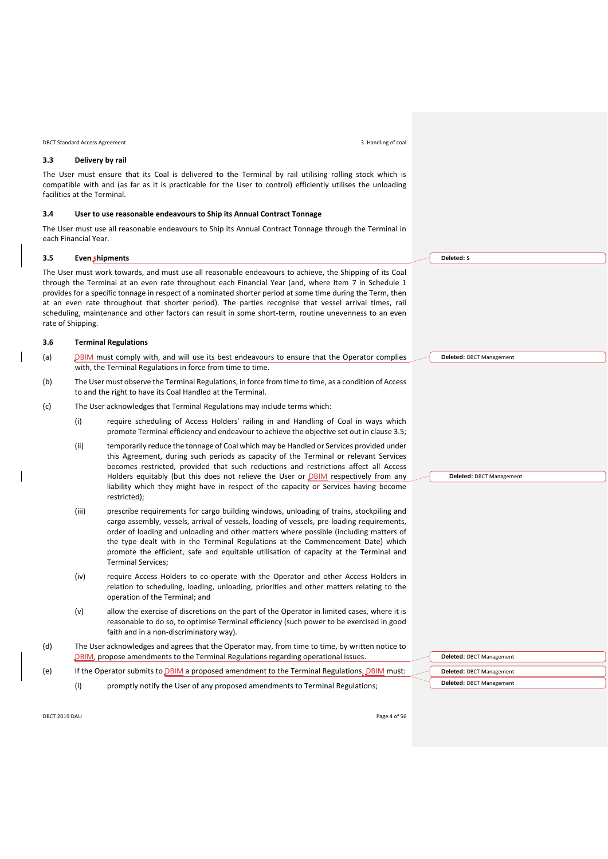DBCT Standard Access Agreement 3. Handling of coal

# **3.3 Delivery by rail**

The User must ensure that its Coal is delivered to the Terminal by rail utilising rolling stock which is compatible with and (as far as it is practicable for the User to control) efficiently utilises the unloading facilities at the Terminal.

#### **3.4 User to use reasonable endeavours to Ship its Annual Contract Tonnage**

The User must use all reasonable endeavours to Ship its Annual Contract Tonnage through the Terminal in each Financial Year.

#### <span id="page-3-0"></span>**3.5 Even shipments**

The User must work towards, and must use all reasonable endeavours to achieve, the Shipping of its Coal through the Terminal at an even rate throughout each Financial Year (and, where Item [7](#page-32-2) in [Schedule 1](#page-32-0) provides for a specific tonnage in respect of a nominated shorter period at some time during the Term, then at an even rate throughout that shorter period). The parties recognise that vessel arrival times, rail scheduling, maintenance and other factors can result in some short-term, routine unevenness to an even rate of Shipping.

#### <span id="page-3-1"></span>**3.6 Terminal Regulations**

- (a) DBIM must comply with, and will use its best endeavours to ensure that the Operator complies with, the Terminal Regulations in force from time to time.
- (b) The User must observe the Terminal Regulations, in force from time to time, as a condition of Access to and the right to have its Coal Handled at the Terminal.
- (c) The User acknowledges that Terminal Regulations may include terms which:
	- (i) require scheduling of Access Holders' railing in and Handling of Coal in ways which promote Terminal efficiency and endeavour to achieve the objective set out in clause [3.5;](#page-3-0)
	- (ii) temporarily reduce the tonnage of Coal which may be Handled or Services provided under this Agreement, during such periods as capacity of the Terminal or relevant Services becomes restricted, provided that such reductions and restrictions affect all Access Holders equitably (but this does not relieve the User or **DBIM** respectively from any liability which they might have in respect of the capacity or Services having become restricted);
	- (iii) prescribe requirements for cargo building windows, unloading of trains, stockpiling and cargo assembly, vessels, arrival of vessels, loading of vessels, pre-loading requirements, order of loading and unloading and other matters where possible (including matters of the type dealt with in the Terminal Regulations at the Commencement Date) which promote the efficient, safe and equitable utilisation of capacity at the Terminal and Terminal Services;
	- (iv) require Access Holders to co-operate with the Operator and other Access Holders in relation to scheduling, loading, unloading, priorities and other matters relating to the operation of the Terminal; and
	- (v) allow the exercise of discretions on the part of the Operator in limited cases, where it is reasonable to do so, to optimise Terminal efficiency (such power to be exercised in good faith and in a non-discriminatory way).
- (d) The User acknowledges and agrees that the Operator may, from time to time, by written notice to DBIM, propose amendments to the Terminal Regulations regarding operational issues.
- (e) If the Operator submits to  $\overline{\text{DBIM}}$  a proposed amendment to the Terminal Regulations,  $\overline{\text{DBIM}}$  must:
	- (i) promptly notify the User of any proposed amendments to Terminal Regulations;

| Deleted: DBCT Management |
|--------------------------|
|                          |
| Deleted: DBCT Management |
| Deleted: DBCT Management |

DBCT 2019 DAU Page 4 of 56

**Deleted: S**

**Deleted:** DBCT Management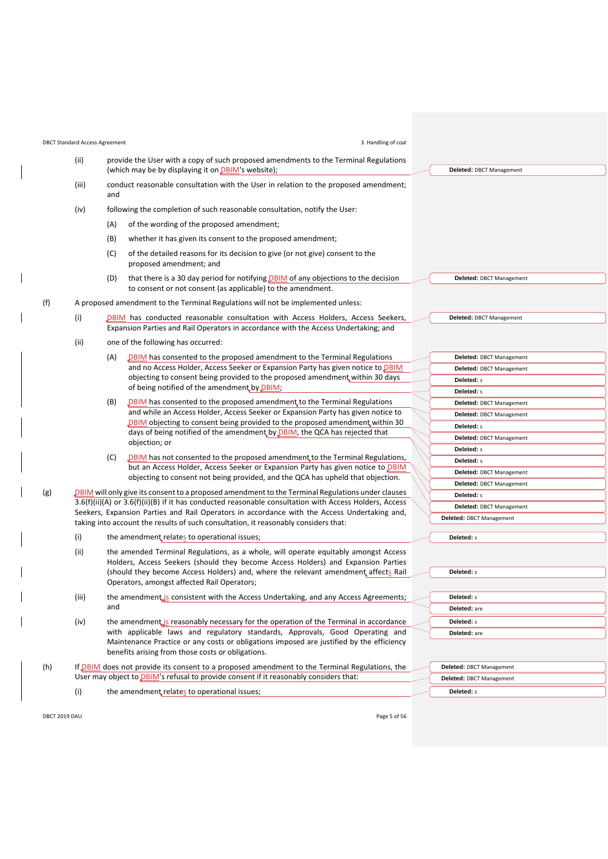| <b>DBCT Standard Access Agreement</b> |                                                                                                                                                                                                                        | 3. Handling of coal                                                                                                                                                                                                           |                                                      |
|---------------------------------------|------------------------------------------------------------------------------------------------------------------------------------------------------------------------------------------------------------------------|-------------------------------------------------------------------------------------------------------------------------------------------------------------------------------------------------------------------------------|------------------------------------------------------|
| (ii)                                  |                                                                                                                                                                                                                        | provide the User with a copy of such proposed amendments to the Terminal Regulations<br>(which may be by displaying it on DBIM's website);                                                                                    | Deleted: DBCT Management                             |
| (iii)                                 | and                                                                                                                                                                                                                    | conduct reasonable consultation with the User in relation to the proposed amendment;                                                                                                                                          |                                                      |
| (iv)                                  |                                                                                                                                                                                                                        | following the completion of such reasonable consultation, notify the User:                                                                                                                                                    |                                                      |
|                                       | (A)                                                                                                                                                                                                                    | of the wording of the proposed amendment;                                                                                                                                                                                     |                                                      |
|                                       | (B)                                                                                                                                                                                                                    | whether it has given its consent to the proposed amendment;                                                                                                                                                                   |                                                      |
|                                       |                                                                                                                                                                                                                        |                                                                                                                                                                                                                               |                                                      |
|                                       | (C)                                                                                                                                                                                                                    | of the detailed reasons for its decision to give (or not give) consent to the<br>proposed amendment; and                                                                                                                      |                                                      |
|                                       | (D)                                                                                                                                                                                                                    | that there is a 30 day period for notifying DBIM of any objections to the decision<br>to consent or not consent (as applicable) to the amendment.                                                                             | Deleted: DBCT Management                             |
|                                       |                                                                                                                                                                                                                        | A proposed amendment to the Terminal Regulations will not be implemented unless:                                                                                                                                              |                                                      |
| (i)                                   |                                                                                                                                                                                                                        | DBIM has conducted reasonable consultation with Access Holders, Access Seekers,                                                                                                                                               | Deleted: DBCT Management                             |
|                                       |                                                                                                                                                                                                                        | Expansion Parties and Rail Operators in accordance with the Access Undertaking; and                                                                                                                                           |                                                      |
| (i)                                   |                                                                                                                                                                                                                        | one of the following has occurred:                                                                                                                                                                                            |                                                      |
|                                       | (A)                                                                                                                                                                                                                    | <b>DBIM</b> has consented to the proposed amendment to the Terminal Regulations                                                                                                                                               | Deleted: DBCT Management                             |
|                                       |                                                                                                                                                                                                                        | and no Access Holder, Access Seeker or Expansion Party has given notice to DBIM                                                                                                                                               | Deleted: DBCT Management                             |
|                                       |                                                                                                                                                                                                                        | objecting to consent being provided to the proposed amendment within 30 days                                                                                                                                                  | Deleted: s                                           |
|                                       |                                                                                                                                                                                                                        | of being notified of the amendment by DBIM;                                                                                                                                                                                   | Deleted: s                                           |
|                                       | (B)                                                                                                                                                                                                                    | DBIM has consented to the proposed amendment to the Terminal Regulations                                                                                                                                                      | Deleted: DBCT Management                             |
|                                       |                                                                                                                                                                                                                        | and while an Access Holder, Access Seeker or Expansion Party has given notice to                                                                                                                                              | Deleted: DBCT Management                             |
|                                       |                                                                                                                                                                                                                        | DBIM objecting to consent being provided to the proposed amendment within 30<br>days of being notified of the amendment by DBIM, the QCA has rejected that                                                                    | Deleted: s                                           |
|                                       |                                                                                                                                                                                                                        |                                                                                                                                                                                                                               | Deleted: DBCT Management                             |
|                                       |                                                                                                                                                                                                                        | objection; or                                                                                                                                                                                                                 | Deleted: s                                           |
|                                       | (C)                                                                                                                                                                                                                    | DBIM has not consented to the proposed amendment to the Terminal Regulations,                                                                                                                                                 | Deleted: s                                           |
|                                       |                                                                                                                                                                                                                        | but an Access Holder, Access Seeker or Expansion Party has given notice to DBIM<br>objecting to consent not being provided, and the QCA has upheld that objection.                                                            | Deleted: DBCT Management                             |
|                                       |                                                                                                                                                                                                                        |                                                                                                                                                                                                                               | Deleted: DBCT Management                             |
|                                       | <b>DBIM</b> will only give its consent to a proposed amendment to the Terminal Regulations under clauses<br>$3.6(f)(ii)(A)$ or $3.6(f)(ii)(B)$ if it has conducted reasonable consultation with Access Holders, Access |                                                                                                                                                                                                                               | Deleted: s                                           |
|                                       |                                                                                                                                                                                                                        | Seekers, Expansion Parties and Rail Operators in accordance with the Access Undertaking and,                                                                                                                                  | <b>Deleted: DBCT Management</b>                      |
|                                       |                                                                                                                                                                                                                        | taking into account the results of such consultation, it reasonably considers that:                                                                                                                                           | Deleted: DBCT Management                             |
| (i)                                   |                                                                                                                                                                                                                        | the amendment relates to operational issues;                                                                                                                                                                                  | Deleted: s                                           |
| (ii)                                  |                                                                                                                                                                                                                        | the amended Terminal Regulations, as a whole, will operate equitably amongst Access                                                                                                                                           |                                                      |
|                                       |                                                                                                                                                                                                                        | Holders, Access Seekers (should they become Access Holders) and Expansion Parties                                                                                                                                             |                                                      |
|                                       | (should they become Access Holders) and, where the relevant amendment affects Rail<br>Operators, amongst affected Rail Operators;                                                                                      |                                                                                                                                                                                                                               | Deleted: s                                           |
| (iii)                                 |                                                                                                                                                                                                                        | the amendment is consistent with the Access Undertaking, and any Access Agreements;                                                                                                                                           | Deleted: s                                           |
|                                       | and                                                                                                                                                                                                                    |                                                                                                                                                                                                                               | Deleted: are                                         |
| (iv)                                  |                                                                                                                                                                                                                        | the amendment is reasonably necessary for the operation of the Terminal in accordance                                                                                                                                         | Deleted: s                                           |
|                                       |                                                                                                                                                                                                                        | with applicable laws and regulatory standards, Approvals, Good Operating and<br>Maintenance Practice or any costs or obligations imposed are justified by the efficiency<br>benefits arising from those costs or obligations. | Deleted: are                                         |
|                                       |                                                                                                                                                                                                                        | If DBIM does not provide its consent to a proposed amendment to the Terminal Regulations, the<br>User may object to DBIM's refusal to provide consent if it reasonably considers that:                                        | Deleted: DBCT Management<br>Deleted: DBCT Management |
| (i)                                   |                                                                                                                                                                                                                        | the amendment relates to operational issues;                                                                                                                                                                                  | Deleted: s                                           |
|                                       |                                                                                                                                                                                                                        |                                                                                                                                                                                                                               |                                                      |

 $\begin{array}{c} \hline \end{array}$ 

<span id="page-4-6"></span><span id="page-4-5"></span><span id="page-4-4"></span><span id="page-4-3"></span><span id="page-4-2"></span><span id="page-4-1"></span><span id="page-4-0"></span> $\overline{\phantom{a}}$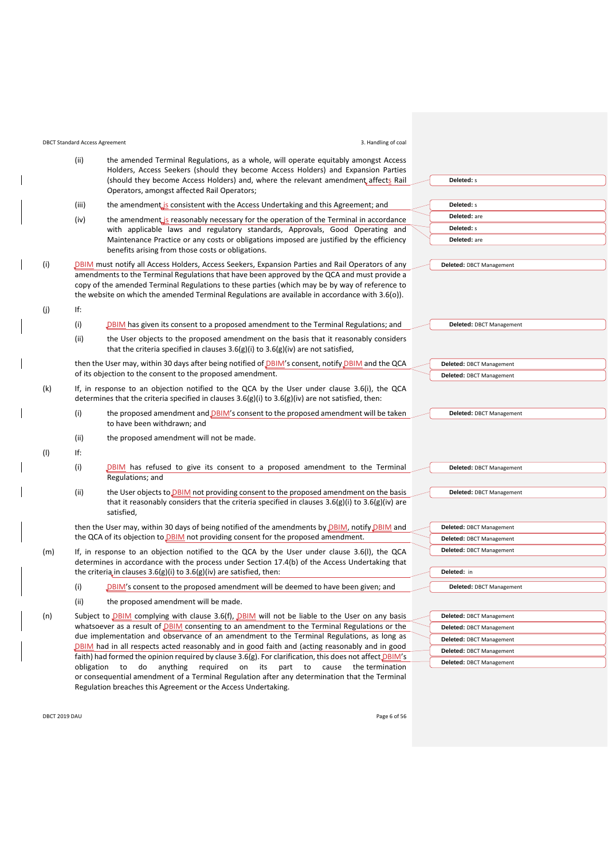<span id="page-5-0"></span>

|     | <b>DBCT Standard Access Agreement</b>                                                        | 3. Handling of coal                                                                                                                                                                                                                                                                               |                                 |  |
|-----|----------------------------------------------------------------------------------------------|---------------------------------------------------------------------------------------------------------------------------------------------------------------------------------------------------------------------------------------------------------------------------------------------------|---------------------------------|--|
|     | (ii)                                                                                         | the amended Terminal Regulations, as a whole, will operate equitably amongst Access<br>Holders, Access Seekers (should they become Access Holders) and Expansion Parties                                                                                                                          |                                 |  |
|     |                                                                                              | (should they become Access Holders) and, where the relevant amendment affects Rail<br>Operators, amongst affected Rail Operators;                                                                                                                                                                 | Deleted: s                      |  |
|     | (iii)                                                                                        | the amendment is consistent with the Access Undertaking and this Agreement; and                                                                                                                                                                                                                   | Deleted: s                      |  |
|     | (iv)                                                                                         | the amendment is reasonably necessary for the operation of the Terminal in accordance                                                                                                                                                                                                             | Deleted: are                    |  |
|     |                                                                                              | with applicable laws and regulatory standards, Approvals, Good Operating and                                                                                                                                                                                                                      | Deleted: s                      |  |
|     |                                                                                              | Maintenance Practice or any costs or obligations imposed are justified by the efficiency<br>benefits arising from those costs or obligations.                                                                                                                                                     | Deleted: are                    |  |
| (i) |                                                                                              | DBIM must notify all Access Holders, Access Seekers, Expansion Parties and Rail Operators of any                                                                                                                                                                                                  | <b>Deleted: DBCT Management</b> |  |
|     |                                                                                              | amendments to the Terminal Regulations that have been approved by the QCA and must provide a<br>copy of the amended Terminal Regulations to these parties (which may be by way of reference to<br>the website on which the amended Terminal Regulations are available in accordance with 3.6(o)). |                                 |  |
| (j) | lf:                                                                                          |                                                                                                                                                                                                                                                                                                   |                                 |  |
|     | (i)                                                                                          | <b>DBIM</b> has given its consent to a proposed amendment to the Terminal Regulations; and                                                                                                                                                                                                        | Deleted: DBCT Management        |  |
|     | (ii)                                                                                         | the User objects to the proposed amendment on the basis that it reasonably considers<br>that the criteria specified in clauses $3.6(g)(i)$ to $3.6(g)(iv)$ are not satisfied,                                                                                                                     |                                 |  |
|     |                                                                                              | then the User may, within 30 days after being notified of DBIM's consent, notify DBIM and the QCA                                                                                                                                                                                                 | Deleted: DBCT Management        |  |
|     |                                                                                              | of its objection to the consent to the proposed amendment.                                                                                                                                                                                                                                        | Deleted: DBCT Management        |  |
| (k) |                                                                                              | If, in response to an objection notified to the QCA by the User under clause 3.6(i), the QCA<br>determines that the criteria specified in clauses $3.6(g)(i)$ to $3.6(g)(iv)$ are not satisfied, then:                                                                                            |                                 |  |
|     | (i)                                                                                          | the proposed amendment and <b>DBIM's</b> consent to the proposed amendment will be taken<br>to have been withdrawn; and                                                                                                                                                                           | <b>Deleted: DBCT Management</b> |  |
|     | (ii)                                                                                         | the proposed amendment will not be made.                                                                                                                                                                                                                                                          |                                 |  |
| (1) | lf:                                                                                          |                                                                                                                                                                                                                                                                                                   |                                 |  |
|     | (i)                                                                                          | <b>DBIM</b> has refused to give its consent to a proposed amendment to the Terminal<br>Regulations; and                                                                                                                                                                                           | Deleted: DBCT Management        |  |
|     | (ii)                                                                                         | the User objects to DBIM not providing consent to the proposed amendment on the basis<br>that it reasonably considers that the criteria specified in clauses $3.6(g)(i)$ to $3.6(g)(iv)$ are<br>satisfied,                                                                                        | Deleted: DBCT Management        |  |
|     |                                                                                              | then the User may, within 30 days of being notified of the amendments by DBIM, notify DBIM and                                                                                                                                                                                                    | Deleted: DBCT Management        |  |
|     | the QCA of its objection to DBIM not providing consent for the proposed amendment.           |                                                                                                                                                                                                                                                                                                   | <b>Deleted: DBCT Management</b> |  |
| (m) | If, in response to an objection notified to the QCA by the User under clause 3.6(I), the QCA |                                                                                                                                                                                                                                                                                                   | Deleted: DBCT Management        |  |
|     |                                                                                              | determines in accordance with the process under Section 17.4(b) of the Access Undertaking that<br>the criteria in clauses $3.6(g)(i)$ to $3.6(g)(iv)$ are satisfied, then:                                                                                                                        | Deleted: in                     |  |
|     | (i)                                                                                          | DBIM's consent to the proposed amendment will be deemed to have been given; and                                                                                                                                                                                                                   | Deleted: DBCT Management        |  |
|     | (ii)                                                                                         | the proposed amendment will be made.                                                                                                                                                                                                                                                              |                                 |  |
| (n) |                                                                                              | Subject to <b>DBIM</b> complying with clause 3.6(f), <b>DBIM</b> will not be liable to the User on any basis                                                                                                                                                                                      | Deleted: DBCT Management        |  |
|     |                                                                                              | whatsoever as a result of DBIM consenting to an amendment to the Terminal Regulations or the                                                                                                                                                                                                      | <b>Deleted: DBCT Management</b> |  |
|     |                                                                                              | due implementation and observance of an amendment to the Terminal Regulations, as long as<br>DBIM had in all respects acted reasonably and in good faith and (acting reasonably and in good                                                                                                       | Deleted: DBCT Management        |  |
|     |                                                                                              | faith) had formed the opinion required by clause 3.6(g). For clarification, this does not affect <i>DBIM's</i>                                                                                                                                                                                    | Deleted: DBCT Management        |  |
|     |                                                                                              | obligation to do anything required on its part to cause<br>the termination                                                                                                                                                                                                                        | Deleted: DBCT Management        |  |

<span id="page-5-1"></span>or consequential amendment of a Terminal Regulation after any determination that the Terminal

Regulation breaches this Agreement or the Access Undertaking.

DBCT 2019 DAU Page 6 of 56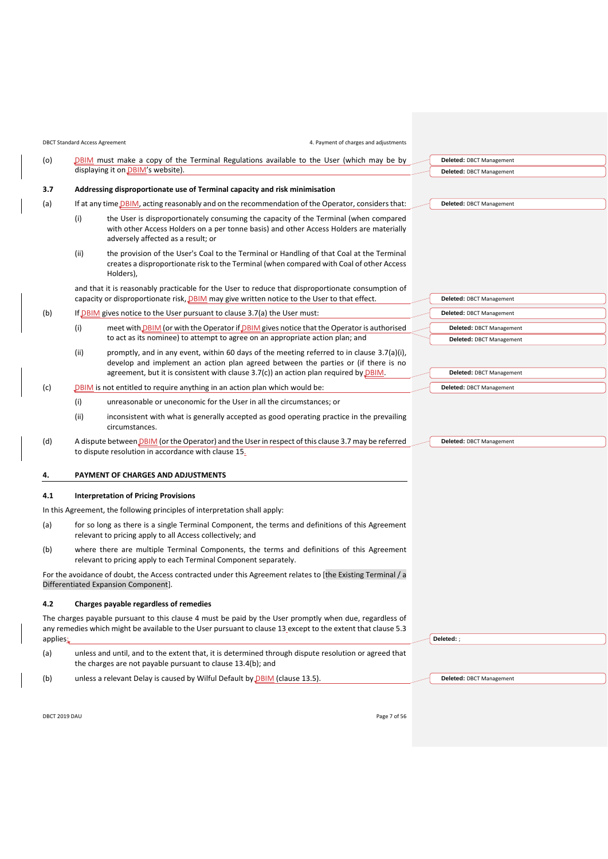<span id="page-6-5"></span><span id="page-6-3"></span><span id="page-6-2"></span><span id="page-6-1"></span>

|     |      | <b>DBCT Standard Access Agreement</b><br>4. Payment of charges and adjustments                                                                                                                                                                                               |                                 |
|-----|------|------------------------------------------------------------------------------------------------------------------------------------------------------------------------------------------------------------------------------------------------------------------------------|---------------------------------|
| (o) |      | DBIM must make a copy of the Terminal Regulations available to the User (which may be by                                                                                                                                                                                     | Deleted: DBCT Management        |
|     |      | displaying it on DBIM's website).                                                                                                                                                                                                                                            | Deleted: DBCT Management        |
| 3.7 |      | Addressing disproportionate use of Terminal capacity and risk minimisation                                                                                                                                                                                                   |                                 |
| (a) |      | If at any time DBIM, acting reasonably and on the recommendation of the Operator, considers that:                                                                                                                                                                            | Deleted: DBCT Management        |
|     | (i)  | the User is disproportionately consuming the capacity of the Terminal (when compared<br>with other Access Holders on a per tonne basis) and other Access Holders are materially<br>adversely affected as a result; or                                                        |                                 |
|     | (ii) | the provision of the User's Coal to the Terminal or Handling of that Coal at the Terminal<br>creates a disproportionate risk to the Terminal (when compared with Coal of other Access<br>Holders),                                                                           |                                 |
|     |      | and that it is reasonably practicable for the User to reduce that disproportionate consumption of                                                                                                                                                                            |                                 |
|     |      | capacity or disproportionate risk, DBIM may give written notice to the User to that effect.                                                                                                                                                                                  | <b>Deleted: DBCT Management</b> |
| (b) |      | If DBIM gives notice to the User pursuant to clause 3.7(a) the User must:                                                                                                                                                                                                    | Deleted: DBCT Management        |
|     | (i)  | meet with <b>DBIM</b> (or with the Operator if <b>DBIM</b> gives notice that the Operator is authorised                                                                                                                                                                      | Deleted: DBCT Management        |
|     |      | to act as its nominee) to attempt to agree on an appropriate action plan; and                                                                                                                                                                                                | Deleted: DBCT Management        |
|     | (ii) | promptly, and in any event, within 60 days of the meeting referred to in clause $3.7(a)(i)$ ,<br>develop and implement an action plan agreed between the parties or (if there is no<br>agreement, but it is consistent with clause $3.7(c)$ an action plan required by DBIM. | Deleted: DBCT Management        |
| (c) |      | DBIM is not entitled to require anything in an action plan which would be:                                                                                                                                                                                                   | Deleted: DBCT Management        |
|     | (i)  | unreasonable or uneconomic for the User in all the circumstances; or                                                                                                                                                                                                         |                                 |
|     | (ii) | inconsistent with what is generally accepted as good operating practice in the prevailing<br>circumstances.                                                                                                                                                                  |                                 |
| (d) |      | A dispute between DBIM (or the Operator) and the User in respect of this clause 3.7 may be referred<br>to dispute resolution in accordance with clause 15.                                                                                                                   | Deleted: DBCT Management        |
| 4.  |      | PAYMENT OF CHARGES AND ADJUSTMENTS                                                                                                                                                                                                                                           |                                 |
| 4.1 |      | <b>Interpretation of Pricing Provisions</b>                                                                                                                                                                                                                                  |                                 |
|     |      | In this Agreement, the following principles of interpretation shall apply:                                                                                                                                                                                                   |                                 |
| (a) |      | for so long as there is a single Terminal Component, the terms and definitions of this Agreement<br>relevant to pricing apply to all Access collectively; and                                                                                                                |                                 |
| (b) |      | where there are multiple Terminal Components, the terms and definitions of this Agreement<br>relevant to pricing apply to each Terminal Component separately.                                                                                                                |                                 |
|     |      | For the avoidance of doubt, the Access contracted under this Agreement relates to [the Existing Terminal / a<br>Differentiated Expansion Component].                                                                                                                         |                                 |
| 4.2 |      | Charges payable regardless of remedies                                                                                                                                                                                                                                       |                                 |
|     |      | The charges payable pursuant to this clause 4 must be paid by the User promptly when due, regardless of                                                                                                                                                                      |                                 |

<span id="page-6-4"></span><span id="page-6-0"></span>any remedies which might be available to the User pursuant to claus[e 13](#page-18-0) except to the extent that claus[e 5.3](#page-8-0) applies:

(a) unless and until, and to the extent that, it is determined through dispute resolution or agreed that the charges are not payable pursuant to claus[e 13.4\(b\);](#page-19-0) and

(b) unless a relevant Delay is caused by Wilful Default by  $DBIM$  (clause [13.5\)](#page-19-1).

**Deleted:** DBCT Management

**Deleted:** ;

DBCT 2019 DAU Page 7 of 56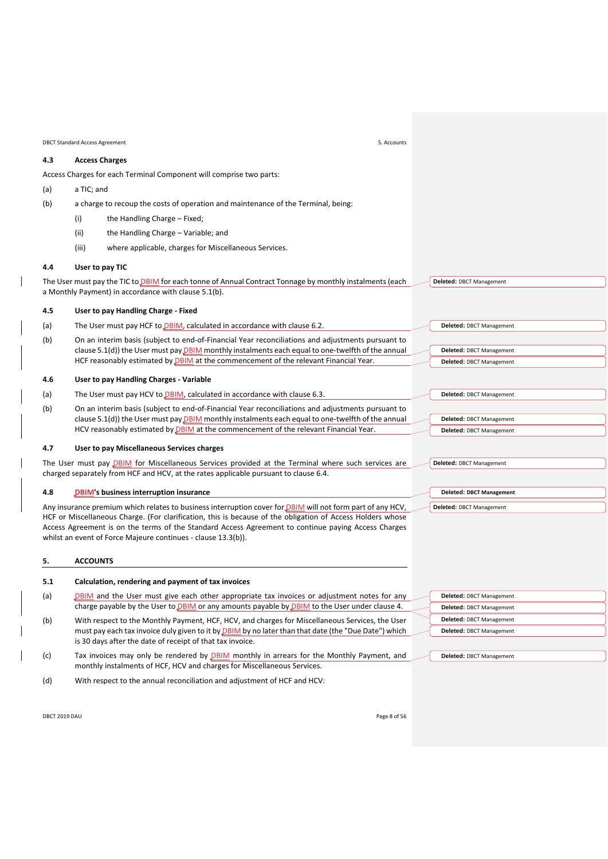<span id="page-7-4"></span>

| <b>DBCT Standard Access Agreement</b><br>5. Accounts |                                                                                                                                                                                                                   |  |                                                      |  |
|------------------------------------------------------|-------------------------------------------------------------------------------------------------------------------------------------------------------------------------------------------------------------------|--|------------------------------------------------------|--|
| 4.3                                                  | <b>Access Charges</b>                                                                                                                                                                                             |  |                                                      |  |
|                                                      | Access Charges for each Terminal Component will comprise two parts:                                                                                                                                               |  |                                                      |  |
| (a)                                                  | a TIC; and                                                                                                                                                                                                        |  |                                                      |  |
| (b)                                                  | a charge to recoup the costs of operation and maintenance of the Terminal, being:                                                                                                                                 |  |                                                      |  |
|                                                      | the Handling Charge - Fixed;<br>(i)                                                                                                                                                                               |  |                                                      |  |
|                                                      | (ii)<br>the Handling Charge - Variable; and                                                                                                                                                                       |  |                                                      |  |
|                                                      | (iii)<br>where applicable, charges for Miscellaneous Services.                                                                                                                                                    |  |                                                      |  |
| 4.4                                                  | User to pay TIC                                                                                                                                                                                                   |  |                                                      |  |
|                                                      | The User must pay the TIC to DBIM for each tonne of Annual Contract Tonnage by monthly instalments (each<br>a Monthly Payment) in accordance with clause 5.1(b).                                                  |  | Deleted: DBCT Management                             |  |
| 4.5                                                  | User to pay Handling Charge - Fixed                                                                                                                                                                               |  |                                                      |  |
| (a)                                                  | The User must pay HCF to <b>DBIM</b> , calculated in accordance with clause 6.2.                                                                                                                                  |  | Deleted: DBCT Management                             |  |
| (b)                                                  | On an interim basis (subject to end-of-Financial Year reconciliations and adjustments pursuant to                                                                                                                 |  |                                                      |  |
|                                                      | clause 5.1(d)) the User must pay $DBIM$ monthly instalments each equal to one-twelfth of the annual<br>HCF reasonably estimated by DBIM at the commencement of the relevant Financial Year.                       |  | Deleted: DBCT Management<br>Deleted: DBCT Management |  |
|                                                      |                                                                                                                                                                                                                   |  |                                                      |  |
| 4.6                                                  | <b>User to pay Handling Charges - Variable</b>                                                                                                                                                                    |  |                                                      |  |
| (a)                                                  | The User must pay HCV to DBIM, calculated in accordance with clause 6.3.                                                                                                                                          |  | Deleted: DBCT Management                             |  |
| (b)                                                  | On an interim basis (subject to end-of-Financial Year reconciliations and adjustments pursuant to                                                                                                                 |  |                                                      |  |
|                                                      | clause $5.1(d)$ ) the User must pay DBIM monthly instalments each equal to one-twelfth of the annual<br>HCV reasonably estimated by <b>DBIM</b> at the commencement of the relevant Financial Year.               |  | Deleted: DBCT Management<br>Deleted: DBCT Management |  |
|                                                      |                                                                                                                                                                                                                   |  |                                                      |  |
| 4.7                                                  | User to pay Miscellaneous Services charges                                                                                                                                                                        |  |                                                      |  |
|                                                      | The User must pay DBIM for Miscellaneous Services provided at the Terminal where such services are<br>charged separately from HCF and HCV, at the rates applicable pursuant to clause 6.4.                        |  | Deleted: DBCT Management                             |  |
|                                                      |                                                                                                                                                                                                                   |  |                                                      |  |
| 4.8                                                  | <b>DBIM's business interruption insurance</b>                                                                                                                                                                     |  | <b>Deleted: DBCT Management</b>                      |  |
|                                                      | Any insurance premium which relates to business interruption cover for <b>DBIM</b> will not form part of any HCV,                                                                                                 |  | Deleted: DBCT Management                             |  |
|                                                      | HCF or Miscellaneous Charge. (For clarification, this is because of the obligation of Access Holders whose<br>Access Agreement is on the terms of the Standard Access Agreement to continue paying Access Charges |  |                                                      |  |
|                                                      | whilst an event of Force Majeure continues - clause 13.3(b)).                                                                                                                                                     |  |                                                      |  |
| 5.                                                   | <b>ACCOUNTS</b>                                                                                                                                                                                                   |  |                                                      |  |
| 5.1                                                  | Calculation, rendering and payment of tax invoices                                                                                                                                                                |  |                                                      |  |
| (a)                                                  | DBIM and the User must give each other appropriate tax invoices or adjustment notes for any                                                                                                                       |  | Deleted: DBCT Management                             |  |
|                                                      | charge payable by the User to DBIM or any amounts payable by DBIM to the User under clause 4.                                                                                                                     |  | Deleted: DBCT Management                             |  |
| (b)                                                  | With respect to the Monthly Payment, HCF, HCV, and charges for Miscellaneous Services, the User                                                                                                                   |  | Deleted: DBCT Management                             |  |
|                                                      | must pay each tax invoice duly given to it by <b>DBIM</b> by no later than that date (the "Due Date") which                                                                                                       |  | Deleted: DBCT Management                             |  |
|                                                      | is 30 days after the date of receipt of that tax invoice.                                                                                                                                                         |  |                                                      |  |
| (c)                                                  | Tax invoices may only be rendered by DBIM monthly in arrears for the Monthly Payment, and<br>monthly instalments of HCF, HCV and charges for Miscellaneous Services.                                              |  | Deleted: DBCT Management                             |  |

<span id="page-7-3"></span><span id="page-7-2"></span><span id="page-7-1"></span><span id="page-7-0"></span>(d) With respect to the annual reconciliation and adjustment of HCF and HCV:

DBCT 2019 DAU Page 8 of 56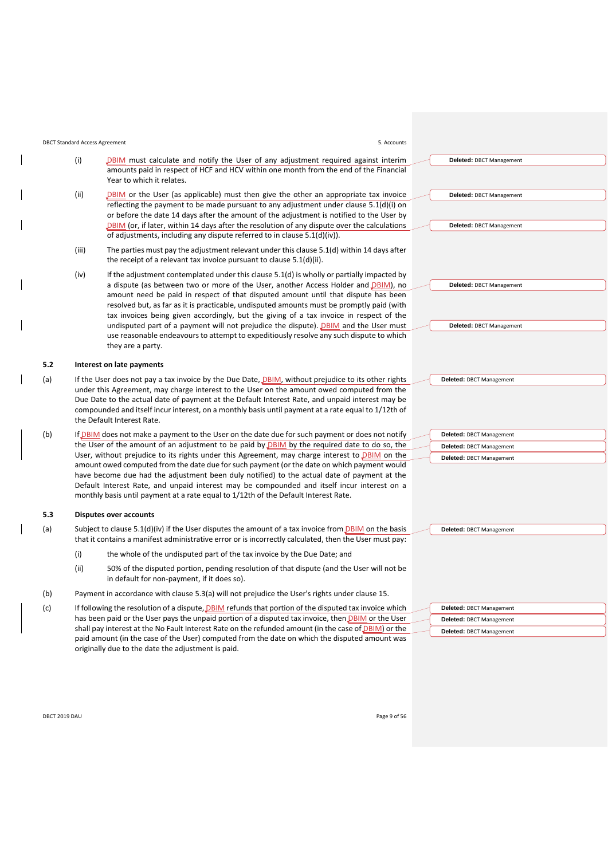#### <span id="page-8-1"></span>DBCT Standard Access Agreement 5. Accounts

<span id="page-8-3"></span>

- (iii) The parties must pay the adjustment relevant under this clause [5.1\(d\)](#page-7-2) within 14 days after the receipt of a relevant tax invoice pursuant to clause [5.1\(d\)\(ii\).](#page-8-3)
- (iv) If the adjustment contemplated under this clause [5.1\(d\)](#page-7-2) is wholly or partially impacted by a dispute (as between two or more of the User, another Access Holder and *DBIM*), no amount need be paid in respect of that disputed amount until that dispute has been resolved but, as far as it is practicable, undisputed amounts must be promptly paid (with tax invoices being given accordingly, but the giving of a tax invoice in respect of the undisputed part of a payment will not prejudice the dispute). DBIM and the User must use reasonable endeavours to attempt to expeditiously resolve any such dispute to which they are a party.

#### <span id="page-8-5"></span>**5.2 Interest on late payments**

- (a) If the User does not pay a tax invoice by the Due Date, *DBIM*, without prejudice to its other rights under this Agreement, may charge interest to the User on the amount owed computed from the Due Date to the actual date of payment at the Default Interest Rate, and unpaid interest may be compounded and itself incur interest, on a monthly basis until payment at a rate equal to 1/12th of the Default Interest Rate.
- (b) If DBIM does not make a payment to the User on the date due for such payment or does not notify the User of the amount of an adjustment to be paid by **DBIM** by the required date to do so, the User, without prejudice to its rights under this Agreement, may charge interest to DBIM on the amount owed computed from the date due for such payment (or the date on which payment would have become due had the adjustment been duly notified) to the actual date of payment at the Default Interest Rate, and unpaid interest may be compounded and itself incur interest on a monthly basis until payment at a rate equal to 1/12th of the Default Interest Rate.

#### <span id="page-8-0"></span>**5.3 Disputes over accounts**

- <span id="page-8-4"></span>(a) Subject to clause [5.1\(d\)\(iv\)](#page-8-2) if the User disputes the amount of a tax invoice from  $DBIM$  on the basis that it contains a manifest administrative error or is incorrectly calculated, then the User must pay:
	- (i) the whole of the undisputed part of the tax invoice by the Due Date; and
	- (ii) 50% of the disputed portion, pending resolution of that dispute (and the User will not be in default for non-payment, if it does so).
- (b) Payment in accordance with clause [5.3\(a\)](#page-8-4) will not prejudice the User's rights under claus[e 15.](#page-21-0)
- (c) If following the resolution of a dispute, DBIM refunds that portion of the disputed tax invoice which has been paid or the User pays the unpaid portion of a disputed tax invoice, then *DBIM* or the User shall pay interest at the No Fault Interest Rate on the refunded amount (in the case of **DBIM**) or the paid amount (in the case of the User) computed from the date on which the disputed amount was originally due to the date the adjustment is paid.

| Deleted: DBCT Management |
|--------------------------|
| Deleted: DBCT Management |
| Deleted: DBCT Management |

| DBCT 2019 DAU | Page 9 of 56 |
|---------------|--------------|
|---------------|--------------|

| Deleted: DBCT Management |
|--------------------------|
| Deleted: DBCT Management |
| Deleted: DBCT Management |

**Deleted:** DBCT Management

<span id="page-8-2"></span>**Deleted:** DBCT Management

**Deleted:** DBCT Management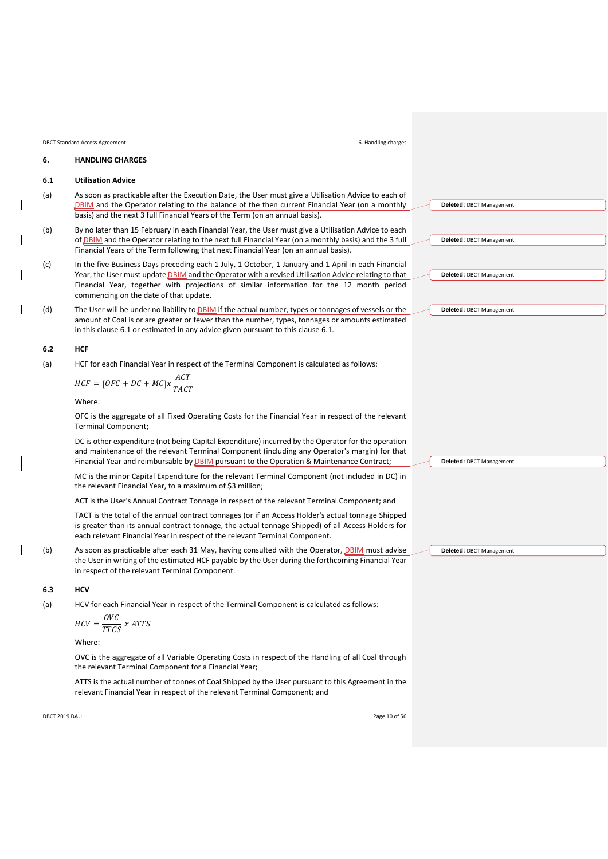DBCT Standard Access Agreement 6. Handling charges

# <span id="page-9-0"></span>**6. HANDLING CHARGES**

#### <span id="page-9-3"></span>**6.1 Utilisation Advice**

- (a) As soon as practicable after the Execution Date, the User must give a Utilisation Advice to each of DBIM and the Operator relating to the balance of the then current Financial Year (on a monthly basis) and the next 3 full Financial Years of the Term (on an annual basis).
- (b) By no later than 15 February in each Financial Year, the User must give a Utilisation Advice to each of DBIM and the Operator relating to the next full Financial Year (on a monthly basis) and the 3 full Financial Years of the Term following that next Financial Year (on an annual basis).
- (c) In the five Business Days preceding each 1 July, 1 October, 1 January and 1 April in each Financial Year, the User must update DBIM and the Operator with a revised Utilisation Advice relating to that Financial Year, together with projections of similar information for the 12 month period commencing on the date of that update.
- <span id="page-9-4"></span>(d) The User will be under no liability to DBIM if the actual number, types or tonnages of vessels or the amount of Coal is or are greater or fewer than the number, types, tonnages or amounts estimated in this clause [6.1](#page-9-3) or estimated in any advice given pursuant to this claus[e 6.1.](#page-9-3)

#### <span id="page-9-1"></span>**6.2 HCF**

(a) HCF for each Financial Year in respect of the Terminal Component is calculated as follows:

$$
HCF = [OFC + DC + MC]x \frac{ACT}{TACT}
$$

Where:

OFC is the aggregate of all Fixed Operating Costs for the Financial Year in respect of the relevant Terminal Component;

DC is other expenditure (not being Capital Expenditure) incurred by the Operator for the operation and maintenance of the relevant Terminal Component (including any Operator's margin) for that Financial Year and reimbursable by **DBIM** pursuant to the Operation & Maintenance Contract;

MC is the minor Capital Expenditure for the relevant Terminal Component (not included in DC) in the relevant Financial Year, to a maximum of \$3 million;

ACT is the User's Annual Contract Tonnage in respect of the relevant Terminal Component; and

TACT is the total of the annual contract tonnages (or if an Access Holder's actual tonnage Shipped is greater than its annual contract tonnage, the actual tonnage Shipped) of all Access Holders for each relevant Financial Year in respect of the relevant Terminal Component.

(b) As soon as practicable after each 31 May, having consulted with the Operator, DBIM must advise the User in writing of the estimated HCF payable by the User during the forthcoming Financial Year in respect of the relevant Terminal Component.

#### <span id="page-9-2"></span>**6.3 HCV**

(a) HCV for each Financial Year in respect of the Terminal Component is calculated as follows:

$$
HCV = \frac{OVC}{TTCS} \times ATTS
$$

Where:

OVC is the aggregate of all Variable Operating Costs in respect of the Handling of all Coal through the relevant Terminal Component for a Financial Year;

ATTS is the actual number of tonnes of Coal Shipped by the User pursuant to this Agreement in the relevant Financial Year in respect of the relevant Terminal Component; and

DBCT 2019 DAU Page 10 of 56

**Deleted:** DBCT Management

**Deleted:** DBCT Management

**Deleted:** DBCT Management

**Deleted:** DBCT Management

**Deleted:** DBCT Management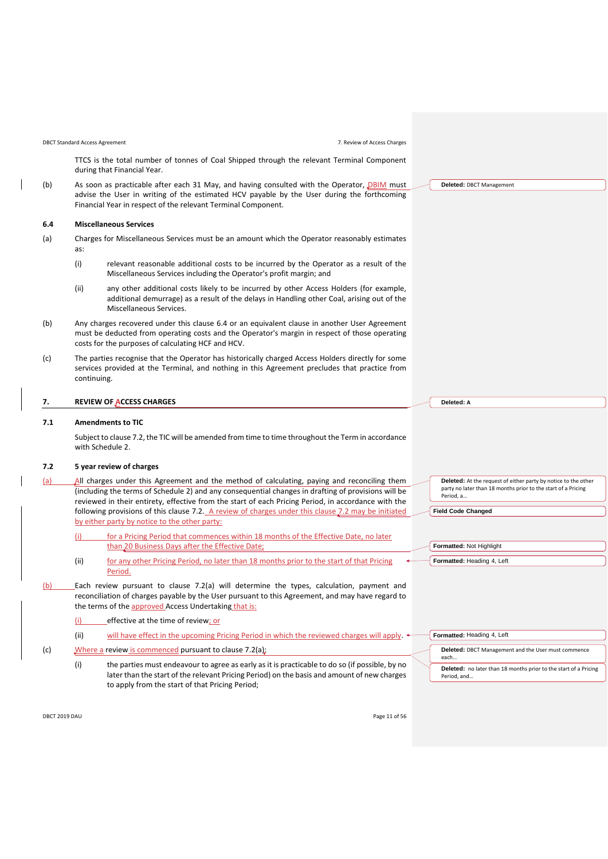DBCT Standard Access Agreement 7. Review of Access Charges

TTCS is the total number of tonnes of Coal Shipped through the relevant Terminal Component during that Financial Year.

(b) As soon as practicable after each 31 May, and having consulted with the Operator, DBIM must advise the User in writing of the estimated HCV payable by the User during the forthcoming Financial Year in respect of the relevant Terminal Component.

#### <span id="page-10-1"></span>**6.4 Miscellaneous Services**

- (a) Charges for Miscellaneous Services must be an amount which the Operator reasonably estimates as:
	- (i) relevant reasonable additional costs to be incurred by the Operator as a result of the Miscellaneous Services including the Operator's profit margin; and
	- (ii) any other additional costs likely to be incurred by other Access Holders (for example, additional demurrage) as a result of the delays in Handling other Coal, arising out of the Miscellaneous Services.
- (b) Any charges recovered under this clause [6.4](#page-10-1) or an equivalent clause in another User Agreement must be deducted from operating costs and the Operator's margin in respect of those operating costs for the purposes of calculating HCF and HCV.
- (c) The parties recognise that the Operator has historically charged Access Holders directly for some services provided at the Terminal, and nothing in this Agreement precludes that practice from continuing.

#### <span id="page-10-0"></span>**7. REVIEW OF ACCESS CHARGES**

#### **7.1 Amendments to TIC**

Subject to clause [7.2,](#page-10-2) the TIC will be amended from time to time throughout the Term in accordance wit[h Schedule 2.](#page-33-0)

# <span id="page-10-2"></span>**7.2 5 year review of charges**

- <span id="page-10-3"></span>(a) All charges under this Agreement and the method of calculating, paying and reconciling them (including the terms of [Schedule 2\)](#page-33-0) and any consequential changes in drafting of provisions will be reviewed in their entirety, effective from the start of each Pricing Period, in accordance with the following provisions of this clause [7.2.](#page-10-2) A review of charges under this clause [7.2](#page-10-2) may be initiated by either party by notice to the other party:
	- (i) for a Pricing Period that commences within 18 months of the Effective Date, no later than 20 Business Days after the Effective Date;
	- (ii) for any other Pricing Period, no later than 18 months prior to the start of that Pricing Period.
- (b) Each review pursuant to clause [7.2\(a\)](#page-10-3) will determine the types, calculation, payment and reconciliation of charges payable by the User pursuant to this Agreement, and may have regard to the terms of the approved Access Undertaking that is:
	- (i) effective at the time of review; or
	- (ii) will have effect in the upcoming Pricing Period in which the reviewed charges will apply.
- (c) Where a review is commenced pursuant to claus[e 7.2\(a\):](#page-10-3)
	- (i) the parties must endeavour to agree as early as it is practicable to do so (if possible, by no later than the start of the relevant Pricing Period) on the basis and amount of new charges to apply from the start of that Pricing Period;

**Deleted:** DBCT Management

**Deleted:** At the request of either party by notice to the other party no later than 18 months prior to the start of a Pricing Period, a…

**Field Code Changed**

**Formatted:** Not Highlight

**Deleted: A**

| $\frac{1}{2}$ of matted. $\frac{1}{2}$ is the $\frac{1}{2}$ |
|-------------------------------------------------------------|
|                                                             |
| Formatted: Heading 4, Left                                  |

| Formatted: Heading 4, Left                                                             |  |  |  |
|----------------------------------------------------------------------------------------|--|--|--|
| Deleted: DBCT Management and the User must commence<br>each                            |  |  |  |
| <b>Deleted:</b> no later than 18 months prior to the start of a Pricing<br>Period, and |  |  |  |

DBCT 2019 DAU Page 11 of 56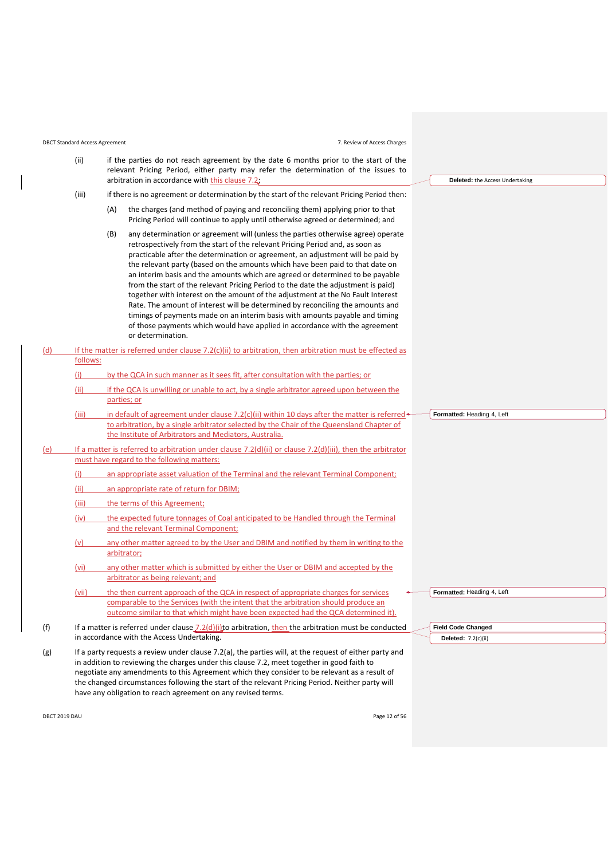DBCT Standard Access Agreement 7. Review of Access Charges

<span id="page-11-1"></span><span id="page-11-0"></span>

|     | (ii)     | if the parties do not reach agreement by the date 6 months prior to the start of the<br>relevant Pricing Period, either party may refer the determination of the issues to                                                                                                                                                                                                                                                                                                                                                                                                                                                                                                                                                                                                                                                                                                  |                                        |
|-----|----------|-----------------------------------------------------------------------------------------------------------------------------------------------------------------------------------------------------------------------------------------------------------------------------------------------------------------------------------------------------------------------------------------------------------------------------------------------------------------------------------------------------------------------------------------------------------------------------------------------------------------------------------------------------------------------------------------------------------------------------------------------------------------------------------------------------------------------------------------------------------------------------|----------------------------------------|
|     |          | arbitration in accordance with this clause 7.2.                                                                                                                                                                                                                                                                                                                                                                                                                                                                                                                                                                                                                                                                                                                                                                                                                             | <b>Deleted:</b> the Access Undertaking |
|     | (iii)    | if there is no agreement or determination by the start of the relevant Pricing Period then:                                                                                                                                                                                                                                                                                                                                                                                                                                                                                                                                                                                                                                                                                                                                                                                 |                                        |
|     |          | the charges (and method of paying and reconciling them) applying prior to that<br>(A)<br>Pricing Period will continue to apply until otherwise agreed or determined; and                                                                                                                                                                                                                                                                                                                                                                                                                                                                                                                                                                                                                                                                                                    |                                        |
|     |          | (B)<br>any determination or agreement will (unless the parties otherwise agree) operate<br>retrospectively from the start of the relevant Pricing Period and, as soon as<br>practicable after the determination or agreement, an adjustment will be paid by<br>the relevant party (based on the amounts which have been paid to that date on<br>an interim basis and the amounts which are agreed or determined to be payable<br>from the start of the relevant Pricing Period to the date the adjustment is paid)<br>together with interest on the amount of the adjustment at the No Fault Interest<br>Rate. The amount of interest will be determined by reconciling the amounts and<br>timings of payments made on an interim basis with amounts payable and timing<br>of those payments which would have applied in accordance with the agreement<br>or determination. |                                        |
| (d) |          | If the matter is referred under clause $7.2(c)(ii)$ to arbitration, then arbitration must be effected as                                                                                                                                                                                                                                                                                                                                                                                                                                                                                                                                                                                                                                                                                                                                                                    |                                        |
|     | follows: |                                                                                                                                                                                                                                                                                                                                                                                                                                                                                                                                                                                                                                                                                                                                                                                                                                                                             |                                        |
|     | (i)      | by the QCA in such manner as it sees fit, after consultation with the parties; or                                                                                                                                                                                                                                                                                                                                                                                                                                                                                                                                                                                                                                                                                                                                                                                           |                                        |
|     | (ii)     | if the QCA is unwilling or unable to act, by a single arbitrator agreed upon between the<br><u>parties; or</u>                                                                                                                                                                                                                                                                                                                                                                                                                                                                                                                                                                                                                                                                                                                                                              |                                        |
|     | (iii)    | in default of agreement under clause 7.2(c)(ii) within 10 days after the matter is referred $\leftarrow$<br>to arbitration, by a single arbitrator selected by the Chair of the Queensland Chapter of<br>the Institute of Arbitrators and Mediators, Australia.                                                                                                                                                                                                                                                                                                                                                                                                                                                                                                                                                                                                             | Formatted: Heading 4, Left             |
| (e) |          | If a matter is referred to arbitration under clause $7.2(d)(iii)$ or clause $7.2(d)(iii)$ , then the arbitrator<br>must have regard to the following matters:                                                                                                                                                                                                                                                                                                                                                                                                                                                                                                                                                                                                                                                                                                               |                                        |
|     | (i)      | an appropriate asset valuation of the Terminal and the relevant Terminal Component;                                                                                                                                                                                                                                                                                                                                                                                                                                                                                                                                                                                                                                                                                                                                                                                         |                                        |
|     | (ii)     | an appropriate rate of return for DBIM;                                                                                                                                                                                                                                                                                                                                                                                                                                                                                                                                                                                                                                                                                                                                                                                                                                     |                                        |
|     |          |                                                                                                                                                                                                                                                                                                                                                                                                                                                                                                                                                                                                                                                                                                                                                                                                                                                                             |                                        |
|     | (iii)    | the terms of this Agreement;                                                                                                                                                                                                                                                                                                                                                                                                                                                                                                                                                                                                                                                                                                                                                                                                                                                |                                        |
|     | (iv)     | the expected future tonnages of Coal anticipated to be Handled through the Terminal<br>and the relevant Terminal Component;                                                                                                                                                                                                                                                                                                                                                                                                                                                                                                                                                                                                                                                                                                                                                 |                                        |
|     | (v)      | any other matter agreed to by the User and DBIM and notified by them in writing to the<br>arbitrator;                                                                                                                                                                                                                                                                                                                                                                                                                                                                                                                                                                                                                                                                                                                                                                       |                                        |
|     | (vi)     | any other matter which is submitted by either the User or DBIM and accepted by the<br>arbitrator as being relevant; and                                                                                                                                                                                                                                                                                                                                                                                                                                                                                                                                                                                                                                                                                                                                                     |                                        |
|     | (vii)    | the then current approach of the QCA in respect of appropriate charges for services                                                                                                                                                                                                                                                                                                                                                                                                                                                                                                                                                                                                                                                                                                                                                                                         | Formatted: Heading 4, Left             |
|     |          | comparable to the Services (with the intent that the arbitration should produce an<br>outcome similar to that which might have been expected had the QCA determined it).                                                                                                                                                                                                                                                                                                                                                                                                                                                                                                                                                                                                                                                                                                    |                                        |
| (f) |          | If a matter is referred under clause $7.2(d)(i)$ to arbitration, then the arbitration must be conducted                                                                                                                                                                                                                                                                                                                                                                                                                                                                                                                                                                                                                                                                                                                                                                     | <b>Field Code Changed</b>              |
|     |          | in accordance with the Access Undertaking.                                                                                                                                                                                                                                                                                                                                                                                                                                                                                                                                                                                                                                                                                                                                                                                                                                  | Deleted: 7.2(c)(ii)                    |
| (g) |          | If a party requests a review under clause 7.2(a), the parties will, at the request of either party and<br>in addition to reviewing the charges under this clause 7.2, meet together in good faith to<br>negotiate any amendments to this Agreement which they consider to be relevant as a result of<br>the changed circumstances following the start of the relevant Pricing Period. Neither party will<br>have any obligation to reach agreement on any revised terms.                                                                                                                                                                                                                                                                                                                                                                                                    |                                        |

DBCT 2019 DAU Page 12 of 56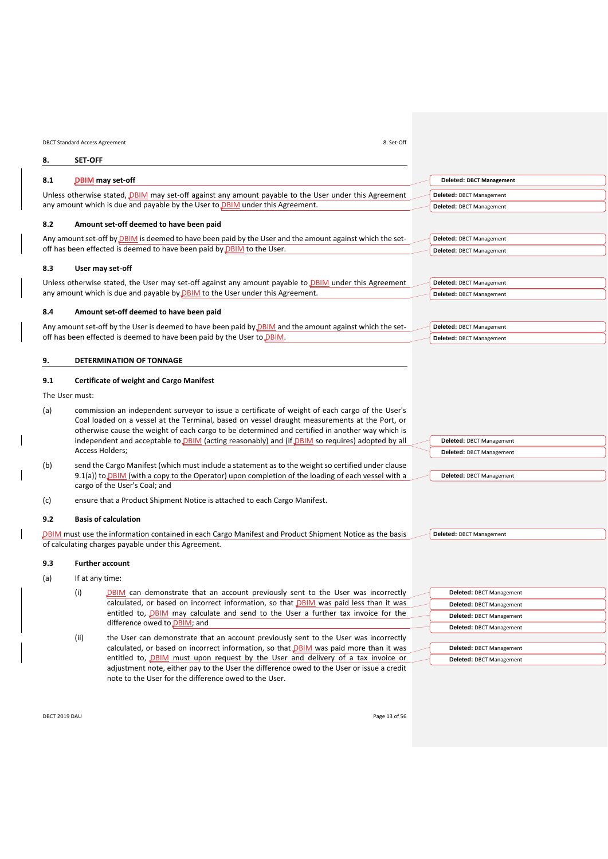<span id="page-12-6"></span><span id="page-12-1"></span><span id="page-12-0"></span>

| 8. Set-Off<br><b>DBCT Standard Access Agreement</b> |                               |                                                                                                                                                                                                                                                                                                                                                                                                                      |                                 |
|-----------------------------------------------------|-------------------------------|----------------------------------------------------------------------------------------------------------------------------------------------------------------------------------------------------------------------------------------------------------------------------------------------------------------------------------------------------------------------------------------------------------------------|---------------------------------|
| 8.                                                  | <b>SET-OFF</b>                |                                                                                                                                                                                                                                                                                                                                                                                                                      |                                 |
| 8.1                                                 | DBIM may set-off              |                                                                                                                                                                                                                                                                                                                                                                                                                      | <b>Deleted: DBCT Management</b> |
|                                                     |                               | Unless otherwise stated, DBIM may set-off against any amount payable to the User under this Agreement                                                                                                                                                                                                                                                                                                                | Deleted: DBCT Management        |
|                                                     |                               | any amount which is due and payable by the User to <b>DBIM</b> under this Agreement.                                                                                                                                                                                                                                                                                                                                 | Deleted: DBCT Management        |
| 8.2                                                 |                               | Amount set-off deemed to have been paid                                                                                                                                                                                                                                                                                                                                                                              |                                 |
|                                                     |                               | Any amount set-off by <b>DBIM</b> is deemed to have been paid by the User and the amount against which the set-                                                                                                                                                                                                                                                                                                      | Deleted: DBCT Management        |
|                                                     |                               | off has been effected is deemed to have been paid by <b>DBIM</b> to the User.                                                                                                                                                                                                                                                                                                                                        | Deleted: DBCT Management        |
| 8.3                                                 | User may set-off              |                                                                                                                                                                                                                                                                                                                                                                                                                      |                                 |
|                                                     |                               | Unless otherwise stated, the User may set-off against any amount payable to DBIM under this Agreement                                                                                                                                                                                                                                                                                                                | Deleted: DBCT Management        |
|                                                     |                               | any amount which is due and payable by DBIM to the User under this Agreement.                                                                                                                                                                                                                                                                                                                                        | Deleted: DBCT Management        |
| 8.4                                                 |                               | Amount set-off deemed to have been paid                                                                                                                                                                                                                                                                                                                                                                              |                                 |
|                                                     |                               | Any amount set-off by the User is deemed to have been paid by <b>DBIM</b> and the amount against which the set-                                                                                                                                                                                                                                                                                                      | Deleted: DBCT Management        |
|                                                     |                               | off has been effected is deemed to have been paid by the User to DBIM.                                                                                                                                                                                                                                                                                                                                               | Deleted: DBCT Management        |
| 9.                                                  |                               | DETERMINATION OF TONNAGE                                                                                                                                                                                                                                                                                                                                                                                             |                                 |
| 9.1                                                 |                               | <b>Certificate of weight and Cargo Manifest</b>                                                                                                                                                                                                                                                                                                                                                                      |                                 |
| The User must:                                      |                               |                                                                                                                                                                                                                                                                                                                                                                                                                      |                                 |
| (a)                                                 |                               | commission an independent surveyor to issue a certificate of weight of each cargo of the User's<br>Coal loaded on a vessel at the Terminal, based on vessel draught measurements at the Port, or<br>otherwise cause the weight of each cargo to be determined and certified in another way which is<br>independent and acceptable to <b>DBIM</b> (acting reasonably) and (if <b>DBIM</b> so requires) adopted by all | Deleted: DBCT Management        |
|                                                     | Access Holders;               |                                                                                                                                                                                                                                                                                                                                                                                                                      | Deleted: DBCT Management        |
| (b)                                                 |                               | send the Cargo Manifest (which must include a statement as to the weight so certified under clause                                                                                                                                                                                                                                                                                                                   |                                 |
|                                                     | cargo of the User's Coal; and | 9.1(a)) to DBIM (with a copy to the Operator) upon completion of the loading of each vessel with a                                                                                                                                                                                                                                                                                                                   | Deleted: DBCT Management        |
| (c)                                                 |                               | ensure that a Product Shipment Notice is attached to each Cargo Manifest.                                                                                                                                                                                                                                                                                                                                            |                                 |
| 9.2                                                 | <b>Basis of calculation</b>   |                                                                                                                                                                                                                                                                                                                                                                                                                      |                                 |
|                                                     |                               | DBIM must use the information contained in each Cargo Manifest and Product Shipment Notice as the basis<br>of calculating charges payable under this Agreement.                                                                                                                                                                                                                                                      | Deleted: DBCT Management        |
| 9.3                                                 | <b>Further account</b>        |                                                                                                                                                                                                                                                                                                                                                                                                                      |                                 |
| (a)                                                 | If at any time:               |                                                                                                                                                                                                                                                                                                                                                                                                                      |                                 |
|                                                     | (i)                           | <b>DBIM</b> can demonstrate that an account previously sent to the User was incorrectly                                                                                                                                                                                                                                                                                                                              | Deleted: DBCT Management        |
|                                                     |                               | calculated, or based on incorrect information, so that DBIM was paid less than it was                                                                                                                                                                                                                                                                                                                                | <b>Deleted: DBCT Management</b> |
|                                                     |                               | entitled to, <b>DBIM</b> may calculate and send to the User a further tax invoice for the                                                                                                                                                                                                                                                                                                                            | <b>Deleted: DBCT Management</b> |
|                                                     |                               | difference owed to DBIM; and                                                                                                                                                                                                                                                                                                                                                                                         | Deleted: DDCT Measonaged        |

<span id="page-12-7"></span><span id="page-12-5"></span><span id="page-12-4"></span><span id="page-12-3"></span><span id="page-12-2"></span>(ii) the User can demonstrate that an account previously sent to the User was incorrectly calculated, or based on incorrect information, so that **DBIM** was paid more than it was entitled to, **DBIM** must upon request by the User and delivery of a tax invoice or adjustment note, either pay to the User the difference owed to the User or issue a credit note to the User for the difference owed to the User.

| Deleted: DBCT Management        |
|---------------------------------|
| <b>Deleted: DBCT Management</b> |
| Deleted: DBCT Management        |
| Deleted: DBCT Management        |
|                                 |
| Deleted: DBCT Management        |
| Deleted: DBCT Management        |
|                                 |

DBCT 2019 DAU Page 13 of 56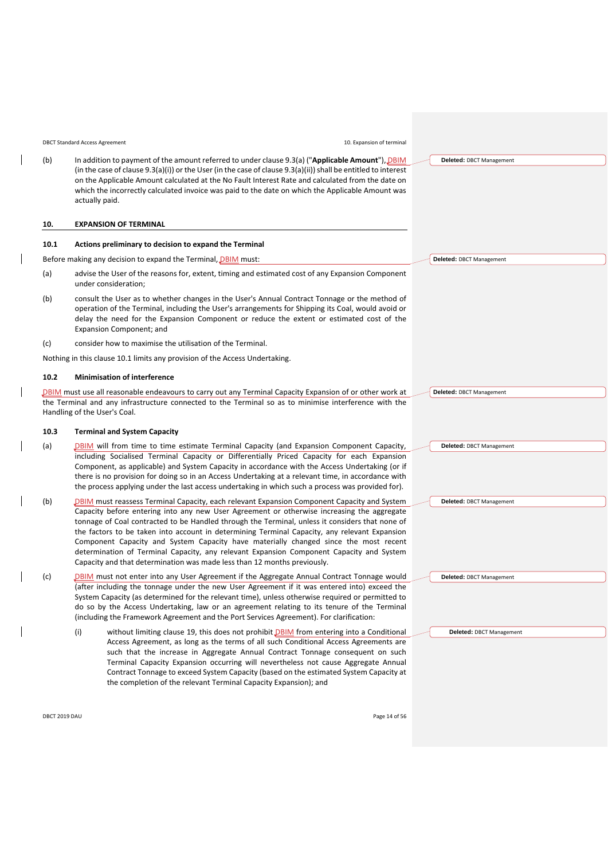DBCT Standard Access Agreement 10. Expansion of terminal

(b) In addition to payment of the amount referred to under clause [9.3\(a\)](#page-12-3) ("**Applicable Amou** (in the case of clause [9.3\(a\)\(i\)\)](#page-12-4) or the User (in the case of claus[e 9.3\(a\)\(ii\)\)](#page-12-5) shall be entitled on the Applicable Amount calculated at the No Fault Interest Rate and calculated from the which the incorrectly calculated invoice was paid to the date on which the Applicable Amount Amount was paid to the date on which the Applicable Amount was paid to the date on which the Applicable actually paid.

#### <span id="page-13-0"></span>**10. EXPANSION OF TERMINAL**

# <span id="page-13-1"></span>**10.1 Actions preliminary to decision to expand the Terminal**

Before making any decision to expand the Terminal, DBIM must:

- (a) advise the User of the reasons for, extent, timing and estimated cost of any Expansion C under consideration;
- (b) consult the User as to whether changes in the User's Annual Contract Tonnage or the operation of the Terminal, including the User's arrangements for Shipping its Coal, wou delay the need for the Expansion Component or reduce the extent or estimated cost Expansion Component; and
- (c) consider how to maximise the utilisation of the Terminal.

<span id="page-13-3"></span>Nothing in this clause [10.1](#page-13-1) limits any provision of the Access Undertaking.

#### **10.2 Minimisation of interference**

DBIM must use all reasonable endeavours to carry out any Terminal Capacity Expansion of or oth the Terminal and any infrastructure connected to the Terminal so as to minimise interference Handling of the User's Coal.

#### <span id="page-13-2"></span>**10.3 Terminal and System Capacity**

- (a) DBIM will from time to time estimate Terminal Capacity (and Expansion Component including Socialised Terminal Capacity or Differentially Priced Capacity for each Component, as applicable) and System Capacity in accordance with the Access Underta there is no provision for doing so in an Access Undertaking at a relevant time, in accord the process applying under the last access undertaking in which such a process was provided for
- (b) DBIM must reassess Terminal Capacity, each relevant Expansion Component Capacity and System Intervalse and System Intervalse Capacity before entering into any new User Agreement or otherwise increasing the tonnage of Coal contracted to be Handled through the Terminal, unless it considers that the factors to be taken into account in determining Terminal Capacity, any relevant Component Capacity and System Capacity have materially changed since the mo determination of Terminal Capacity, any relevant Expansion Component Capacity a Capacity and that determination was made less than 12 months previously.
- (c) DBIM must not enter into any User Agreement if the Aggregate Annual Contract Tonn (after including the tonnage under the new User Agreement if it was entered into)  $\epsilon$ System Capacity (as determined for the relevant time), unless otherwise required or pe do so by the Access Undertaking, law or an agreement relating to its tenure of the (including the Framework Agreement and the Port Services Agreement). For clarification:
	- (i) without limiting clause [19,](#page-24-1) this does not prohibit *DBIM* from entering into a Conditional Access Agreement, as long as the terms of all such Conditional Access Agreements are such that the increase in Aggregate Annual Contract Tonnage consequent on such Terminal Capacity Expansion occurring will nevertheless not cause Aggregate Annual Contract Tonnage to exceed System Capacity (based on the estimated System Capacity at the completion of the relevant Terminal Capacity Expansion); and

| int"), <u>DBIM</u> | Deleted: DBCT Management |
|--------------------|--------------------------|
| to interest        |                          |
| he date on:        |                          |
| mount was          |                          |
|                    |                          |
|                    |                          |
|                    |                          |
|                    |                          |
|                    |                          |
|                    |                          |
|                    | Deleted: DBCT Management |
| component          |                          |
|                    |                          |
|                    |                          |
| method of          |                          |
| ld avoid or        |                          |
| cost of the        |                          |
|                    |                          |
|                    |                          |
|                    |                          |
|                    |                          |
|                    |                          |
|                    |                          |
| er work at         | Deleted: DBCT Management |
| e with the         |                          |
|                    |                          |
|                    |                          |
|                    |                          |
| t Capacity,        | Deleted: DBCT Management |
| Expansion          |                          |
| aking (or if       |                          |
| dance with         |                          |
| vided for).        |                          |
|                    |                          |
| and System         | Deleted: DBCT Management |
| aggregate          |                          |
| at none of         |                          |
| Expansion          |                          |
| ost recent         |                          |
| nd System          |                          |
|                    |                          |
| aage would         | Deleted: DBCT Management |
| exceed the         |                          |
| ermitted to        |                          |
| e Terminal         |                          |
| n:                 |                          |
|                    |                          |

**Deleted:** DBCT Management

DBCT 2019 DAU Page 14 of 56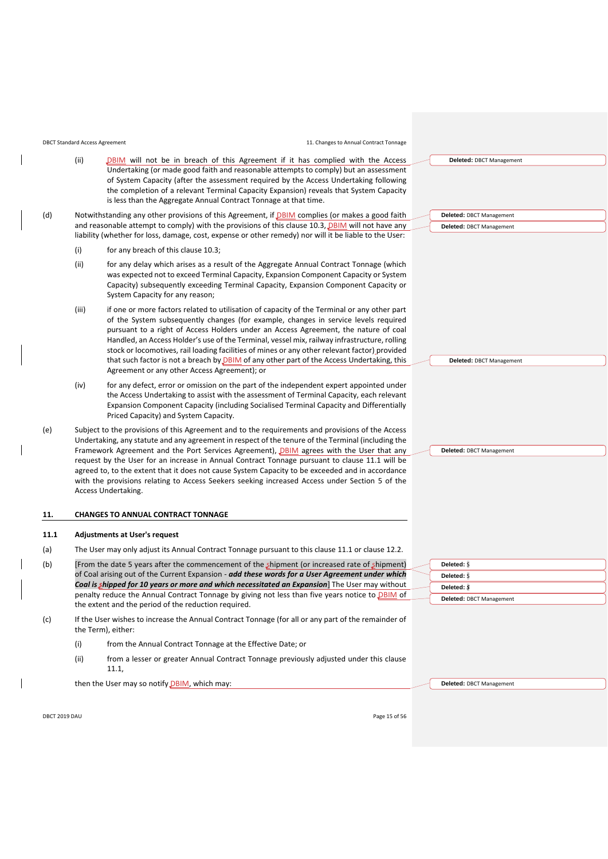|      | (ii)  | DBIM will not be in breach of this Agreement if it has complied with the Access<br>Undertaking (or made good faith and reasonable attempts to comply) but an assessment<br>of System Capacity (after the assessment required by the Access Undertaking following<br>the completion of a relevant Terminal Capacity Expansion) reveals that System Capacity<br>is less than the Aggregate Annual Contract Tonnage at that time.                                                                                                                                                                                                    | Deleted: DBCT Management                             |
|------|-------|-----------------------------------------------------------------------------------------------------------------------------------------------------------------------------------------------------------------------------------------------------------------------------------------------------------------------------------------------------------------------------------------------------------------------------------------------------------------------------------------------------------------------------------------------------------------------------------------------------------------------------------|------------------------------------------------------|
| (d)  |       | Notwithstanding any other provisions of this Agreement, if DBIM complies (or makes a good faith<br>and reasonable attempt to comply) with the provisions of this clause 10.3, DBIM will not have any<br>liability (whether for loss, damage, cost, expense or other remedy) nor will it be liable to the User:                                                                                                                                                                                                                                                                                                                    | Deleted: DBCT Management<br>Deleted: DBCT Management |
|      | (i)   | for any breach of this clause 10.3;                                                                                                                                                                                                                                                                                                                                                                                                                                                                                                                                                                                               |                                                      |
|      | (ii)  | for any delay which arises as a result of the Aggregate Annual Contract Tonnage (which<br>was expected not to exceed Terminal Capacity, Expansion Component Capacity or System<br>Capacity) subsequently exceeding Terminal Capacity, Expansion Component Capacity or<br>System Capacity for any reason;                                                                                                                                                                                                                                                                                                                          |                                                      |
|      | (iii) | if one or more factors related to utilisation of capacity of the Terminal or any other part<br>of the System subsequently changes (for example, changes in service levels required<br>pursuant to a right of Access Holders under an Access Agreement, the nature of coal<br>Handled, an Access Holder's use of the Terminal, vessel mix, railway infrastructure, rolling<br>stock or locomotives, rail loading facilities of mines or any other relevant factor) provided<br>that such factor is not a breach by <b>DBIM</b> of any other part of the Access Undertaking, this<br>Agreement or any other Access Agreement); or   | Deleted: DBCT Management                             |
|      | (iv)  | for any defect, error or omission on the part of the independent expert appointed under<br>the Access Undertaking to assist with the assessment of Terminal Capacity, each relevant<br>Expansion Component Capacity (including Socialised Terminal Capacity and Differentially<br>Priced Capacity) and System Capacity.                                                                                                                                                                                                                                                                                                           |                                                      |
| (e)  |       | Subject to the provisions of this Agreement and to the requirements and provisions of the Access<br>Undertaking, any statute and any agreement in respect of the tenure of the Terminal (including the<br>Framework Agreement and the Port Services Agreement), DBIM agrees with the User that any<br>request by the User for an increase in Annual Contract Tonnage pursuant to clause 11.1 will be<br>agreed to, to the extent that it does not cause System Capacity to be exceeded and in accordance<br>with the provisions relating to Access Seekers seeking increased Access under Section 5 of the<br>Access Undertaking. | Deleted: DBCT Management                             |
| 11.  |       | <b>CHANGES TO ANNUAL CONTRACT TONNAGE</b>                                                                                                                                                                                                                                                                                                                                                                                                                                                                                                                                                                                         |                                                      |
| 11.1 |       | <b>Adjustments at User's request</b>                                                                                                                                                                                                                                                                                                                                                                                                                                                                                                                                                                                              |                                                      |
| (a)  |       | The User may only adjust its Annual Contract Tonnage pursuant to this clause 11.1 or clause 12.2.                                                                                                                                                                                                                                                                                                                                                                                                                                                                                                                                 |                                                      |
| (b)  |       | (shipment) from the date 5 years after the commencement of the shipment (or increased rate of shipment)                                                                                                                                                                                                                                                                                                                                                                                                                                                                                                                           | Deleted: S                                           |
|      |       | of Coal arising out of the Current Expansion - add these words for a User Agreement under which<br>Coal is shipped for 10 years or more and which necessitated an Expansion] The User may without                                                                                                                                                                                                                                                                                                                                                                                                                                 | Deleted: S                                           |
|      |       | penalty reduce the Annual Contract Tonnage by giving not less than five years notice to DBIM of                                                                                                                                                                                                                                                                                                                                                                                                                                                                                                                                   | Deleted: S                                           |
|      |       | the extent and the period of the reduction required.                                                                                                                                                                                                                                                                                                                                                                                                                                                                                                                                                                              | Deleted: DBCT Management                             |
|      |       |                                                                                                                                                                                                                                                                                                                                                                                                                                                                                                                                                                                                                                   |                                                      |

(c) If the User wishes to increase the Annual Contract Tonnage (for all or any part of the remainder of the Term), either:

DBCT Standard Access Agreement 11. Changes to Annual Contract Tonnage

- (i) from the Annual Contract Tonnage at the Effective Date; or
- (ii) from a lesser or greater Annual Contract Tonnage previously adjusted under this clause [11.1,](#page-14-1)

then the User may so notify *DBIM*, which may:

 $\overline{\phantom{a}}$ 

<span id="page-14-1"></span><span id="page-14-0"></span> $\overline{\phantom{a}}$ 

DBCT 2019 DAU Page 15 of 56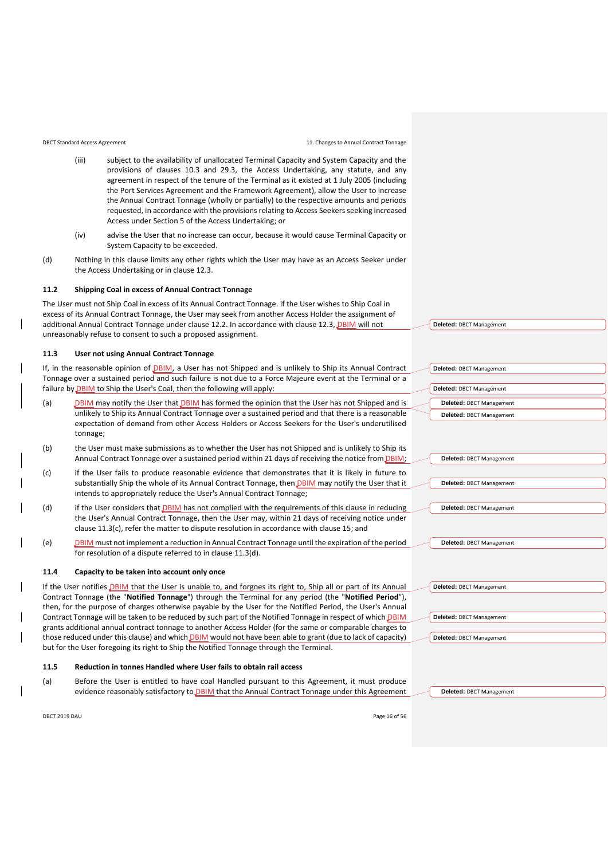DBCT Standard Access Agreement 11. Changes to Annual Contract Tonnage

- (iii) subject to the availability of unallocated Terminal Capacity and System Capacity and the provisions of clauses [10.3](#page-13-2) and [29.3,](#page-29-2) the Access Undertaking, any statute, and any agreement in respect of the tenure of the Terminal as it existed at 1 July 2005 (including the Port Services Agreement and the Framework Agreement), allow the User to increase the Annual Contract Tonnage (wholly or partially) to the respective amounts and periods requested, in accordance with the provisions relating to Access Seekers seeking increased Access under Section 5 of the Access Undertaking; or
- (iv) advise the User that no increase can occur, because it would cause Terminal Capacity or System Capacity to be exceeded.
- (d) Nothing in this clause limits any other rights which the User may have as an Access Seeker under the Access Undertaking or in clause [12.3.](#page-17-0)

#### **11.2 Shipping Coal in excess of Annual Contract Tonnage**

The User must not Ship Coal in excess of its Annual Contract Tonnage. If the User wishes to Ship Coal in excess of its Annual Contract Tonnage, the User may seek from another Access Holder the assignment of additional Annual Contract Tonnage under clause 12.2. In accordance with clause 12.3, DBIM will not unreasonably refuse to consent to such a proposed assignment.

#### **11.3 User not using Annual Contract Tonnage**

If, in the reasonable opinion of DBIM, a User has not Shipped and is unlikely to Ship its Annual Contract Tonnage over a sustained period and such failure is not due to a Force Majeure event at the Terminal or a failure by DBIM to Ship the User's Coal, then the following will apply:

- (a) DBIM may notify the User that DBIM has formed the opinion that the User has not Shipped and is unlikely to Ship its Annual Contract Tonnage over a sustained period and that there is a reasonable expectation of demand from other Access Holders or Access Seekers for the User's underutilised tonnage;
- (b) the User must make submissions as to whether the User has not Shipped and is unlikely to Ship its Annual Contract Tonnage over a sustained period within 21 days of receiving the notice from DBIM;
- <span id="page-15-0"></span>(c) if the User fails to produce reasonable evidence that demonstrates that it is likely in future to substantially Ship the whole of its Annual Contract Tonnage, then DBIM may notify the User that it intends to appropriately reduce the User's Annual Contract Tonnage;
- <span id="page-15-1"></span>(d) if the User considers that **DBIM** has not complied with the requirements of this clause in reducing the User's Annual Contract Tonnage, then the User may, within 21 days of receiving notice under claus[e 11.3\(c\),](#page-15-0) refer the matter to dispute resolution in accordance with clause [15;](#page-21-0) and
- (e) DBIM must not implement a reduction in Annual Contract Tonnage until the expiration of the period for resolution of a dispute referred to in clause [11.3\(d\).](#page-15-1)

#### <span id="page-15-3"></span>**11.4 Capacity to be taken into account only once**

If the User notifies DBIM that the User is unable to, and forgoes its right to, Ship all or part of its Annual Contract Tonnage (the "**Notified Tonnage**") through the Terminal for any period (the "**Notified Period**"), then, for the purpose of charges otherwise payable by the User for the Notified Period, the User's Annual Contract Tonnage will be taken to be reduced by such part of the Notified Tonnage in respect of which DBIM grants additional annual contract tonnage to another Access Holder (for the same or comparable charges to those reduced under this clause) and which DBIM would not have been able to grant (due to lack of capacity) but for the User foregoing its right to Ship the Notified Tonnage through the Terminal.

#### <span id="page-15-2"></span>**11.5 Reduction in tonnes Handled where User fails to obtain rail access**

(a) Before the User is entitled to have coal Handled pursuant to this Agreement, it must produce evidence reasonably satisfactory to DBIM that the Annual Contract Tonnage under this Agreement

**Deleted:** DBCT Management

DBCT 2019 DAU Page 16 of 56

| Deleted: DBCT Management |  |
|--------------------------|--|
|                          |  |
| Deleted: DBCT Management |  |
| Deleted: DBCT Management |  |
|                          |  |
| Deleted: DBCT Management |  |

**Deleted:** DBCT Management

| Deleted: DBCT Management |  |
|--------------------------|--|
|                          |  |
| Deleted: DBCT Management |  |
|                          |  |
|                          |  |
| Deleted: DBCT Management |  |
|                          |  |

| Deleted: DBCT Management |
|--------------------------|
|                          |
|                          |
| Deleted: DBCT Management |
|                          |
| Deleted: DBCT Management |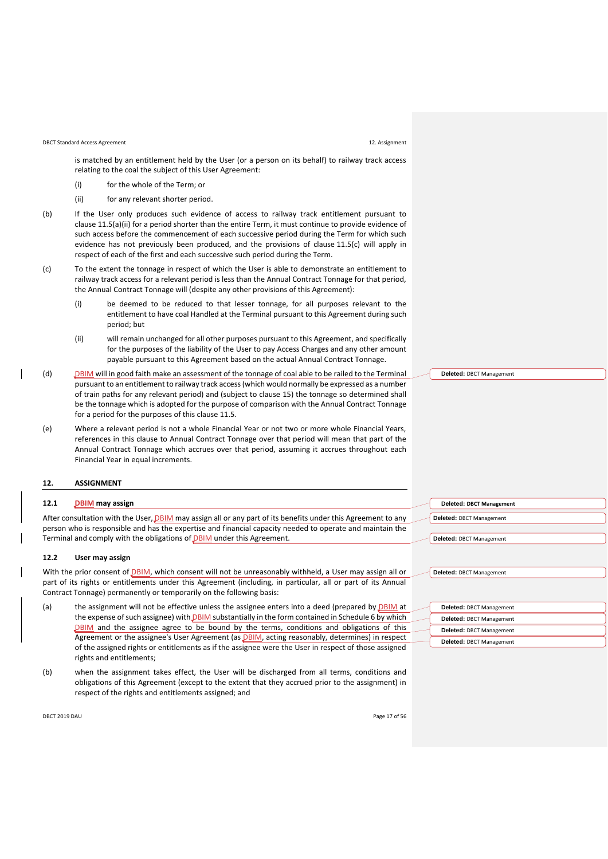#### DBCT Standard Access Agreement 12. Assignment

is matched by an entitlement held by the User (or a person on its behalf) to railway track access relating to the coal the subject of this User Agreement:

- (i) for the whole of the Term; or
- (ii) for any relevant shorter period.
- <span id="page-16-2"></span>(b) If the User only produces such evidence of access to railway track entitlement pursuant to clause [11.5\(a\)\(ii\)](#page-16-2) for a period shorter than the entire Term, it must continue to provide evidence of such access before the commencement of each successive period during the Term for which such evidence has not previously been produced, and the provisions of clause [11.5\(c\)](#page-16-3) will apply in respect of each of the first and each successive such period during the Term.
- <span id="page-16-3"></span>(c) To the extent the tonnage in respect of which the User is able to demonstrate an entitlement to railway track access for a relevant period is less than the Annual Contract Tonnage for that period, the Annual Contract Tonnage will (despite any other provisions of this Agreement):
	- (i) be deemed to be reduced to that lesser tonnage, for all purposes relevant to the entitlement to have coal Handled at the Terminal pursuant to this Agreement during such period; but
	- (ii) will remain unchanged for all other purposes pursuant to this Agreement, and specifically for the purposes of the liability of the User to pay Access Charges and any other amount payable pursuant to this Agreement based on the actual Annual Contract Tonnage.
- (d) DBIM will in good faith make an assessment of the tonnage of coal able to be railed to the Terminal pursuant to an entitlement to railway track access (which would normally be expressed as a number of train paths for any relevant period) and (subject to clause [15\)](#page-21-0) the tonnage so determined shall be the tonnage which is adopted for the purpose of comparison with the Annual Contract Tonnage for a period for the purposes of this clause [11.5.](#page-15-2)
- (e) Where a relevant period is not a whole Financial Year or not two or more whole Financial Years, references in this clause to Annual Contract Tonnage over that period will mean that part of the Annual Contract Tonnage which accrues over that period, assuming it accrues throughout each Financial Year in equal increments.

#### <span id="page-16-0"></span>**12. ASSIGNMENT**

#### **12.1 DBIM may assign**

After consultation with the User, DBIM may assign all or any part of its benefits under this Agreement to any person who is responsible and has the expertise and financial capacity needed to operate and maintain the Terminal and comply with the obligations of **DBIM** under this Agreement.

#### <span id="page-16-1"></span>**12.2 User may assign**

With the prior consent of **DBIM**, which consent will not be unreasonably withheld, a User may assign all or part of its rights or entitlements under this Agreement (including, in particular, all or part of its Annual Contract Tonnage) permanently or temporarily on the following basis:

- (a) the assignment will not be effective unless the assignee enters into a deed (prepared by DBIM at the expense of such assignee) with **DBIM** substantially in the form contained in Schedule 6 by which DBIM and the assignee agree to be bound by the terms, conditions and obligations of this Agreement or the assignee's User Agreement (as **DBIM**, acting reasonably, determines) in respect of the assigned rights or entitlements as if the assignee were the User in respect of those assigned rights and entitlements;
- (b) when the assignment takes effect, the User will be discharged from all terms, conditions and obligations of this Agreement (except to the extent that they accrued prior to the assignment) in respect of the rights and entitlements assigned; and

| DBCT 2019 DAU | Page 17 of 56 |
|---------------|---------------|
|---------------|---------------|

| <b>Deleted: DBCT Management</b> |  |
|---------------------------------|--|
| Deleted: DBCT Management        |  |
|                                 |  |
| Deleted: DBCT Management        |  |
|                                 |  |
|                                 |  |
| Deleted: DBCT Management        |  |

| Deleted: DBCT Management |
|--------------------------|
| Deleted: DBCT Management |
| Deleted: DBCT Management |
| Deleted: DBCT Management |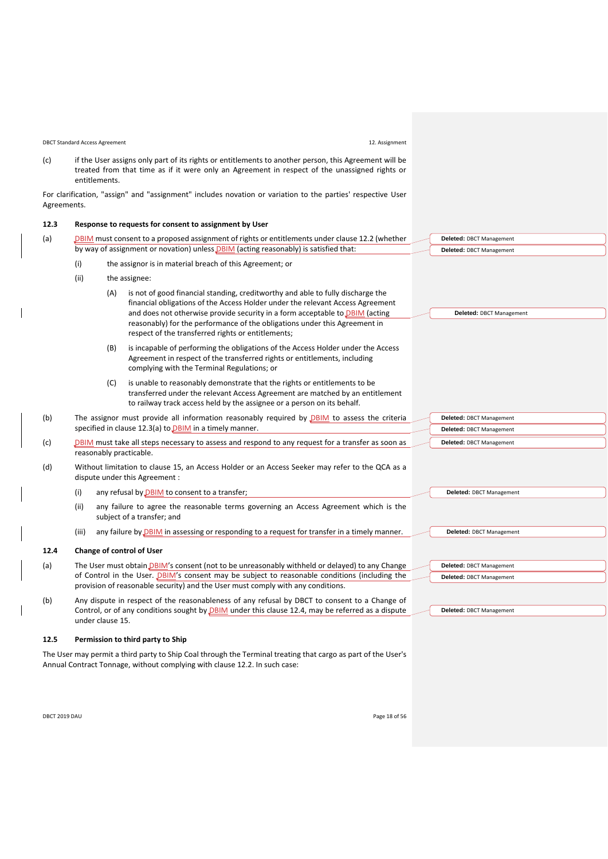DBCT Standard Access Agreement 12. Assignment

**Deleted:** DBCT Management **Deleted:** DBCT Management **Deleted:** DBCT Management

**Deleted:** DBCT Management

**Deleted:** DBCT Management

**Deleted:** DBCT Management **Deleted:** DBCT Management

**Deleted:** DBCT Management

(c) if the User assigns only part of its rights or entitlements to another person, this Agreement will be treated from that time as if it were only an Agreement in respect of the unassigned rights or entitlements.

For clarification, "assign" and "assignment" includes novation or variation to the parties' respective User Agreements.

#### <span id="page-17-0"></span>**12.3 Response to requests for consent to assignment by User**

<span id="page-17-1"></span>

| (a) |      | DBIM must consent to a proposed assignment of rights or entitlements under clause 12.2 (whether<br>Deleted: DBCT Management                                                                                                                                                                                                                                                                                                     |
|-----|------|---------------------------------------------------------------------------------------------------------------------------------------------------------------------------------------------------------------------------------------------------------------------------------------------------------------------------------------------------------------------------------------------------------------------------------|
|     |      | by way of assignment or novation) unless DBIM (acting reasonably) is satisfied that:<br>Deleted: DBCT Management                                                                                                                                                                                                                                                                                                                |
|     | (i)  | the assignor is in material breach of this Agreement; or                                                                                                                                                                                                                                                                                                                                                                        |
|     | (ii) | the assignee:                                                                                                                                                                                                                                                                                                                                                                                                                   |
|     |      | is not of good financial standing, creditworthy and able to fully discharge the<br>(A)<br>financial obligations of the Access Holder under the relevant Access Agreement<br>and does not otherwise provide security in a form acceptable to <b>DBIM</b> (acting<br>Deleted: DBCT Management<br>reasonably) for the performance of the obligations under this Agreement in<br>respect of the transferred rights or entitlements; |

- (B) is incapable of performing the obligations of the Access Holder under the Access Agreement in respect of the transferred rights or entitlements, including complying with the Terminal Regulations; or
- (C) is unable to reasonably demonstrate that the rights or entitlements to be transferred under the relevant Access Agreement are matched by an entitlement to railway track access held by the assignee or a person on its behalf.
- (b) The assignor must provide all information reasonably required by  $DBIM$  to assess the criteria specified in clause [12.3\(a\)](#page-17-1) to **DBIM** in a timely manner.
- (c) DBIM must take all steps necessary to assess and respond to any request for a transfer as soon as reasonably practicable.
- (d) Without limitation to clause [15,](#page-21-0) an Access Holder or an Access Seeker may refer to the QCA as a dispute under this Agreement :
	- (i) any refusal by  $DBIM$  to consent to a transfer;
	- (ii) any failure to agree the reasonable terms governing an Access Agreement which is the subject of a transfer; and
	- (iii) any failure by **DBIM** in assessing or responding to a request for transfer in a timely manner.

# <span id="page-17-2"></span>**12.4 Change of control of User**

(a) The User must obtain *DBIM's* consent (not to be unreasonably withheld or delayed) to any Change of Control in the User. DBIM's consent may be subject to reasonable conditions (including the provision of reasonable security) and the User must comply with any conditions.

(b) Any dispute in respect of the reasonableness of any refusal by DBCT to consent to a Change of Control, or of any conditions sought by **DBIM** under this clause [12.4,](#page-17-2) may be referred as a dispute under clause [15.](#page-21-0)

# <span id="page-17-3"></span>**12.5 Permission to third party to Ship**

The User may permit a third party to Ship Coal through the Terminal treating that cargo as part of the User's Annual Contract Tonnage, without complying with clause [12.2.](#page-16-1) In such case:

| DBCT 2019 DAU | Page 18 of 56 |
|---------------|---------------|
|               |               |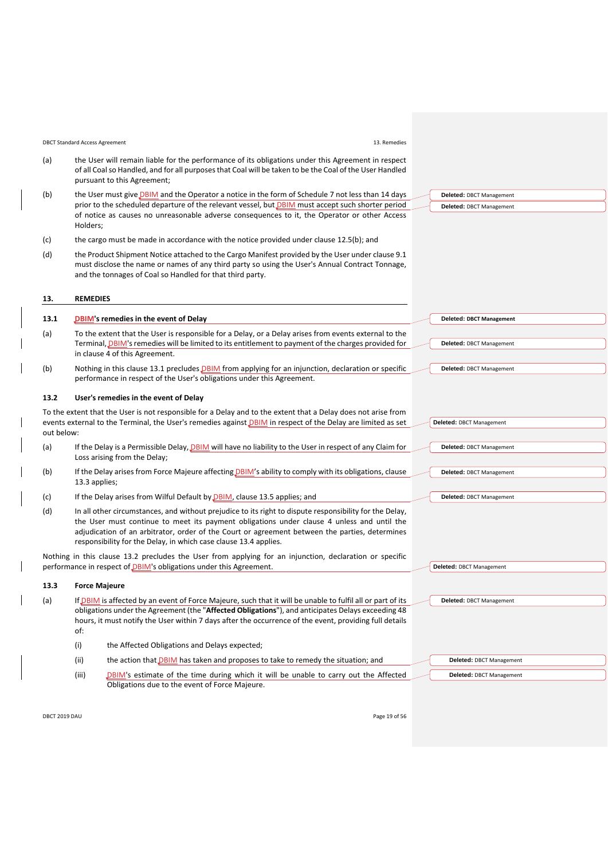| <b>DBCT Standard Access Agreement</b> | 13. Remedies |
|---------------------------------------|--------------|
| .                                     |              |

- (a) the User will remain liable for the performance of its obligations under this Agreement in respect of all Coal so Handled, and for all purposes that Coal will be taken to be the Coal of the User Handled pursuant to this Agreement;
- <span id="page-18-1"></span>(b) the User must give **DBIM** and the Operator a notice in the form of [Schedule 7](#page-46-0) not less than 14 days prior to the scheduled departure of the relevant vessel, but *DBIM* must accept such shorter period of notice as causes no unreasonable adverse consequences to it, the Operator or other Access Holders;
- (c) the cargo must be made in accordance with the notice provided under clause [12.5\(b\);](#page-18-1) and
- (d) the Product Shipment Notice attached to the Cargo Manifest provided by the User under claus[e 9.1](#page-12-6) must disclose the name or names of any third party so using the User's Annual Contract Tonnage, and the tonnages of Coal so Handled for that third party.

#### <span id="page-18-0"></span>**13. REMEDIES**

# <span id="page-18-2"></span>**13.1 DBIM's remedies in the event of Delay**

- (a) To the extent that the User is responsible for a Delay, or a Delay arises from events external to the Terminal, DBIM's remedies will be limited to its entitlement to payment of the charges provided for in clause [4](#page-6-0) of this Agreement.
- (b) Nothing in this clause [13.1](#page-18-2) precludes **DBIM** from applying for an injunction, declaration or specific performance in respect of the User's obligations under this Agreement.

#### <span id="page-18-4"></span>**13.2 User's remedies in the event of Delay**

To the extent that the User is not responsible for a Delay and to the extent that a Delay does not arise from events external to the Terminal, the User's remedies against **DBIM** in respect of the Delay are limited as set out below:

- (a) If the Delay is a Permissible Delay, DBIM will have no liability to the User in respect of any Claim for Loss arising from the Delay;
- (b) If the Delay arises from Force Majeure affecting *DBIM's* ability to comply with its obligations, clause [13.3](#page-18-3) applies;
- (c) If the Delay arises from Wilful Default by DBIM, claus[e 13.5](#page-19-1) applies; and
- <span id="page-18-5"></span>(d) In all other circumstances, and without prejudice to its right to dispute responsibility for the Delay, the User must continue to meet its payment obligations under clause [4](#page-6-0) unless and until the adjudication of an arbitrator, order of the Court or agreement between the parties, determines responsibility for the Delay, in which case clause [13.4](#page-19-3) applies.

Nothing in this clause [13.2](#page-18-4) precludes the User from applying for an injunction, declaration or specific performance in respect of DBIM's obligations under this Agreement.

#### <span id="page-18-3"></span>**13.3 Force Majeure**

(a) If DBIM is affected by an event of Force Majeure, such that it will be unable to fulfil all or part of its obligations under the Agreement (the "**Affected Obligations**"), and anticipates Delays exceeding 48 hours, it must notify the User within 7 days after the occurrence of the event, providing full details of:

- (i) the Affected Obligations and Delays expected;
- (ii) the action that **DBIM** has taken and proposes to take to remedy the situation; and
- (iii) DBIM's estimate of the time during which it will be unable to carry out the Affected Obligations due to the event of Force Majeure.

**Deleted:** DBCT Management

**Deleted:** DBCT Management

**Deleted:** DBCT Management **Deleted:** DBCT Management

**Deleted: DBCT Management**

**Deleted:** DBCT Management

**Deleted:** DBCT Management

**Deleted:** DBCT Management

**Deleted:** DBCT Management

**Deleted:** DBCT Management

**Deleted:** DBCT Management

# **Deleted:** DBCT Management **Deleted:** DBCT Management

DBCT 2019 DAU Page 19 of 56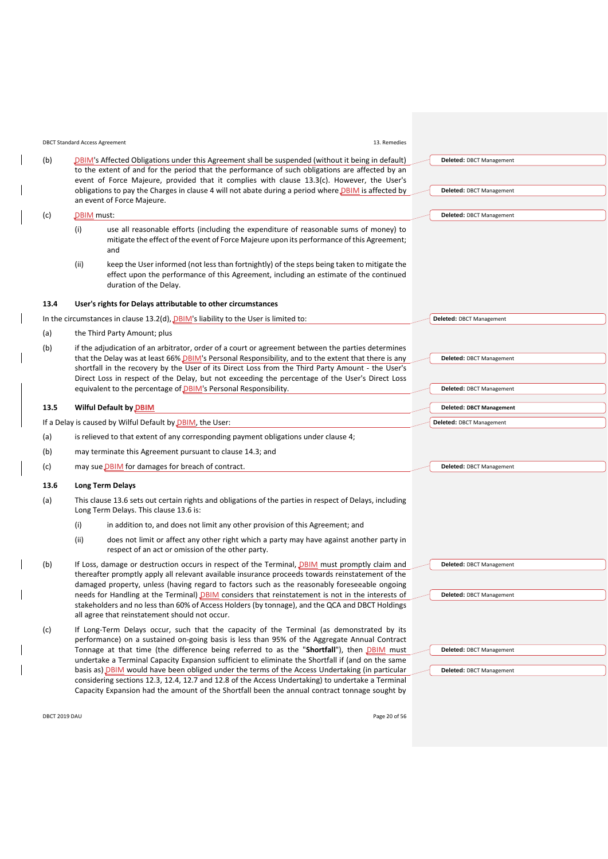<span id="page-19-4"></span><span id="page-19-2"></span>

|      |            | <b>DBCT Standard Access Agreement</b><br>13. Remedies                                                                                                                                                                                                                                                                                                                                                                                                                                                                                                               |                                                      |
|------|------------|---------------------------------------------------------------------------------------------------------------------------------------------------------------------------------------------------------------------------------------------------------------------------------------------------------------------------------------------------------------------------------------------------------------------------------------------------------------------------------------------------------------------------------------------------------------------|------------------------------------------------------|
| (b)  |            | DBIM's Affected Obligations under this Agreement shall be suspended (without it being in default)<br>to the extent of and for the period that the performance of such obligations are affected by an<br>event of Force Majeure, provided that it complies with clause 13.3(c). However, the User's<br>obligations to pay the Charges in clause 4 will not abate during a period where <b>DBIM</b> is affected by<br>an event of Force Majeure.                                                                                                                      | Deleted: DBCT Management<br>Deleted: DBCT Management |
| (c)  | DBIM must: |                                                                                                                                                                                                                                                                                                                                                                                                                                                                                                                                                                     | Deleted: DBCT Management                             |
|      | (i)        | use all reasonable efforts (including the expenditure of reasonable sums of money) to<br>mitigate the effect of the event of Force Majeure upon its performance of this Agreement;<br>and                                                                                                                                                                                                                                                                                                                                                                           |                                                      |
|      | (ii)       | keep the User informed (not less than fortnightly) of the steps being taken to mitigate the<br>effect upon the performance of this Agreement, including an estimate of the continued<br>duration of the Delay.                                                                                                                                                                                                                                                                                                                                                      |                                                      |
| 13.4 |            | User's rights for Delays attributable to other circumstances                                                                                                                                                                                                                                                                                                                                                                                                                                                                                                        |                                                      |
|      |            | In the circumstances in clause $13.2(d)$ , $DBIM$ 's liability to the User is limited to:                                                                                                                                                                                                                                                                                                                                                                                                                                                                           | Deleted: DBCT Management                             |
| (a)  |            | the Third Party Amount; plus                                                                                                                                                                                                                                                                                                                                                                                                                                                                                                                                        |                                                      |
| (b)  |            | if the adjudication of an arbitrator, order of a court or agreement between the parties determines<br>that the Delay was at least 66% DBIM's Personal Responsibility, and to the extent that there is any<br>shortfall in the recovery by the User of its Direct Loss from the Third Party Amount - the User's<br>Direct Loss in respect of the Delay, but not exceeding the percentage of the User's Direct Loss<br>equivalent to the percentage of DBIM's Personal Responsibility.                                                                                | Deleted: DBCT Management<br>Deleted: DBCT Management |
| 13.5 |            | <b>Wilful Default by DBIM</b>                                                                                                                                                                                                                                                                                                                                                                                                                                                                                                                                       | <b>Deleted: DBCT Management</b>                      |
|      |            | If a Delay is caused by Wilful Default by DBIM, the User:                                                                                                                                                                                                                                                                                                                                                                                                                                                                                                           | Deleted: DBCT Management                             |
| (a)  |            | is relieved to that extent of any corresponding payment obligations under clause 4;                                                                                                                                                                                                                                                                                                                                                                                                                                                                                 |                                                      |
| (b)  |            | may terminate this Agreement pursuant to clause 14.3; and                                                                                                                                                                                                                                                                                                                                                                                                                                                                                                           |                                                      |
| (c)  |            | may sue DBIM for damages for breach of contract.                                                                                                                                                                                                                                                                                                                                                                                                                                                                                                                    | Deleted: DBCT Management                             |
| 13.6 |            | <b>Long Term Delays</b>                                                                                                                                                                                                                                                                                                                                                                                                                                                                                                                                             |                                                      |
| (a)  |            | This clause 13.6 sets out certain rights and obligations of the parties in respect of Delays, including<br>Long Term Delays. This clause 13.6 is:                                                                                                                                                                                                                                                                                                                                                                                                                   |                                                      |
|      | (i)        | in addition to, and does not limit any other provision of this Agreement; and                                                                                                                                                                                                                                                                                                                                                                                                                                                                                       |                                                      |
|      | (ii)       | does not limit or affect any other right which a party may have against another party in<br>respect of an act or omission of the other party.                                                                                                                                                                                                                                                                                                                                                                                                                       |                                                      |
| (b)  |            | If Loss, damage or destruction occurs in respect of the Terminal, <b>DBIM</b> must promptly claim and<br>thereafter promptly apply all relevant available insurance proceeds towards reinstatement of the<br>damaged property, unless (having regard to factors such as the reasonably foreseeable ongoing<br>needs for Handling at the Terminal) DBIM considers that reinstatement is not in the interests of<br>stakeholders and no less than 60% of Access Holders (by tonnage), and the QCA and DBCT Holdings<br>all agree that reinstatement should not occur. | Deleted: DBCT Management<br>Deleted: DBCT Management |
| (c)  |            | If Long-Term Delays occur, such that the capacity of the Terminal (as demonstrated by its<br>performance) on a sustained on-going basis is less than 95% of the Aggregate Annual Contract<br>Tonnage at that time (the difference being referred to as the "Shortfall"), then DBIM must                                                                                                                                                                                                                                                                             | Deleted: DBCT Management                             |

DBCT 2019 DAU Page 20 of 56

<span id="page-19-3"></span><span id="page-19-1"></span><span id="page-19-0"></span>

<span id="page-19-5"></span>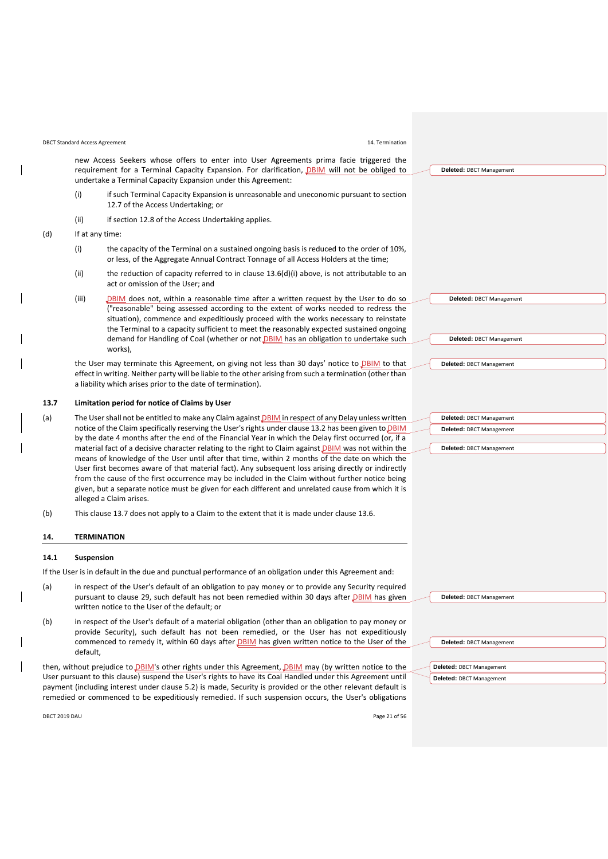#### DBCT Standard Access Agreement 14. Termination

new Access Seekers whose offers to enter into User Agreements prima facie triggered the requirement for a Terminal Capacity Expansion. For clarification, *DBIM* will not be obliged to undertake a Terminal Capacity Expansion under this Agreement:

- (i) if such Terminal Capacity Expansion is unreasonable and uneconomic pursuant to section 12.7 of the Access Undertaking; or
- (ii) if section 12.8 of the Access Undertaking applies.
- <span id="page-20-1"></span>(d) If at any time:
	- (i) the capacity of the Terminal on a sustained ongoing basis is reduced to the order of 10%, or less, of the Aggregate Annual Contract Tonnage of all Access Holders at the time;
	- (ii) the reduction of capacity referred to in clause [13.6\(d\)\(i\)](#page-20-1) above, is not attributable to an act or omission of the User; and
	- (iii)  $D\frac{B}{M}$  does not, within a reasonable time after a written request by the User to do so ("reasonable" being assessed according to the extent of works needed to redress the situation), commence and expeditiously proceed with the works necessary to reinstate the Terminal to a capacity sufficient to meet the reasonably expected sustained ongoing demand for Handling of Coal (whether or not *DBIM* has an obligation to undertake such works),

the User may terminate this Agreement, on giving not less than 30 days' notice to **DBIM** to that effect in writing. Neither party will be liable to the other arising from such a termination (other than a liability which arises prior to the date of termination).

#### <span id="page-20-2"></span>**13.7 Limitation period for notice of Claims by User**

- (a) The User shall not be entitled to make any Claim against *DBIM* in respect of any Delay unless written notice of the Claim specifically reserving the User's rights under clause [13.2](#page-18-4) has been given to **DBIM** by the date 4 months after the end of the Financial Year in which the Delay first occurred (or, if a material fact of a decisive character relating to the right to Claim against DBIM was not within the means of knowledge of the User until after that time, within 2 months of the date on which the User first becomes aware of that material fact). Any subsequent loss arising directly or indirectly from the cause of the first occurrence may be included in the Claim without further notice being given, but a separate notice must be given for each different and unrelated cause from which it is alleged a Claim arises.
- (b) This claus[e 13.7](#page-20-2) does not apply to a Claim to the extent that it is made under claus[e 13.6.](#page-19-5)

#### <span id="page-20-0"></span>**14. TERMINATION**

#### <span id="page-20-3"></span>**14.1 Suspension**

If the User is in default in the due and punctual performance of an obligation under this Agreement and:

- (a) in respect of the User's default of an obligation to pay money or to provide any Security required pursuant to clause [29,](#page-29-0) such default has not been remedied within 30 days after DBIM has given written notice to the User of the default; or
- (b) in respect of the User's default of a material obligation (other than an obligation to pay money or provide Security), such default has not been remedied, or the User has not expeditiously commenced to remedy it, within 60 days after **DBIM** has given written notice to the User of the default,

then, without prejudice to DBIM's other rights under this Agreement, DBIM may (by written notice to the User pursuant to this clause) suspend the User's rights to have its Coal Handled under this Agreement until payment (including interest under clause [5.2\)](#page-8-5) is made, Security is provided or the other relevant default is remedied or commenced to be expeditiously remedied. If such suspension occurs, the User's obligations

| DBCT 2019 DAU | Page 21 of 56 |
|---------------|---------------|
| .             |               |

**Deleted:** DBCT Management **Deleted:** DBCT Management **Deleted:** DBCT Management

**Deleted:** DBCT Management

| Deleted: DBCT Management |
|--------------------------|
| Deleted: DBCT Management |
|                          |
| Deleted: DBCT Management |

| Deleted: DBCT Management |
|--------------------------|
|                          |
| Deleted: DBCT Management |
| Deleted: DBCT Management |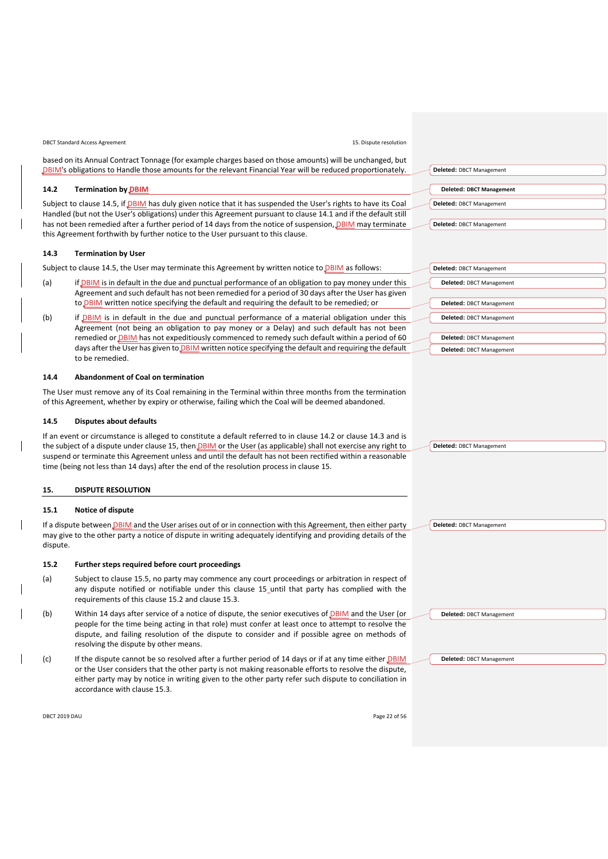DBCT Standard Access Agreement 15. Dispute resolution

based on its Annual Contract Tonnage (for example charges based on those amounts) will be unchanged, but DBIM's obligations to Handle those amounts for the relevant Financial Year will be reduced proportionately.

### <span id="page-21-1"></span>**14.2 Termination by DBIM**

Subject to clause [14.5,](#page-21-3) if DBIM has duly given notice that it has suspended the User's rights to have its Coal Handled (but not the User's obligations) under this Agreement pursuant to claus[e 14.1](#page-20-3) and if the default still has not been remedied after a further period of 14 days from the notice of suspension, DBIM may terminate this Agreement forthwith by further notice to the User pursuant to this clause.

#### <span id="page-21-2"></span>**14.3 Termination by User**

Subject to clause [14.5,](#page-21-3) the User may terminate this Agreement by written notice to **DBIM** as follows:

- (a) if DBIM is in default in the due and punctual performance of an obligation to pay money under this Agreement and such default has not been remedied for a period of 30 days after the User has given to DBIM written notice specifying the default and requiring the default to be remedied; or
- (b) if DBIM is in default in the due and punctual performance of a material obligation under this Agreement (not being an obligation to pay money or a Delay) and such default has not been remedied or DBIM has not expeditiously commenced to remedy such default within a period of 60 days after the User has given to **DBIM** written notice specifying the default and requiring the default to be remedied.

# **14.4 Abandonment of Coal on termination**

The User must remove any of its Coal remaining in the Terminal within three months from the termination of this Agreement, whether by expiry or otherwise, failing which the Coal will be deemed abandoned.

#### <span id="page-21-3"></span>**14.5 Disputes about defaults**

If an event or circumstance is alleged to constitute a default referred to in clause [14.2](#page-21-1) or clause [14.3](#page-21-2) and is the subject of a dispute under clause [15,](#page-21-0) then DBIM or the User (as applicable) shall not exercise any right to suspend or terminate this Agreement unless and until the default has not been rectified within a reasonable time (being not less than 14 days) after the end of the resolution process in clause [15.](#page-21-0)

# <span id="page-21-0"></span>**15. DISPUTE RESOLUTION**

#### **15.1 Notice of dispute**

If a dispute between *DBIM* and the User arises out of or in connection with this Agreement, then either party may give to the other party a notice of dispute in writing adequately identifying and providing details of the dispute.

#### <span id="page-21-4"></span>**15.2 Further steps required before court proceedings**

- (a) Subject to clause [15.5,](#page-22-1) no party may commence any court proceedings or arbitration in respect of any dispute notified or notifiable under this clause [15](#page-21-0)\_until that party has complied with the requirements of this claus[e 15.2](#page-21-4) and clause [15.3.](#page-22-2)
- (b) Within 14 days after service of a notice of dispute, the senior executives of DBIM and the User (or people for the time being acting in that role) must confer at least once to attempt to resolve the dispute, and failing resolution of the dispute to consider and if possible agree on methods of resolving the dispute by other means.
- (c) If the dispute cannot be so resolved after a further period of 14 days or if at any time either DBIM or the User considers that the other party is not making reasonable efforts to resolve the dispute, either party may by notice in writing given to the other party refer such dispute to conciliation in accordance with claus[e 15.3.](#page-22-2)

| DBCT 2019 DAU | Page 22 of 56 |
|---------------|---------------|
|---------------|---------------|

| Deleted: DBCT Management        |
|---------------------------------|
|                                 |
| <b>Deleted: DBCT Management</b> |
| <b>Deleted: DBCT Management</b> |
|                                 |
| Deleted: DBCT Management        |
|                                 |

| Deleted: DBCT Management        |
|---------------------------------|
| Deleted: DBCT Management        |
|                                 |
| <b>Deleted: DBCT Management</b> |
| Deleted: DBCT Management        |
|                                 |
| Deleted: DBCT Management        |
| <b>Deleted: DBCT Management</b> |

**Deleted:** DBCT Management

**Deleted:** DBCT Management

**Deleted:** DBCT Management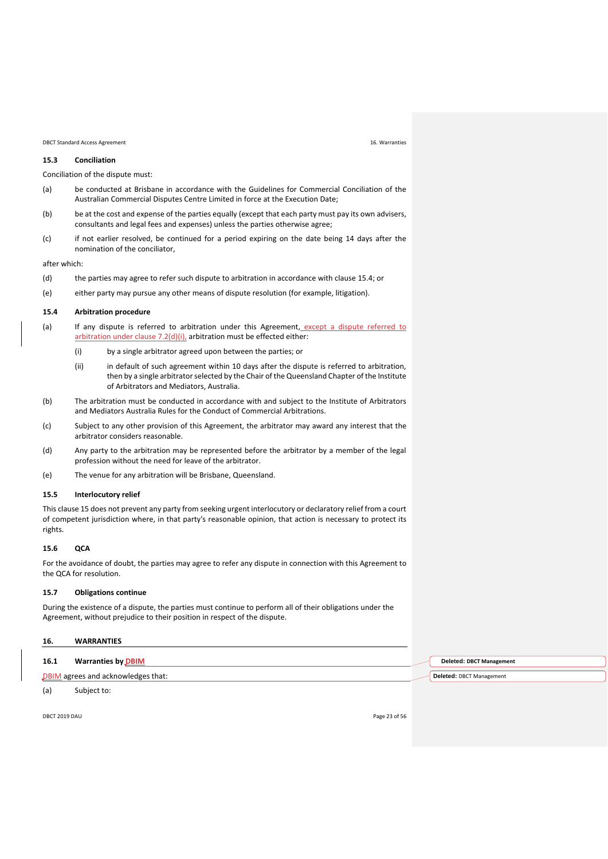#### DBCT Standard Access Agreement 16. Warranties

# <span id="page-22-2"></span>**15.3 Conciliation**

Conciliation of the dispute must:

- (a) be conducted at Brisbane in accordance with the Guidelines for Commercial Conciliation of the Australian Commercial Disputes Centre Limited in force at the Execution Date;
- (b) be at the cost and expense of the parties equally (except that each party must pay its own advisers, consultants and legal fees and expenses) unless the parties otherwise agree;
- (c) if not earlier resolved, be continued for a period expiring on the date being 14 days after the nomination of the conciliator,

after which:

- (d) the parties may agree to refer such dispute to arbitration in accordance with clause [15.4;](#page-22-3) or
- (e) either party may pursue any other means of dispute resolution (for example, litigation).

#### <span id="page-22-3"></span>**15.4 Arbitration procedure**

- (a) If any dispute is referred to arbitration under this Agreement, except a dispute referred to arbitration under clause 7.2(d)(i), arbitration must be effected either:
	- (i) by a single arbitrator agreed upon between the parties; or
	- (ii) in default of such agreement within 10 days after the dispute is referred to arbitration, then by a single arbitrator selected by the Chair of the Queensland Chapter of the Institute of Arbitrators and Mediators, Australia.
- (b) The arbitration must be conducted in accordance with and subject to the Institute of Arbitrators and Mediators Australia Rules for the Conduct of Commercial Arbitrations.
- (c) Subject to any other provision of this Agreement, the arbitrator may award any interest that the arbitrator considers reasonable.
- (d) Any party to the arbitration may be represented before the arbitrator by a member of the legal profession without the need for leave of the arbitrator.
- (e) The venue for any arbitration will be Brisbane, Queensland.

#### <span id="page-22-1"></span>**15.5 Interlocutory relief**

This claus[e 15](#page-21-0) does not prevent any party from seeking urgent interlocutory or declaratory relief from a court of competent jurisdiction where, in that party's reasonable opinion, that action is necessary to protect its rights.

#### **15.6 QCA**

For the avoidance of doubt, the parties may agree to refer any dispute in connection with this Agreement to the QCA for resolution.

#### **15.7 Obligations continue**

During the existence of a dispute, the parties must continue to perform all of their obligations under the Agreement, without prejudice to their position in respect of the dispute.

# <span id="page-22-0"></span>**16. WARRANTIES**

| 16.1 | <b>Warranties by DBIM</b>          |
|------|------------------------------------|
|      | DBIM agrees and acknowledges that: |

(a) Subject to:

**Deleted: DBCT Management Deleted:** DBCT Management

DBCT 2019 DAU Page 23 of 56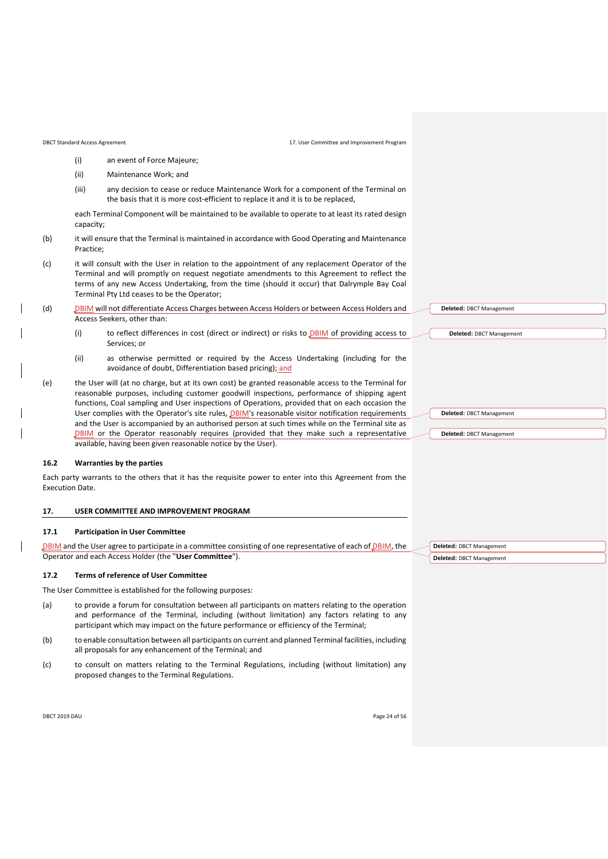- (i) an event of Force Majeure;
- (ii) Maintenance Work; and
- (iii) any decision to cease or reduce Maintenance Work for a component of the Terminal on the basis that it is more cost-efficient to replace it and it is to be replaced,

each Terminal Component will be maintained to be available to operate to at least its rated design capacity;

- (b) it will ensure that the Terminal is maintained in accordance with Good Operating and Maintenance Practice;
- (c) it will consult with the User in relation to the appointment of any replacement Operator of the Terminal and will promptly on request negotiate amendments to this Agreement to reflect the terms of any new Access Undertaking, from the time (should it occur) that Dalrymple Bay Coal Terminal Pty Ltd ceases to be the Operator;
- (d) DBIM will not differentiate Access Charges between Access Holders or between Access Holders and Access Seekers, other than:
	- (i) to reflect differences in cost (direct or indirect) or risks to  $DBIM$  of providing access to Services; or
	- (ii) as otherwise permitted or required by the Access Undertaking (including for the avoidance of doubt, Differentiation based pricing); and
- (e) the User will (at no charge, but at its own cost) be granted reasonable access to the Terminal for reasonable purposes, including customer goodwill inspections, performance of shipping agent functions, Coal sampling and User inspections of Operations, provided that on each occasion the User complies with the Operator's site rules, *DBIM*'s reasonable visitor notification requirements and the User is accompanied by an authorised person at such times while on the Terminal site as DBIM or the Operator reasonably requires (provided that they make such a representative available, having been given reasonable notice by the User).

#### **16.2 Warranties by the parties**

Each party warrants to the others that it has the requisite power to enter into this Agreement from the Execution Date.

# <span id="page-23-0"></span>**17. USER COMMITTEE AND IMPROVEMENT PROGRAM**

#### <span id="page-23-1"></span>**17.1 Participation in User Committee**

DBIM and the User agree to participate in a committee consisting of one representative of each of DBIM, the Operator and each Access Holder (the "**User Committee**").

#### **17.2 Terms of reference of User Committee**

The User Committee is established for the following purposes:

- (a) to provide a forum for consultation between all participants on matters relating to the operation and performance of the Terminal, including (without limitation) any factors relating to any participant which may impact on the future performance or efficiency of the Terminal;
- (b) to enable consultation between all participants on current and planned Terminal facilities, including all proposals for any enhancement of the Terminal; and
- (c) to consult on matters relating to the Terminal Regulations, including (without limitation) any proposed changes to the Terminal Regulations.

| DBCT 2019 DAU | Page 24 of 56 |
|---------------|---------------|
|               |               |

| Deleted: DBCT Management |
|--------------------------|
|                          |
| Deleted: DBCT Management |
|                          |
|                          |
|                          |
|                          |
|                          |
| Deleted: DBCT Management |
|                          |
| Deleted: DBCT Management |
|                          |
|                          |
|                          |

**Deleted:** DBCT Management **Deleted:** DBCT Management

| Page 24 of 56 |  |  |
|---------------|--|--|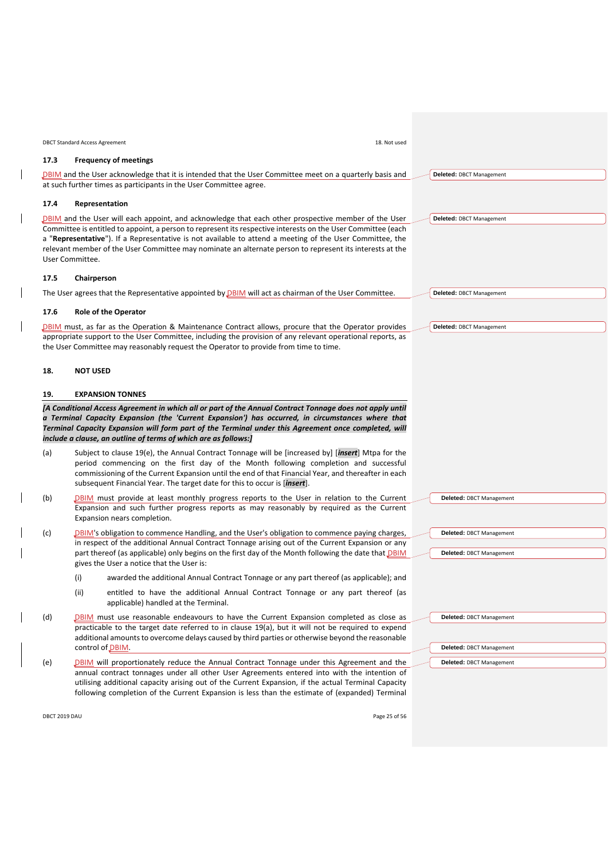|               | 18. Not used<br><b>DBCT Standard Access Agreement</b>                                                                                                                                                                                                                                                                                                                                                                                                                    |                                 |
|---------------|--------------------------------------------------------------------------------------------------------------------------------------------------------------------------------------------------------------------------------------------------------------------------------------------------------------------------------------------------------------------------------------------------------------------------------------------------------------------------|---------------------------------|
| 17.3          | <b>Frequency of meetings</b>                                                                                                                                                                                                                                                                                                                                                                                                                                             |                                 |
|               | <b>DBIM</b> and the User acknowledge that it is intended that the User Committee meet on a quarterly basis and                                                                                                                                                                                                                                                                                                                                                           | Deleted: DBCT Management        |
|               | at such further times as participants in the User Committee agree.                                                                                                                                                                                                                                                                                                                                                                                                       |                                 |
| 17.4          | Representation                                                                                                                                                                                                                                                                                                                                                                                                                                                           |                                 |
|               | DBIM and the User will each appoint, and acknowledge that each other prospective member of the User<br>Committee is entitled to appoint, a person to represent its respective interests on the User Committee (each                                                                                                                                                                                                                                                      | Deleted: DBCT Management        |
|               | a "Representative"). If a Representative is not available to attend a meeting of the User Committee, the<br>relevant member of the User Committee may nominate an alternate person to represent its interests at the<br>User Committee.                                                                                                                                                                                                                                  |                                 |
| 17.5          | Chairperson                                                                                                                                                                                                                                                                                                                                                                                                                                                              |                                 |
|               | The User agrees that the Representative appointed by <b>DBIM</b> will act as chairman of the User Committee.                                                                                                                                                                                                                                                                                                                                                             | Deleted: DBCT Management        |
|               |                                                                                                                                                                                                                                                                                                                                                                                                                                                                          |                                 |
| 17.6          | <b>Role of the Operator</b>                                                                                                                                                                                                                                                                                                                                                                                                                                              |                                 |
|               | <b>DBIM</b> must, as far as the Operation & Maintenance Contract allows, procure that the Operator provides<br>appropriate support to the User Committee, including the provision of any relevant operational reports, as<br>the User Committee may reasonably request the Operator to provide from time to time.                                                                                                                                                        | Deleted: DBCT Management        |
| 18.           | <b>NOT USED</b>                                                                                                                                                                                                                                                                                                                                                                                                                                                          |                                 |
| 19.           | <b>EXPANSION TONNES</b>                                                                                                                                                                                                                                                                                                                                                                                                                                                  |                                 |
| (a)           | a Terminal Capacity Expansion (the 'Current Expansion') has occurred, in circumstances where that<br>Terminal Capacity Expansion will form part of the Terminal under this Agreement once completed, will<br>include a clause, an outline of terms of which are as follows:]<br>Subject to clause 19(e), the Annual Contract Tonnage will be [increased by] [insert] Mtpa for the<br>period commencing on the first day of the Month following completion and successful |                                 |
|               | commissioning of the Current Expansion until the end of that Financial Year, and thereafter in each<br>subsequent Financial Year. The target date for this to occur is [insert].                                                                                                                                                                                                                                                                                         |                                 |
| (b)           | DBIM must provide at least monthly progress reports to the User in relation to the Current<br>Expansion and such further progress reports as may reasonably by required as the Current<br>Expansion nears completion.                                                                                                                                                                                                                                                    | <b>Deleted: DBCT Management</b> |
| (c)           | DBIM's obligation to commence Handling, and the User's obligation to commence paying charges,                                                                                                                                                                                                                                                                                                                                                                            | Deleted: DBCT Management        |
|               | in respect of the additional Annual Contract Tonnage arising out of the Current Expansion or any<br>part thereof (as applicable) only begins on the first day of the Month following the date that DBIM                                                                                                                                                                                                                                                                  | <b>Deleted: DBCT Management</b> |
|               | gives the User a notice that the User is:                                                                                                                                                                                                                                                                                                                                                                                                                                |                                 |
|               | (i)<br>awarded the additional Annual Contract Tonnage or any part thereof (as applicable); and                                                                                                                                                                                                                                                                                                                                                                           |                                 |
|               | (i)<br>entitled to have the additional Annual Contract Tonnage or any part thereof (as<br>applicable) handled at the Terminal.                                                                                                                                                                                                                                                                                                                                           |                                 |
| (d)           | <b>DBIM</b> must use reasonable endeavours to have the Current Expansion completed as close as<br>practicable to the target date referred to in clause 19(a), but it will not be required to expend<br>additional amounts to overcome delays caused by third parties or otherwise beyond the reasonable                                                                                                                                                                  | Deleted: DBCT Management        |
|               | control of DBIM.                                                                                                                                                                                                                                                                                                                                                                                                                                                         | Deleted: DBCT Management        |
| (e)           | <b>DBIM</b> will proportionately reduce the Annual Contract Tonnage under this Agreement and the<br>annual contract tonnages under all other User Agreements entered into with the intention of<br>utilising additional capacity arising out of the Current Expansion, if the actual Terminal Capacity<br>following completion of the Current Expansion is less than the estimate of (expanded) Terminal                                                                 | Deleted: DBCT Management        |
| DBCT 2019 DAU | Page 25 of 56                                                                                                                                                                                                                                                                                                                                                                                                                                                            |                                 |

<span id="page-24-4"></span><span id="page-24-1"></span><span id="page-24-0"></span> $\overline{\phantom{a}}$ 

<span id="page-24-3"></span><span id="page-24-2"></span> $\overline{\phantom{a}}$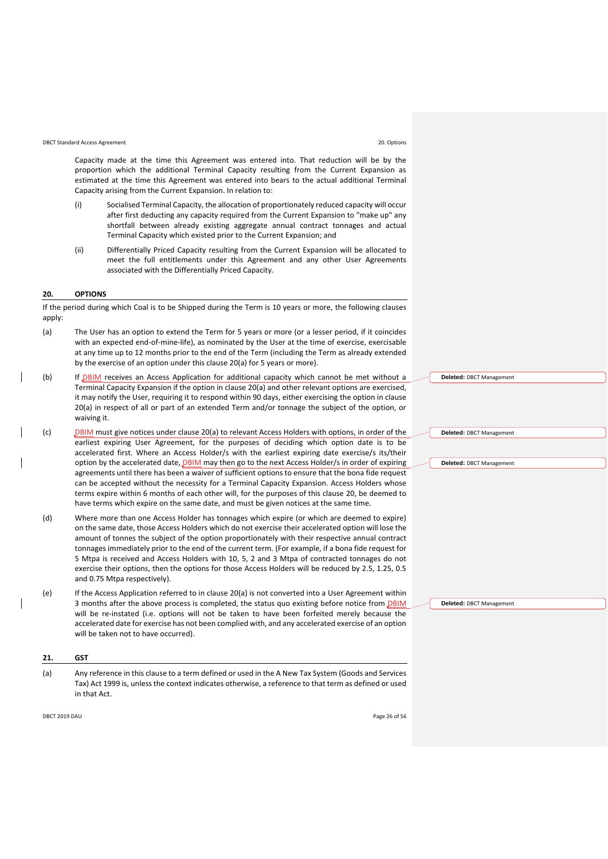# DBCT Standard Access Agreement 20. Options

Capacity made at the time this Agreement was entered into. That reduction will be by the proportion which the additional Terminal Capacity resulting from the Current Expansion as estimated at the time this Agreement was entered into bears to the actual additional Terminal Capacity arising from the Current Expansion. In relation to:

- (i) Socialised Terminal Capacity, the allocation of proportionately reduced capacity will occur after first deducting any capacity required from the Current Expansion to "make up" any shortfall between already existing aggregate annual contract tonnages and actual Terminal Capacity which existed prior to the Current Expansion; and
- (ii) Differentially Priced Capacity resulting from the Current Expansion will be allocated to meet the full entitlements under this Agreement and any other User Agreements associated with the Differentially Priced Capacity.

#### <span id="page-25-0"></span>**20. OPTIONS**

If the period during which Coal is to be Shipped during the Term is 10 years or more, the following clauses apply:

- <span id="page-25-2"></span>(a) The User has an option to extend the Term for 5 years or more (or a lesser period, if it coincides with an expected end-of-mine-life), as nominated by the User at the time of exercise, exercisable at any time up to 12 months prior to the end of the Term (including the Term as already extended by the exercise of an option under this claus[e 20\(a\)](#page-25-2) for 5 years or more).
- (b) If **DBIM** receives an Access Application for additional capacity which cannot be met without a Terminal Capacity Expansion if the option in claus[e 20\(a\)](#page-25-2) and other relevant options are exercised, it may notify the User, requiring it to respond within 90 days, either exercising the option in clause [20\(a\)](#page-25-2) in respect of all or part of an extended Term and/or tonnage the subject of the option, or waiving it.
- (c) DBIM must give notices under claus[e 20\(a\)](#page-25-2) to relevant Access Holders with options, in order of the earliest expiring User Agreement, for the purposes of deciding which option date is to be accelerated first. Where an Access Holder/s with the earliest expiring date exercise/s its/their option by the accelerated date, **DBIM** may then go to the next Access Holder/s in order of expiring agreements until there has been a waiver of sufficient options to ensure that the bona fide request can be accepted without the necessity for a Terminal Capacity Expansion. Access Holders whose terms expire within 6 months of each other will, for the purposes of this clause [20,](#page-25-0) be deemed to have terms which expire on the same date, and must be given notices at the same time.
- (d) Where more than one Access Holder has tonnages which expire (or which are deemed to expire) on the same date, those Access Holders which do not exercise their accelerated option will lose the amount of tonnes the subject of the option proportionately with their respective annual contract tonnages immediately prior to the end of the current term. (For example, if a bona fide request for 5 Mtpa is received and Access Holders with 10, 5, 2 and 3 Mtpa of contracted tonnages do not exercise their options, then the options for those Access Holders will be reduced by 2.5, 1.25, 0.5 and 0.75 Mtpa respectively).
- (e) If the Access Application referred to in clause [20\(a\)](#page-25-2) is not converted into a User Agreement within 3 months after the above process is completed, the status quo existing before notice from **DBIM** will be re-instated (i.e. options will not be taken to have been forfeited merely because the accelerated date for exercise has not been complied with, and any accelerated exercise of an option will be taken not to have occurred).

#### <span id="page-25-1"></span>**21. GST**

(a) Any reference in this clause to a term defined or used in the A New Tax System (Goods and Services Tax) Act 1999 is, unless the context indicates otherwise, a reference to that term as defined or used in that Act.

**Deleted:** DBCT Management

**Deleted:** DBCT Management

**Deleted:** DBCT Management

**Deleted:** DBCT Management

DBCT 2019 DAU Page 26 of 56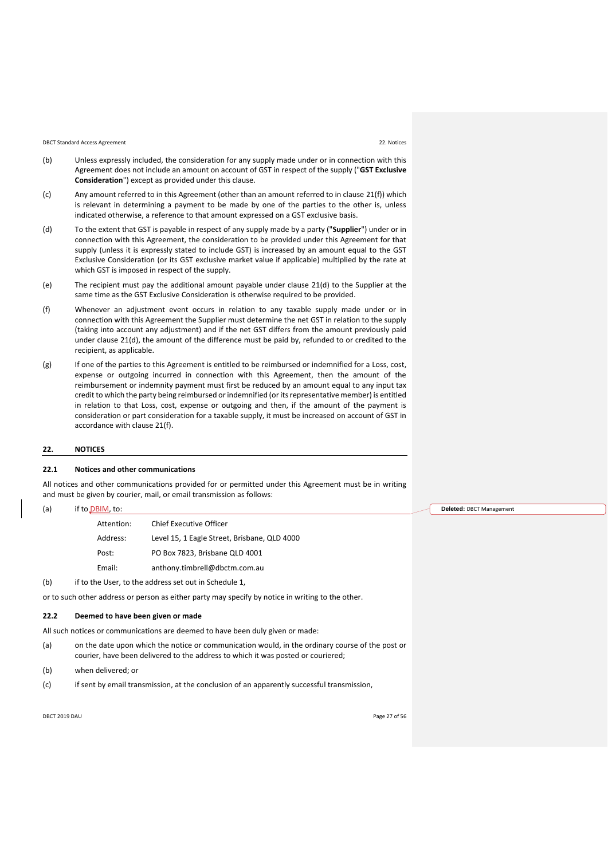#### DBCT Standard Access Agreement 22. Notices

- <span id="page-26-3"></span>(b) Unless expressly included, the consideration for any supply made under or in connection with this Agreement does not include an amount on account of GST in respect of the supply ("**GST Exclusive Consideration**") except as provided under this clause.
- (c) Any amount referred to in this Agreement (other than an amount referred to in clause [21\(f\)\)](#page-26-1) which is relevant in determining a payment to be made by one of the parties to the other is, unless indicated otherwise, a reference to that amount expressed on a GST exclusive basis.
- <span id="page-26-2"></span>(d) To the extent that GST is payable in respect of any supply made by a party ("**Supplier**") under or in connection with this Agreement, the consideration to be provided under this Agreement for that supply (unless it is expressly stated to include GST) is increased by an amount equal to the GST Exclusive Consideration (or its GST exclusive market value if applicable) multiplied by the rate at which GST is imposed in respect of the supply.
- (e) The recipient must pay the additional amount payable under clause [21\(d\)](#page-26-2) to the Supplier at the same time as the GST Exclusive Consideration is otherwise required to be provided.
- <span id="page-26-1"></span>(f) Whenever an adjustment event occurs in relation to any taxable supply made under or in connection with this Agreement the Supplier must determine the net GST in relation to the supply (taking into account any adjustment) and if the net GST differs from the amount previously paid under clause [21\(d\),](#page-26-2) the amount of the difference must be paid by, refunded to or credited to the recipient, as applicable.
- (g) If one of the parties to this Agreement is entitled to be reimbursed or indemnified for a Loss, cost, expense or outgoing incurred in connection with this Agreement, then the amount of the reimbursement or indemnity payment must first be reduced by an amount equal to any input tax credit to which the party being reimbursed or indemnified (or its representative member) is entitled in relation to that Loss, cost, expense or outgoing and then, if the amount of the payment is consideration or part consideration for a taxable supply, it must be increased on account of GST in accordance with claus[e 21\(f\).](#page-26-1)

#### <span id="page-26-0"></span>**22. NOTICES**

 $(a)$  if

#### **22.1 Notices and other communications**

All notices and other communications provided for or permitted under this Agreement must be in writing and must be given by courier, mail, or email transmission as follows:

| to DBIM, to: |            |                                              |  |  |  |
|--------------|------------|----------------------------------------------|--|--|--|
|              | Attention: | <b>Chief Executive Officer</b>               |  |  |  |
|              | Address:   | Level 15, 1 Eagle Street, Brisbane, QLD 4000 |  |  |  |
|              | Post:      | PO Box 7823. Brisbane QLD 4001               |  |  |  |
|              | Email:     | anthony.timbrell@dbctm.com.au                |  |  |  |

(b) if to the User, to the address set out in [Schedule 1,](#page-32-0)

or to such other address or person as either party may specify by notice in writing to the other.

#### **22.2 Deemed to have been given or made**

All such notices or communications are deemed to have been duly given or made:

- (a) on the date upon which the notice or communication would, in the ordinary course of the post or courier, have been delivered to the address to which it was posted or couriered;
- (b) when delivered; or
- (c) if sent by email transmission, at the conclusion of an apparently successful transmission,

DBCT 2019 DAU Page 27 of 56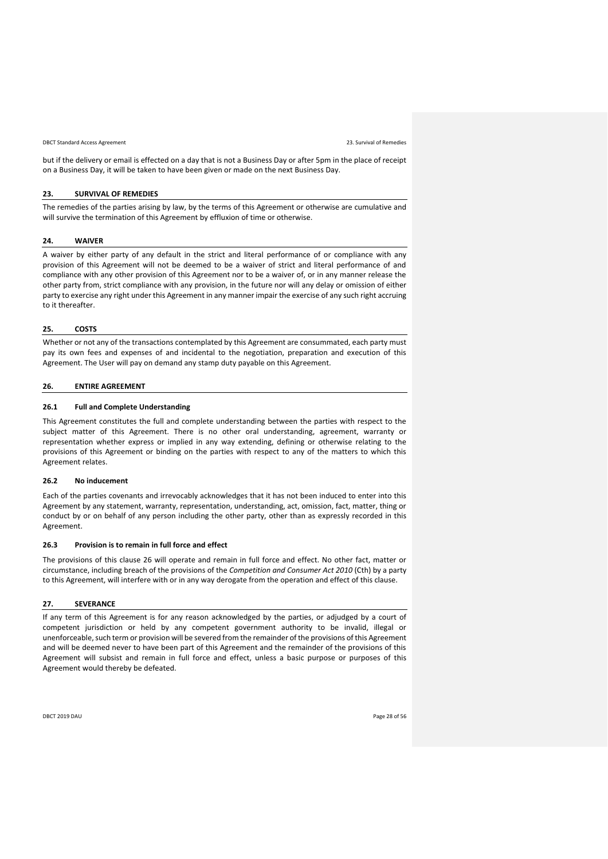DBCT Standard Access Agreement 23. Survival of Remedies

but if the delivery or email is effected on a day that is not a Business Day or after 5pm in the place of receipt on a Business Day, it will be taken to have been given or made on the next Business Day.

#### <span id="page-27-0"></span>**23. SURVIVAL OF REMEDIES**

The remedies of the parties arising by law, by the terms of this Agreement or otherwise are cumulative and will survive the termination of this Agreement by effluxion of time or otherwise.

# <span id="page-27-1"></span>**24. WAIVER**

A waiver by either party of any default in the strict and literal performance of or compliance with any provision of this Agreement will not be deemed to be a waiver of strict and literal performance of and compliance with any other provision of this Agreement nor to be a waiver of, or in any manner release the other party from, strict compliance with any provision, in the future nor will any delay or omission of either party to exercise any right under this Agreement in any manner impair the exercise of any such right accruing to it thereafter.

#### <span id="page-27-2"></span>**25. COSTS**

Whether or not any of the transactions contemplated by this Agreement are consummated, each party must pay its own fees and expenses of and incidental to the negotiation, preparation and execution of this Agreement. The User will pay on demand any stamp duty payable on this Agreement.

# <span id="page-27-3"></span>**26. ENTIRE AGREEMENT**

#### **26.1 Full and Complete Understanding**

This Agreement constitutes the full and complete understanding between the parties with respect to the subject matter of this Agreement. There is no other oral understanding, agreement, warranty or representation whether express or implied in any way extending, defining or otherwise relating to the provisions of this Agreement or binding on the parties with respect to any of the matters to which this Agreement relates.

#### **26.2 No inducement**

Each of the parties covenants and irrevocably acknowledges that it has not been induced to enter into this Agreement by any statement, warranty, representation, understanding, act, omission, fact, matter, thing or conduct by or on behalf of any person including the other party, other than as expressly recorded in this Agreement.

#### **26.3 Provision is to remain in full force and effect**

The provisions of this clause [26](#page-27-3) will operate and remain in full force and effect. No other fact, matter or circumstance, including breach of the provisions of the *Competition and Consumer Act 2010* (Cth) by a party to this Agreement, will interfere with or in any way derogate from the operation and effect of this clause.

#### <span id="page-27-4"></span>**27. SEVERANCE**

If any term of this Agreement is for any reason acknowledged by the parties, or adjudged by a court of competent jurisdiction or held by any competent government authority to be invalid, illegal or unenforceable, such term or provision will be severed from the remainder of the provisions of this Agreement and will be deemed never to have been part of this Agreement and the remainder of the provisions of this Agreement will subsist and remain in full force and effect, unless a basic purpose or purposes of this Agreement would thereby be defeated.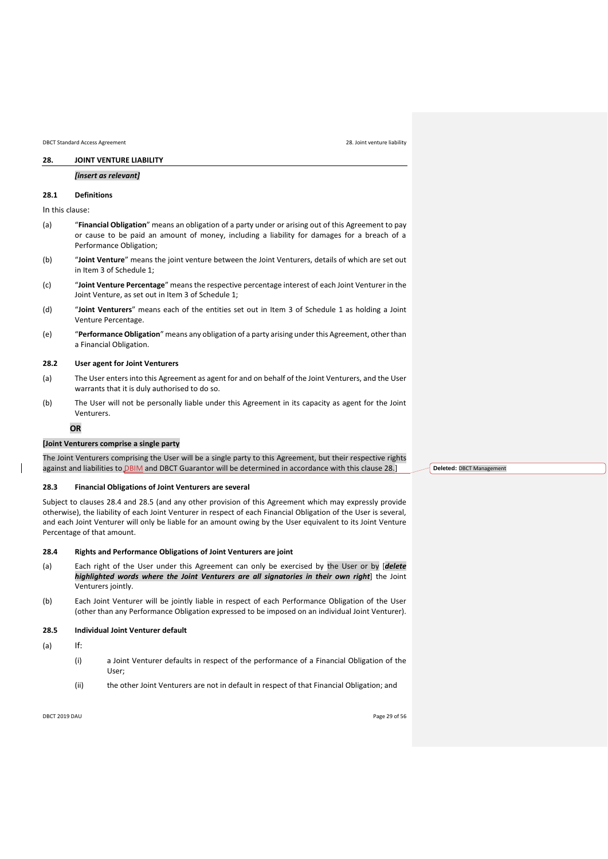<span id="page-28-0"></span>DBCT Standard Access Agreement 28. Joint venture liability

# *[insert as relevant]*

# **28.1 Definitions**

In this clause:

- (a) "**Financial Obligation**" means an obligation of a party under or arising out of this Agreement to pay or cause to be paid an amount of money, including a liability for damages for a breach of a Performance Obligation;
- (b) "**Joint Venture**" means the joint venture between the Joint Venturers, details of which are set out in Item [3](#page-32-3) o[f Schedule 1;](#page-32-0)
- (c) "**Joint Venture Percentage**" means the respective percentage interest of each Joint Venturer in the Joint Venture, as set out in Item [3](#page-32-3) of [Schedule 1;](#page-32-0)
- (d) "**Joint Venturers**" means each of the entities set out in Item [3](#page-32-3) of [Schedule 1](#page-32-0) as holding a Joint Venture Percentage.
- (e) "**Performance Obligation**" means any obligation of a party arising under this Agreement, other than a Financial Obligation.

# **28.2 User agent for Joint Venturers**

- (a) The User enters into this Agreement as agent for and on behalf of the Joint Venturers, and the User warrants that it is duly authorised to do so.
- (b) The User will not be personally liable under this Agreement in its capacity as agent for the Joint Venturers.

#### **OR**

#### **[Joint Venturers comprise a single party**

The Joint Venturers comprising the User will be a single party to this Agreement, but their respective rights against and liabilities to **DBIM** and DBCT Guarantor will be determined in accordance with this clause 28.]

#### **28.3 Financial Obligations of Joint Venturers are several**

Subject to clauses [28.4](#page-28-1) and [28.5](#page-28-2) (and any other provision of this Agreement which may expressly provide otherwise), the liability of each Joint Venturer in respect of each Financial Obligation of the User is several, and each Joint Venturer will only be liable for an amount owing by the User equivalent to its Joint Venture Percentage of that amount.

# <span id="page-28-1"></span>**28.4 Rights and Performance Obligations of Joint Venturers are joint**

- (a) Each right of the User under this Agreement can only be exercised by the User or by [*delete highlighted words where the Joint Venturers are all signatories in their own right*] the Joint Venturers jointly.
- (b) Each Joint Venturer will be jointly liable in respect of each Performance Obligation of the User (other than any Performance Obligation expressed to be imposed on an individual Joint Venturer).

# <span id="page-28-2"></span>**28.5 Individual Joint Venturer default**

(a) If:

- (i) a Joint Venturer defaults in respect of the performance of a Financial Obligation of the User;
- (ii) the other Joint Venturers are not in default in respect of that Financial Obligation; and

DBCT 2019 DAU Page 29 of 56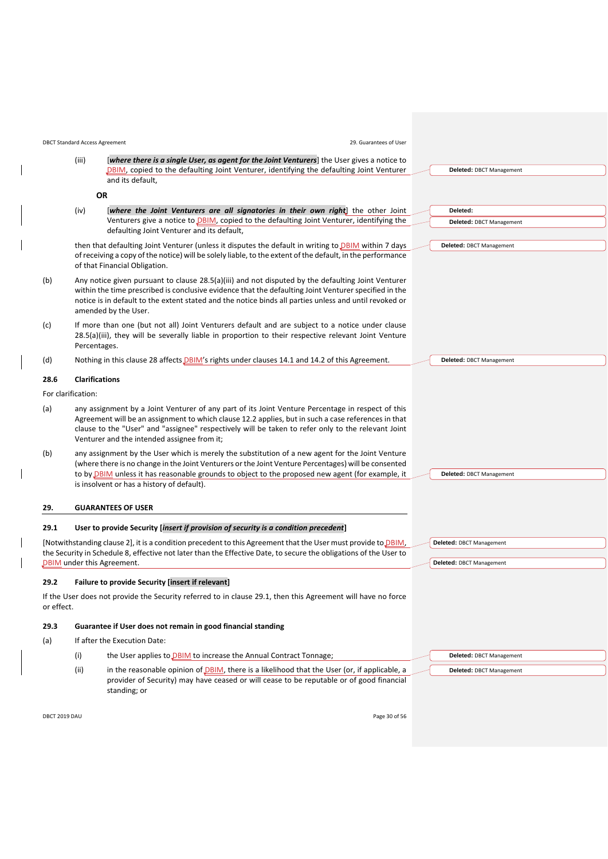<span id="page-29-3"></span>

|            |                    | <b>DBCT Standard Access Agreement</b><br>29. Guarantees of User                                                                                                                                                                                                                                                                                               |                                 |
|------------|--------------------|---------------------------------------------------------------------------------------------------------------------------------------------------------------------------------------------------------------------------------------------------------------------------------------------------------------------------------------------------------------|---------------------------------|
|            | (iii)              | <i>(where there is a single User, as agent for the Joint Venturers)</i> the User gives a notice to                                                                                                                                                                                                                                                            |                                 |
|            |                    | DBIM, copied to the defaulting Joint Venturer, identifying the defaulting Joint Venturer<br>and its default,                                                                                                                                                                                                                                                  | Deleted: DBCT Management        |
|            |                    | <b>OR</b>                                                                                                                                                                                                                                                                                                                                                     |                                 |
|            | (iv)               | [where the Joint Venturers are all signatories in their own right] the other Joint                                                                                                                                                                                                                                                                            | Deleted:                        |
|            |                    | Venturers give a notice to DBIM, copied to the defaulting Joint Venturer, identifying the<br>defaulting Joint Venturer and its default,                                                                                                                                                                                                                       | Deleted: DBCT Management        |
|            |                    | then that defaulting Joint Venturer (unless it disputes the default in writing to <b>DBIM</b> within 7 days<br>of receiving a copy of the notice) will be solely liable, to the extent of the default, in the performance<br>of that Financial Obligation.                                                                                                    | Deleted: DBCT Management        |
| (b)        |                    | Any notice given pursuant to clause 28.5(a)(iii) and not disputed by the defaulting Joint Venturer<br>within the time prescribed is conclusive evidence that the defaulting Joint Venturer specified in the<br>notice is in default to the extent stated and the notice binds all parties unless and until revoked or<br>amended by the User.                 |                                 |
| (c)        |                    | If more than one (but not all) Joint Venturers default and are subject to a notice under clause<br>28.5(a)(iii), they will be severally liable in proportion to their respective relevant Joint Venture<br>Percentages.                                                                                                                                       |                                 |
| (d)        |                    | Nothing in this clause 28 affects <i>DBIM's</i> rights under clauses 14.1 and 14.2 of this Agreement.                                                                                                                                                                                                                                                         | <b>Deleted: DBCT Management</b> |
| 28.6       |                    | <b>Clarifications</b>                                                                                                                                                                                                                                                                                                                                         |                                 |
|            | For clarification: |                                                                                                                                                                                                                                                                                                                                                               |                                 |
| (a)        |                    | any assignment by a Joint Venturer of any part of its Joint Venture Percentage in respect of this<br>Agreement will be an assignment to which clause 12.2 applies, but in such a case references in that<br>clause to the "User" and "assignee" respectively will be taken to refer only to the relevant Joint<br>Venturer and the intended assignee from it; |                                 |
| (b)        |                    | any assignment by the User which is merely the substitution of a new agent for the Joint Venture<br>(where there is no change in the Joint Venturers or the Joint Venture Percentages) will be consented<br>to by DBIM unless it has reasonable grounds to object to the proposed new agent (for example, it<br>is insolvent or has a history of default).    | Deleted: DBCT Management        |
| 29.        |                    | <b>GUARANTEES OF USER</b>                                                                                                                                                                                                                                                                                                                                     |                                 |
| 29.1       |                    | User to provide Security [insert if provision of security is a condition precedent]                                                                                                                                                                                                                                                                           |                                 |
|            |                    | [Notwithstanding clause 2], it is a condition precedent to this Agreement that the User must provide to DBIM,                                                                                                                                                                                                                                                 | Deleted: DBCT Management        |
|            |                    | the Security in Schedule 8, effective not later than the Effective Date, to secure the obligations of the User to<br><b>DBIM</b> under this Agreement.                                                                                                                                                                                                        | Deleted: DBCT Management        |
| 29.2       |                    | Failure to provide Security [insert if relevant]                                                                                                                                                                                                                                                                                                              |                                 |
| or effect. |                    | If the User does not provide the Security referred to in clause 29.1, then this Agreement will have no force                                                                                                                                                                                                                                                  |                                 |
| 29.3       |                    | Guarantee if User does not remain in good financial standing                                                                                                                                                                                                                                                                                                  |                                 |
| (a)        |                    | If after the Execution Date:                                                                                                                                                                                                                                                                                                                                  |                                 |
|            | (i)                | the User applies to DBIM to increase the Annual Contract Tonnage;                                                                                                                                                                                                                                                                                             | <b>Deleted: DBCT Management</b> |
|            | (ii)               | in the reasonable opinion of DBIM, there is a likelihood that the User (or, if applicable, a<br>provider of Security) may have ceased or will cease to be reputable or of good financial<br>standing; or                                                                                                                                                      | Deleted: DBCT Management        |
|            |                    |                                                                                                                                                                                                                                                                                                                                                               |                                 |

<span id="page-29-4"></span><span id="page-29-2"></span><span id="page-29-1"></span><span id="page-29-0"></span> $\overline{\phantom{a}}$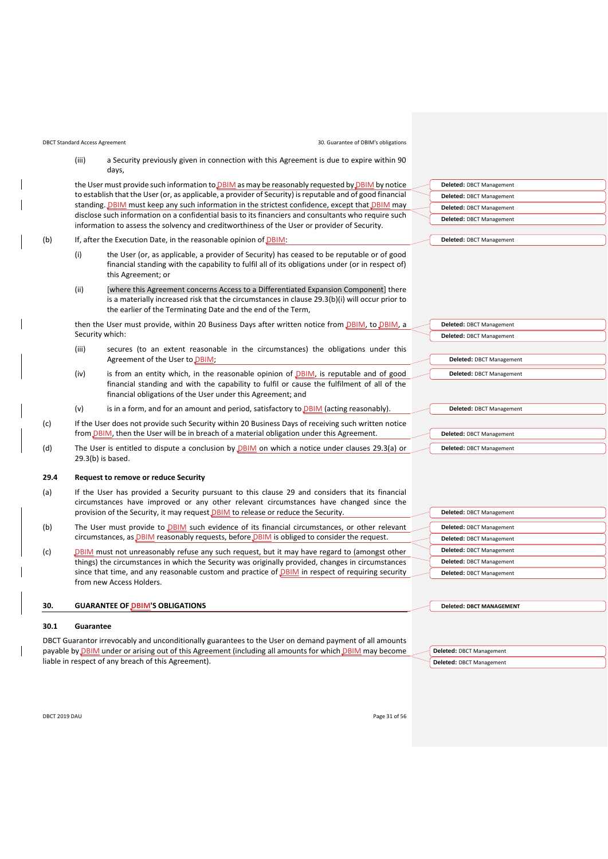DBCT Standard Access Agreement 30. Guarantee of DBIM's obligations

(iii) a Security previously given in connection with this Agreement is due to expire within 90 days,

the User must provide such information to **DBIM** as may be reasonably requested by **DBIM** by notice to establish that the User (or, as applicable, a provider of Security) is reputable and of good financial standing. **DBIM** must keep any such information in the strictest confidence, except that **DBIM** may disclose such information on a confidential basis to its financiers and consultants who require such information to assess the solvency and creditworthiness of the User or provider of Security.

#### <span id="page-30-2"></span><span id="page-30-1"></span>(b) If, after the Execution Date, in the reasonable opinion of DBIM:

- (i) the User (or, as applicable, a provider of Security) has ceased to be reputable or of good financial standing with the capability to fulfil all of its obligations under (or in respect of) this Agreement; or
- (ii) [where this Agreement concerns Access to a Differentiated Expansion Component] there is a materially increased risk that the circumstances in clause [29.3\(b\)\(i\)](#page-30-1) will occur prior to the earlier of the Terminating Date and the end of the Term,

then the User must provide, within 20 Business Days after written notice from *DBIM*, to *DBIM*, a Security which:

- (iii) secures (to an extent reasonable in the circumstances) the obligations under this Agreement of the User to DBIM;
- (iv) is from an entity which, in the reasonable opinion of  $D$ BIM, is reputable and of good financial standing and with the capability to fulfil or cause the fulfilment of all of the financial obligations of the User under this Agreement; and
- (v) is in a form, and for an amount and period, satisfactory to  $DBIM$  (acting reasonably).
- (c) If the User does not provide such Security within 20 Business Days of receiving such written notice from *DBIM*, then the User will be in breach of a material obligation under this Agreement.
- (d) The User is entitled to dispute a conclusion by **DBIM** on which a notice under clauses [29.3\(a\)](#page-29-4) or [29.3\(b\)](#page-30-2) is based.

#### **29.4 Request to remove or reduce Security**

- (a) If the User has provided a Security pursuant to this clause [29](#page-29-0) and considers that its financial circumstances have improved or any other relevant circumstances have changed since the provision of the Security, it may request DBIM to release or reduce the Security.
- (b) The User must provide to **DBIM** such evidence of its financial circumstances, or other relevant circumstances, as **DBIM** reasonably requests, before **DBIM** is obliged to consider the request
- (c) DBIM must not unreasonably refuse any such request, but it may have regard to (amongst other things) the circumstances in which the Security was originally provided, changes in circumstances since that time, and any reasonable custom and practice of **DBIM** in respect of requiring security from new Access Holders.

#### <span id="page-30-0"></span>**30. GUARANTEE OF DBIM'S OBLIGATIONS**

#### **30.1 Guarantee**

DBCT Guarantor irrevocably and unconditionally guarantees to the User on demand payment of all amounts payable by **DBIM** under or arising out of this Agreement (including all amounts for which *DBIM* may become liable in respect of any breach of this Agreement).

| Deleted: DBCT Management |
|--------------------------|
| Deleted: DBCT Management |
| Deleted: DBCT Management |
| Deleted: DBCT Management |
|                          |
| Deleted: DBCT Management |

| <b>Deleted: DBCT Management</b> |
|---------------------------------|
| <b>Deleted: DBCT Management</b> |
|                                 |
| <b>Deleted: DBCT Management</b> |
| <b>Deleted: DBCT Management</b> |
|                                 |
|                                 |
| <b>Deleted: DBCT Management</b> |

| <b>Deleted: DBCT Management</b><br>Deleted: DBCT Management<br>Deleted: DBCT Management |
|-----------------------------------------------------------------------------------------|
|                                                                                         |
|                                                                                         |
|                                                                                         |
| Deleted: DBCT Management                                                                |
| Deleted: DBCT Management                                                                |
| Deleted: DBCT Management                                                                |

**Deleted: DBCT MANAGEMENT**

**Deleted:** DBCT Management **Deleted:** DBCT Management

| Deleted: DBCT Management |
|--------------------------|
| Deleted: DBCT Management |

DBCT 2019 DAU Page 31 of 56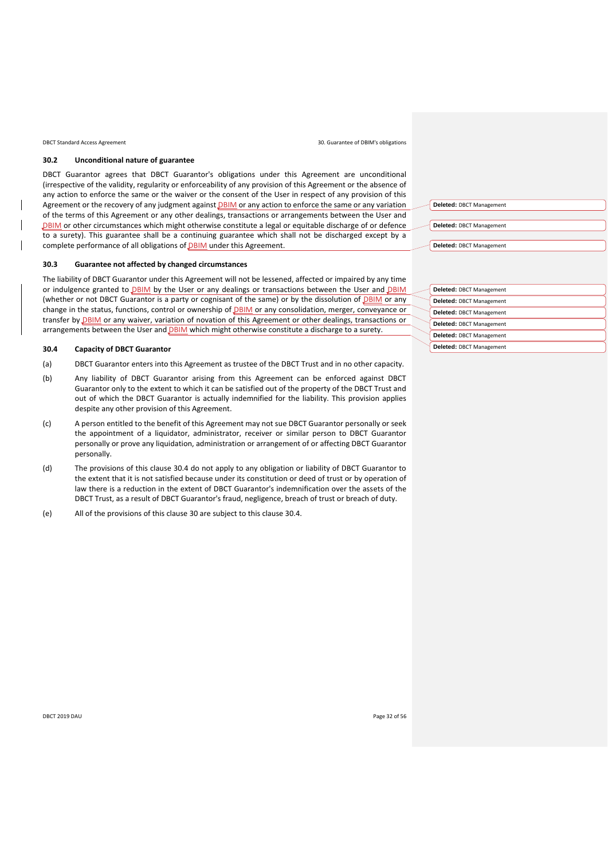DBCT Standard Access Agreement

#### **30.2 Unconditional nature of guarantee**

DBCT Guarantor agrees that DBCT Guarantor's obligations under this Agreement are unconditional (irrespective of the validity, regularity or enforceability of any provision of this Agreement or the absence of any action to enforce the same or the waiver or the consent of the User in respect of any provision of this Agreement or the recovery of any judgment against DBIM or any action to enforce the same or any variation of the terms of this Agreement or any other dealings, transactions or arrangements between the User and DBIM or other circumstances which might otherwise constitute a legal or equitable discharge of or defence to a surety). This guarantee shall be a continuing guarantee which shall not be discharged except by a complete performance of all obligations of DBIM under this Agreement.

#### **30.3 Guarantee not affected by changed circumstances**

The liability of DBCT Guarantor under this Agreement will not be lessened, affected or impaired by any time or indulgence granted to DBIM by the User or any dealings or transactions between the User and DBIM (whether or not DBCT Guarantor is a party or cognisant of the same) or by the dissolution of DBIM or any change in the status, functions, control or ownership of DBIM or any consolidation, merger, conveyance or transfer by **DBIM** or any waiver, variation of novation of this Agreement or other dealings, transactions or arrangements between the User and **DBIM** which might otherwise constitute a discharge to a surety.

#### <span id="page-31-0"></span>**30.4 Capacity of DBCT Guarantor**

- (a) DBCT Guarantor enters into this Agreement as trustee of the DBCT Trust and in no other capacity.
- (b) Any liability of DBCT Guarantor arising from this Agreement can be enforced against DBCT Guarantor only to the extent to which it can be satisfied out of the property of the DBCT Trust and out of which the DBCT Guarantor is actually indemnified for the liability. This provision applies despite any other provision of this Agreement.
- (c) A person entitled to the benefit of this Agreement may not sue DBCT Guarantor personally or seek the appointment of a liquidator, administrator, receiver or similar person to DBCT Guarantor personally or prove any liquidation, administration or arrangement of or affecting DBCT Guarantor personally.
- (d) The provisions of this clause [30.4](#page-31-0) do not apply to any obligation or liability of DBCT Guarantor to the extent that it is not satisfied because under its constitution or deed of trust or by operation of law there is a reduction in the extent of DBCT Guarantor's indemnification over the assets of the DBCT Trust, as a result of DBCT Guarantor's fraud, negligence, breach of trust or breach of duty.
- (e) All of the provisions of this clause [30](#page-30-0) are subject to this clause [30.4.](#page-31-0)

|  |  |  |  | 30. Guarantee of DBIM's obligations |  |
|--|--|--|--|-------------------------------------|--|
|--|--|--|--|-------------------------------------|--|

| Deleted: DBCT Management |
|--------------------------|
|                          |
| Deleted: DBCT Management |
|                          |
| Deleted: DBCT Management |

| Deleted: DBCT Management |
|--------------------------|
| Deleted: DBCT Management |
| Deleted: DBCT Management |
| Deleted: DBCT Management |
| Deleted: DBCT Management |
| Deleted: DBCT Management |

DBCT 2019 DAU Page 32 of 56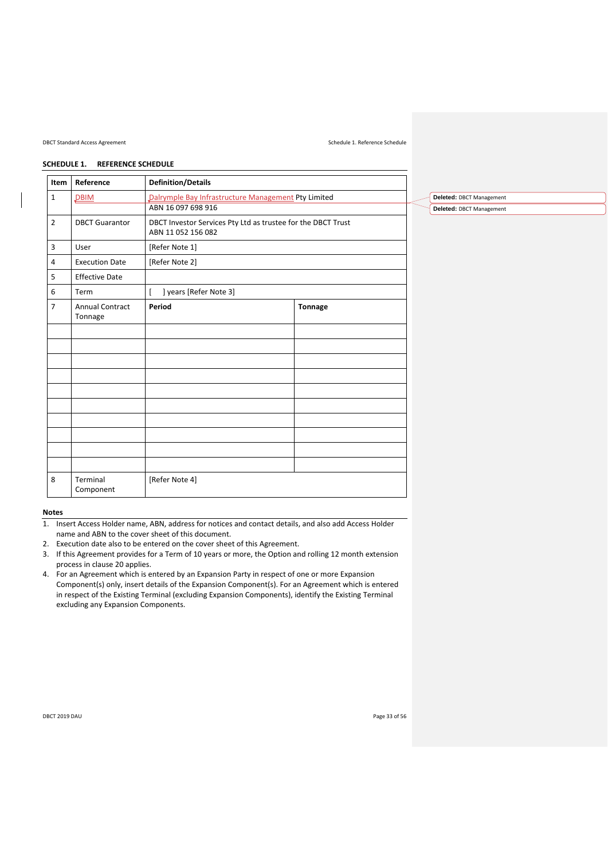#### DBCT Standard Access Agreement Schedule 1. Reference Schedule

**Deleted:** DBCT Management **Deleted:** DBCT Management

# <span id="page-32-0"></span>**SCHEDULE 1. REFERENCE SCHEDULE**

<span id="page-32-3"></span><span id="page-32-2"></span><span id="page-32-1"></span>

| Item           | Reference                                                    | <b>Definition/Details</b>                                                 |                |  |  |  |  |  |
|----------------|--------------------------------------------------------------|---------------------------------------------------------------------------|----------------|--|--|--|--|--|
| $\mathbf{1}$   | DBIM                                                         | Dalrymple Bay Infrastructure Management Pty Limited<br>ABN 16 097 698 916 |                |  |  |  |  |  |
| $\overline{2}$ | DBCT Investor Services Pty Ltd as trustee for the DBCT Trust |                                                                           |                |  |  |  |  |  |
| 3              | User                                                         | [Refer Note 1]                                                            |                |  |  |  |  |  |
| 4              | <b>Execution Date</b>                                        | [Refer Note 2]                                                            |                |  |  |  |  |  |
| 5              | <b>Effective Date</b>                                        |                                                                           |                |  |  |  |  |  |
| 6              | Term                                                         | ſ<br>  years [Refer Note 3]                                               |                |  |  |  |  |  |
| $\overline{7}$ | <b>Annual Contract</b><br>Tonnage                            | Period                                                                    | <b>Tonnage</b> |  |  |  |  |  |
|                |                                                              |                                                                           |                |  |  |  |  |  |
|                |                                                              |                                                                           |                |  |  |  |  |  |
|                |                                                              |                                                                           |                |  |  |  |  |  |
|                |                                                              |                                                                           |                |  |  |  |  |  |
|                |                                                              |                                                                           |                |  |  |  |  |  |
|                |                                                              |                                                                           |                |  |  |  |  |  |
|                |                                                              |                                                                           |                |  |  |  |  |  |
|                |                                                              |                                                                           |                |  |  |  |  |  |
|                |                                                              |                                                                           |                |  |  |  |  |  |
|                |                                                              |                                                                           |                |  |  |  |  |  |
| 8              | Terminal<br>Component                                        | [Refer Note 4]                                                            |                |  |  |  |  |  |

# <span id="page-32-4"></span>**Notes**

1. Insert Access Holder name, ABN, address for notices and contact details, and also add Access Holder name and ABN to the cover sheet of this document.

- 2. Execution date also to be entered on the cover sheet of this Agreement.
- 3. If this Agreement provides for a Term of 10 years or more, the Option and rolling 12 month extension process in clause [20](#page-25-0) applies.
- 4. For an Agreement which is entered by an Expansion Party in respect of one or more Expansion Component(s) only, insert details of the Expansion Component(s). For an Agreement which is entered in respect of the Existing Terminal (excluding Expansion Components), identify the Existing Terminal excluding any Expansion Components.

DBCT 2019 DAU Page 33 of 56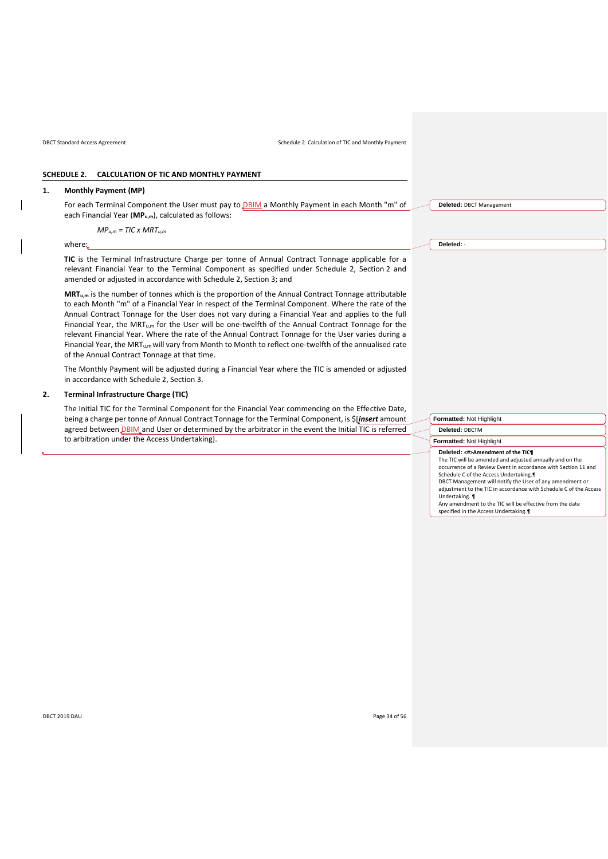<span id="page-33-2"></span>DBCT Standard Access Agreement Schedule 2. Calculation of TIC and Monthly Payment

# <span id="page-33-0"></span>**SCHEDULE 2. CALCULATION OF TIC AND MONTHLY PAYMENT**

#### **1. Monthly Payment (MP)**

For each Terminal Component the User must pay to **DBIM** a Monthly Payment in each Month "m" of each Financial Year (**MPu,m**), calculated as follows:

*MPu,m = TIC x MRTu,m*

where:

**TIC** is the Terminal Infrastructure Charge per tonne of Annual Contract Tonnage applicable for a relevant Financial Year to the Terminal Component as specified under [Schedule 2,](#page-33-0) Section [2](#page-33-1) and amended or adjusted in accordance with [Schedule 2,](#page-33-0) Section [3;](#page-33-2) and

**MRTu,m** is the number of tonnes which is the proportion of the Annual Contract Tonnage attributable to each Month "m" of a Financial Year in respect of the Terminal Component. Where the rate of the Annual Contract Tonnage for the User does not vary during a Financial Year and applies to the full Financial Year, the MRT<sub>u,m</sub> for the User will be one-twelfth of the Annual Contract Tonnage for the relevant Financial Year. Where the rate of the Annual Contract Tonnage for the User varies during a Financial Year, the MRT<sub>u,m</sub> will vary from Month to Month to reflect one-twelfth of the annualised rate of the Annual Contract Tonnage at that time.

The Monthly Payment will be adjusted during a Financial Year where the TIC is amended or adjusted in accordance wit[h Schedule 2,](#page-33-0) Section [3.](#page-33-2)

#### <span id="page-33-1"></span>**2. Terminal Infrastructure Charge (TIC)**

The Initial TIC for the Terminal Component for the Financial Year commencing on the Effective Date, being a charge per tonne of Annual Contract Tonnage for the Terminal Component, is \$[*insert* amount agreed between **DBIM** and User or determined by the arbitrator in the event the Initial TIC is referred to arbitration under the Access Undertaking].

**Deleted:** DBCT Management

**Deleted:** -

**Formatted:** Not Highlight **Deleted:** DBCTM **Formatted:** Not Highlight **Deleted: <#>Amendment of the TIC¶** The TIC will be amended and adjusted annually and on the occurrence of a Review Event in accordance with Section 11 and Schedule C of the Access Undertaking.¶ DBCT Management will notify the User of any amendment or adjustment to the TIC in accordance with Schedule C of the Access Undertaking. ¶ Any amendment to the TIC will be effective from the date specified in the Access Undertaking.¶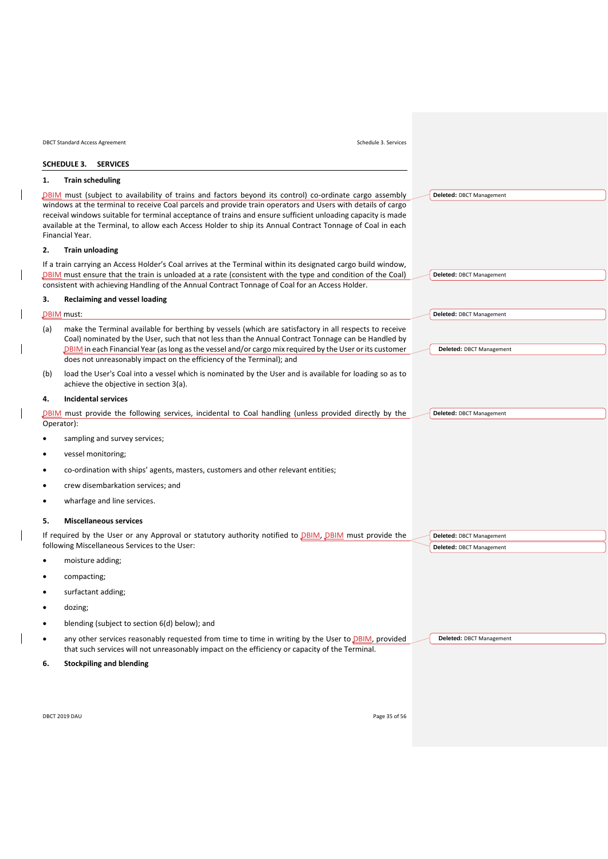<span id="page-34-0"></span>

|            | <b>DBCT Standard Access Agreement</b><br>Schedule 3. Services                                                                                                                                                                                                                                                                                                                                                                                                           |  |                                                      |  |  |  |  |  |  |
|------------|-------------------------------------------------------------------------------------------------------------------------------------------------------------------------------------------------------------------------------------------------------------------------------------------------------------------------------------------------------------------------------------------------------------------------------------------------------------------------|--|------------------------------------------------------|--|--|--|--|--|--|
|            | SCHEDULE 3. SERVICES                                                                                                                                                                                                                                                                                                                                                                                                                                                    |  |                                                      |  |  |  |  |  |  |
| 1.         | <b>Train scheduling</b>                                                                                                                                                                                                                                                                                                                                                                                                                                                 |  |                                                      |  |  |  |  |  |  |
|            | DBIM must (subject to availability of trains and factors beyond its control) co-ordinate cargo assembly<br>windows at the terminal to receive Coal parcels and provide train operators and Users with details of cargo<br>receival windows suitable for terminal acceptance of trains and ensure sufficient unloading capacity is made<br>available at the Terminal, to allow each Access Holder to ship its Annual Contract Tonnage of Coal in each<br>Financial Year. |  | Deleted: DBCT Management                             |  |  |  |  |  |  |
| 2.         | <b>Train unloading</b>                                                                                                                                                                                                                                                                                                                                                                                                                                                  |  |                                                      |  |  |  |  |  |  |
|            | If a train carrying an Access Holder's Coal arrives at the Terminal within its designated cargo build window,<br>DBIM must ensure that the train is unloaded at a rate (consistent with the type and condition of the Coal)<br>consistent with achieving Handling of the Annual Contract Tonnage of Coal for an Access Holder.                                                                                                                                          |  | Deleted: DBCT Management                             |  |  |  |  |  |  |
| З.         | <b>Reclaiming and vessel loading</b>                                                                                                                                                                                                                                                                                                                                                                                                                                    |  |                                                      |  |  |  |  |  |  |
|            | DBIM must:                                                                                                                                                                                                                                                                                                                                                                                                                                                              |  | Deleted: DBCT Management                             |  |  |  |  |  |  |
| (a)        | make the Terminal available for berthing by vessels (which are satisfactory in all respects to receive<br>Coal) nominated by the User, such that not less than the Annual Contract Tonnage can be Handled by<br>DBIM in each Financial Year (as long as the vessel and/or cargo mix required by the User or its customer<br>does not unreasonably impact on the efficiency of the Terminal); and                                                                        |  | Deleted: DBCT Management                             |  |  |  |  |  |  |
| (b)        | load the User's Coal into a vessel which is nominated by the User and is available for loading so as to<br>achieve the objective in section 3(a).                                                                                                                                                                                                                                                                                                                       |  |                                                      |  |  |  |  |  |  |
| 4.         | <b>Incidental services</b>                                                                                                                                                                                                                                                                                                                                                                                                                                              |  |                                                      |  |  |  |  |  |  |
| Operator): | DBIM must provide the following services, incidental to Coal handling (unless provided directly by the                                                                                                                                                                                                                                                                                                                                                                  |  | Deleted: DBCT Management                             |  |  |  |  |  |  |
| ٠          | sampling and survey services;                                                                                                                                                                                                                                                                                                                                                                                                                                           |  |                                                      |  |  |  |  |  |  |
| ٠          | vessel monitoring;                                                                                                                                                                                                                                                                                                                                                                                                                                                      |  |                                                      |  |  |  |  |  |  |
| ٠          | co-ordination with ships' agents, masters, customers and other relevant entities;                                                                                                                                                                                                                                                                                                                                                                                       |  |                                                      |  |  |  |  |  |  |
| ٠          | crew disembarkation services; and                                                                                                                                                                                                                                                                                                                                                                                                                                       |  |                                                      |  |  |  |  |  |  |
| ٠          | wharfage and line services.                                                                                                                                                                                                                                                                                                                                                                                                                                             |  |                                                      |  |  |  |  |  |  |
| 5.         | <b>Miscellaneous services</b>                                                                                                                                                                                                                                                                                                                                                                                                                                           |  |                                                      |  |  |  |  |  |  |
|            | If required by the User or any Approval or statutory authority notified to <b>DBIM, DBIM</b> must provide the<br>following Miscellaneous Services to the User:                                                                                                                                                                                                                                                                                                          |  | Deleted: DBCT Management<br>Deleted: DBCT Management |  |  |  |  |  |  |
|            | moisture adding;                                                                                                                                                                                                                                                                                                                                                                                                                                                        |  |                                                      |  |  |  |  |  |  |
|            | compacting;                                                                                                                                                                                                                                                                                                                                                                                                                                                             |  |                                                      |  |  |  |  |  |  |
|            | surfactant adding;                                                                                                                                                                                                                                                                                                                                                                                                                                                      |  |                                                      |  |  |  |  |  |  |
|            | dozing;                                                                                                                                                                                                                                                                                                                                                                                                                                                                 |  |                                                      |  |  |  |  |  |  |
| ٠          | blending (subject to section 6(d) below); and                                                                                                                                                                                                                                                                                                                                                                                                                           |  |                                                      |  |  |  |  |  |  |
| ٠          | any other services reasonably requested from time to time in writing by the User to DBIM, provided<br>that such services will not unreasonably impact on the efficiency or capacity of the Terminal.                                                                                                                                                                                                                                                                    |  | Deleted: DBCT Management                             |  |  |  |  |  |  |
| 6.         | <b>Stockpiling and blending</b>                                                                                                                                                                                                                                                                                                                                                                                                                                         |  |                                                      |  |  |  |  |  |  |
|            |                                                                                                                                                                                                                                                                                                                                                                                                                                                                         |  |                                                      |  |  |  |  |  |  |

 $\begin{array}{c} \hline \end{array}$ 

 $\overline{\phantom{a}}$ 

<span id="page-34-1"></span> $\overline{\phantom{a}}$ 

 $\overline{\phantom{a}}$ 

 $\overline{\mathbf{I}}$ 

 $\overline{\phantom{a}}$ 

 $\overline{\phantom{a}}$ 

DBCT 2019 DAU Page 35 of 56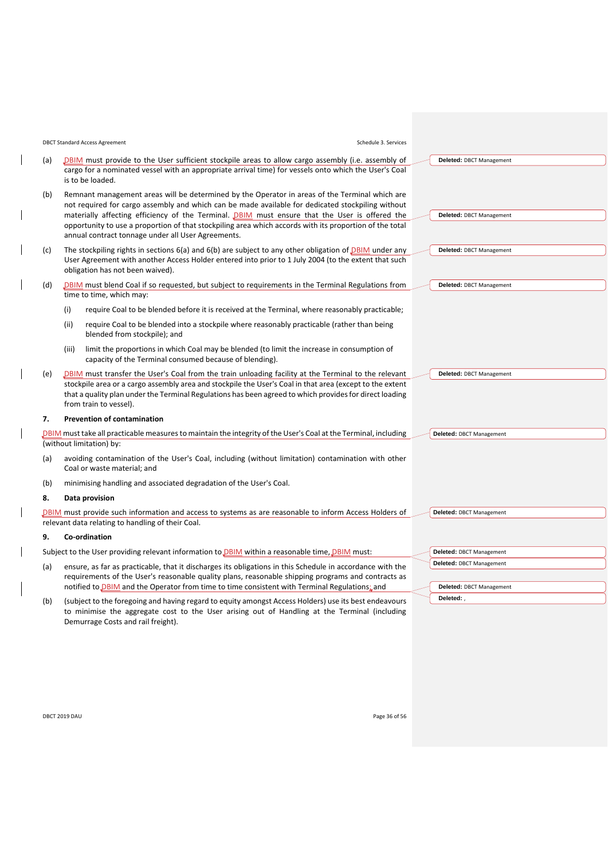<span id="page-35-1"></span>

|     | <b>DBCT Standard Access Agreement</b><br>Schedule 3. Services                                                                                                                                                                                                                                                                                                                                                    |                                                      |
|-----|------------------------------------------------------------------------------------------------------------------------------------------------------------------------------------------------------------------------------------------------------------------------------------------------------------------------------------------------------------------------------------------------------------------|------------------------------------------------------|
| (a) | <b>DBIM</b> must provide to the User sufficient stockpile areas to allow cargo assembly (i.e. assembly of<br>cargo for a nominated vessel with an appropriate arrival time) for vessels onto which the User's Coal<br>is to be loaded.                                                                                                                                                                           | Deleted: DBCT Management                             |
| (b) | Remnant management areas will be determined by the Operator in areas of the Terminal which are<br>not required for cargo assembly and which can be made available for dedicated stockpiling without<br>materially affecting efficiency of the Terminal. DBIM must ensure that the User is offered the<br>opportunity to use a proportion of that stockpiling area which accords with its proportion of the total | Deleted: DBCT Management                             |
|     | annual contract tonnage under all User Agreements.                                                                                                                                                                                                                                                                                                                                                               |                                                      |
| (c) | The stockpiling rights in sections $6(a)$ and $6(b)$ are subject to any other obligation of <b>DBIM</b> under any<br>User Agreement with another Access Holder entered into prior to 1 July 2004 (to the extent that such<br>obligation has not been waived).                                                                                                                                                    | Deleted: DBCT Management                             |
| (d) | DBIM must blend Coal if so requested, but subject to requirements in the Terminal Regulations from<br>time to time, which may:                                                                                                                                                                                                                                                                                   | Deleted: DBCT Management                             |
|     | (i)<br>require Coal to be blended before it is received at the Terminal, where reasonably practicable;                                                                                                                                                                                                                                                                                                           |                                                      |
|     | require Coal to be blended into a stockpile where reasonably practicable (rather than being<br>(iii)<br>blended from stockpile); and                                                                                                                                                                                                                                                                             |                                                      |
|     | limit the proportions in which Coal may be blended (to limit the increase in consumption of<br>(iii)<br>capacity of the Terminal consumed because of blending).                                                                                                                                                                                                                                                  |                                                      |
| (e) | DBIM must transfer the User's Coal from the train unloading facility at the Terminal to the relevant<br>stockpile area or a cargo assembly area and stockpile the User's Coal in that area (except to the extent<br>that a quality plan under the Terminal Regulations has been agreed to which provides for direct loading                                                                                      | Deleted: DBCT Management                             |
|     | from train to vessel).                                                                                                                                                                                                                                                                                                                                                                                           |                                                      |
| 7.  | <b>Prevention of contamination</b>                                                                                                                                                                                                                                                                                                                                                                               |                                                      |
|     | DBIM must take all practicable measures to maintain the integrity of the User's Coal at the Terminal, including<br>(without limitation) by:                                                                                                                                                                                                                                                                      | Deleted: DBCT Management                             |
| (a) | avoiding contamination of the User's Coal, including (without limitation) contamination with other<br>Coal or waste material; and                                                                                                                                                                                                                                                                                |                                                      |
| (b) | minimising handling and associated degradation of the User's Coal.                                                                                                                                                                                                                                                                                                                                               |                                                      |
| 8.  | Data provision                                                                                                                                                                                                                                                                                                                                                                                                   |                                                      |
|     | <b>DBIM</b> must provide such information and access to systems as are reasonable to inform Access Holders of<br>relevant data relating to handling of their Coal.                                                                                                                                                                                                                                               | Deleted: DBCT Management                             |
| 9.  | Co-ordination                                                                                                                                                                                                                                                                                                                                                                                                    |                                                      |
|     | Subject to the User providing relevant information to <b>DBIM</b> within a reasonable time, <b>DBIM</b> must:                                                                                                                                                                                                                                                                                                    | Deleted: DBCT Management                             |
| (a) | ensure, as far as practicable, that it discharges its obligations in this Schedule in accordance with the<br>requirements of the User's reasonable quality plans, reasonable shipping programs and contracts as<br>notified to DBIM and the Operator from time to time consistent with Terminal Regulations; and                                                                                                 | Deleted: DBCT Management<br>Deleted: DBCT Management |
|     | (subject to the foregoing and having regard to equity amongst Access Holders) use its best endeavours                                                                                                                                                                                                                                                                                                            | Deleted:                                             |
| (b) |                                                                                                                                                                                                                                                                                                                                                                                                                  |                                                      |

Demurrage Costs and rail freight).

to minimise the aggregate cost to the User arising out of Handling at the Terminal (including

| DBCT 2019 DAU<br>. | Page 36 of 56 |
|--------------------|---------------|
|--------------------|---------------|

 $\overline{\phantom{a}}$ 

<span id="page-35-2"></span> $\overline{\phantom{a}}$ 

<span id="page-35-0"></span> $\overline{\phantom{a}}$ 

 $\overline{\phantom{a}}$ 

 $\overline{\phantom{a}}$ 

 $\overline{\phantom{a}}$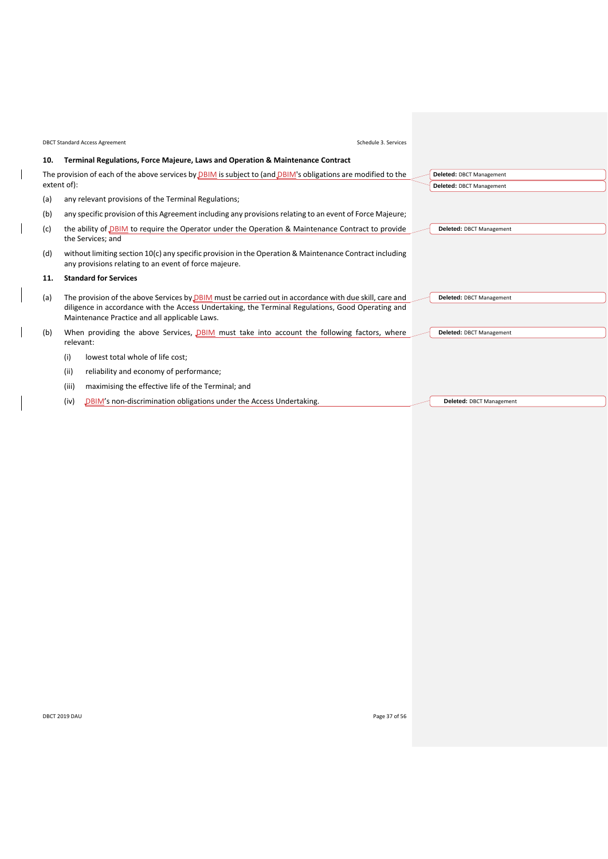|                                                                                                                 |             | <b>DBCT Standard Access Agreement</b><br>Schedule 3. Services                                                                                                      |  |                          |
|-----------------------------------------------------------------------------------------------------------------|-------------|--------------------------------------------------------------------------------------------------------------------------------------------------------------------|--|--------------------------|
| 10.                                                                                                             |             | Terminal Regulations, Force Majeure, Laws and Operation & Maintenance Contract                                                                                     |  |                          |
|                                                                                                                 |             | The provision of each of the above services by $DBIM$ is subject to (and $DBIM$ 's obligations are modified to the                                                 |  | Deleted: DBCT Management |
|                                                                                                                 | extent of): |                                                                                                                                                                    |  | Deleted: DBCT Management |
| (a)                                                                                                             |             | any relevant provisions of the Terminal Regulations;                                                                                                               |  |                          |
| (b)                                                                                                             |             | any specific provision of this Agreement including any provisions relating to an event of Force Majeure;                                                           |  |                          |
| (c)                                                                                                             |             | the ability of DBIM to require the Operator under the Operation & Maintenance Contract to provide                                                                  |  | Deleted: DBCT Management |
|                                                                                                                 |             | the Services; and                                                                                                                                                  |  |                          |
| (d)                                                                                                             |             | without limiting section $10(c)$ any specific provision in the Operation & Maintenance Contract including<br>any provisions relating to an event of force majeure. |  |                          |
| 11.                                                                                                             |             | <b>Standard for Services</b>                                                                                                                                       |  |                          |
| (a)                                                                                                             |             | The provision of the above Services by <b>DBIM</b> must be carried out in accordance with due skill, care and                                                      |  | Deleted: DBCT Management |
| diligence in accordance with the Access Undertaking, the Terminal Regulations, Good Operating and               |             |                                                                                                                                                                    |  |                          |
|                                                                                                                 |             | Maintenance Practice and all applicable Laws.                                                                                                                      |  |                          |
| When providing the above Services, DBIM must take into account the following factors, where<br>(b)<br>relevant: |             |                                                                                                                                                                    |  | Deleted: DBCT Management |
|                                                                                                                 | (i)         | lowest total whole of life cost;                                                                                                                                   |  |                          |
|                                                                                                                 |             |                                                                                                                                                                    |  |                          |
|                                                                                                                 | (ii)        | reliability and economy of performance;                                                                                                                            |  |                          |
|                                                                                                                 | (iii)       | maximising the effective life of the Terminal; and                                                                                                                 |  |                          |
|                                                                                                                 | (iv)        | DBIM's non-discrimination obligations under the Access Undertaking.                                                                                                |  | Deleted: DBCT Management |

 $\overline{\phantom{a}}$ 

<span id="page-36-0"></span> $\overline{\phantom{a}}$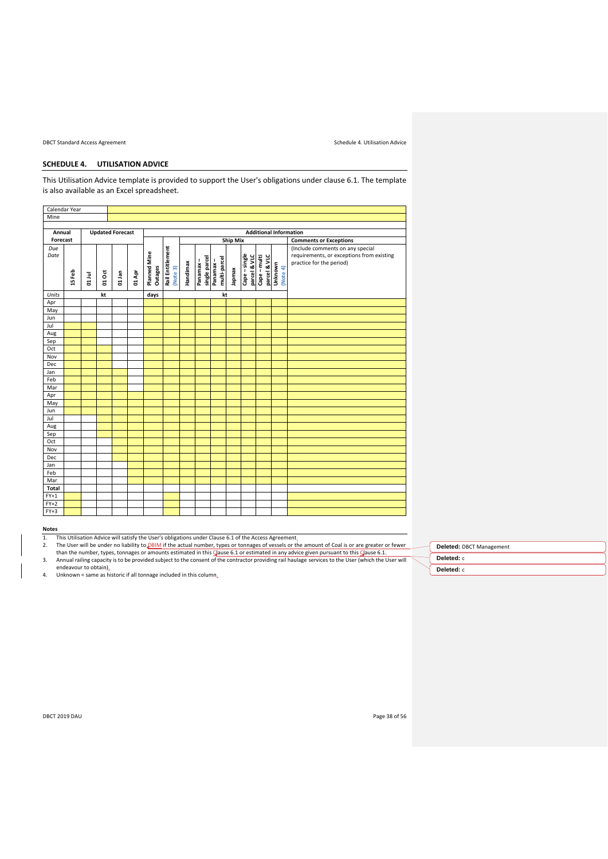DBCT Standard Access Agreement Schedule 4. Utilisation Advice

# <span id="page-37-0"></span>**SCHEDULE 4. UTILISATION ADVICE**

This Utilisation Advice template is provided to support the User's obligations under clause [6.1.](#page-9-3) The template is also available as an Excel spreadsheet.

|          | Calendar Year |                                                          |        |        |                 |              |                  |          |                           |                          |        |                               |                              |                     |                                           |
|----------|---------------|----------------------------------------------------------|--------|--------|-----------------|--------------|------------------|----------|---------------------------|--------------------------|--------|-------------------------------|------------------------------|---------------------|-------------------------------------------|
| Mine     |               |                                                          |        |        |                 |              |                  |          |                           |                          |        |                               |                              |                     |                                           |
|          |               |                                                          |        |        |                 |              |                  |          |                           |                          |        |                               |                              |                     |                                           |
| Annual   |               | <b>Additional Information</b><br><b>Updated Forecast</b> |        |        |                 |              |                  |          |                           |                          |        |                               |                              |                     |                                           |
| Forecast |               |                                                          |        |        | <b>Ship Mix</b> |              |                  |          |                           |                          |        | <b>Comments or Exceptions</b> |                              |                     |                                           |
| Due      |               |                                                          |        |        |                 |              |                  |          |                           |                          |        |                               |                              |                     | (Include comments on any special          |
| Date     |               |                                                          |        |        |                 | Planned Mine | Rail Entitlement |          |                           |                          |        |                               |                              |                     | requirements, or exceptions from existing |
|          |               |                                                          |        |        |                 |              |                  |          | single parcel<br>Panamax- | multi-parcel<br>Panamax- |        | Cape-single<br>parcel & VLC   | parcel & VLC<br>Cape - multi |                     | practice for the period)                  |
|          |               |                                                          |        |        |                 |              |                  |          |                           |                          |        |                               |                              |                     |                                           |
|          | 15 Feb        | 01 Jul                                                   | 01 Oct | 01 Jan | 01 Apr          | Outages      | (Note 3)         | Handimax |                           |                          | Japmax |                               |                              | Unknown<br>(Note 4) |                                           |
|          |               |                                                          |        |        |                 |              |                  |          |                           |                          |        |                               |                              |                     |                                           |
| Units    |               |                                                          | kt     |        |                 | days         |                  |          |                           | kt                       |        |                               |                              |                     |                                           |
| Apr      |               |                                                          |        |        |                 |              |                  |          |                           |                          |        |                               |                              |                     |                                           |
| May      |               |                                                          |        |        |                 |              |                  |          |                           |                          |        |                               |                              |                     |                                           |
| Jun      |               |                                                          |        |        |                 |              |                  |          |                           |                          |        |                               |                              |                     |                                           |
| Jul      |               |                                                          |        |        |                 |              |                  |          |                           |                          |        |                               |                              |                     |                                           |
| Aug      |               |                                                          |        |        |                 |              |                  |          |                           |                          |        |                               |                              |                     |                                           |
| Sep      |               |                                                          |        |        |                 |              |                  |          |                           |                          |        |                               |                              |                     |                                           |
| Oct      |               |                                                          |        |        |                 |              |                  |          |                           |                          |        |                               |                              |                     |                                           |
| Nov      |               |                                                          |        |        |                 |              |                  |          |                           |                          |        |                               |                              |                     |                                           |
| Dec      |               |                                                          |        |        |                 |              |                  |          |                           |                          |        |                               |                              |                     |                                           |
| Jan      |               |                                                          |        |        |                 |              |                  |          |                           |                          |        |                               |                              |                     |                                           |
| Feb      |               |                                                          |        |        |                 |              |                  |          |                           |                          |        |                               |                              |                     |                                           |
| Mar      |               |                                                          |        |        |                 |              |                  |          |                           |                          |        |                               |                              |                     |                                           |
| Apr      |               |                                                          |        |        |                 |              |                  |          |                           |                          |        |                               |                              |                     |                                           |
| May      |               |                                                          |        |        |                 |              |                  |          |                           |                          |        |                               |                              |                     |                                           |
| Jun      |               |                                                          |        |        |                 |              |                  |          |                           |                          |        |                               |                              |                     |                                           |
| Jul      |               |                                                          |        |        |                 |              |                  |          |                           |                          |        |                               |                              |                     |                                           |
| Aug      |               |                                                          |        |        |                 |              |                  |          |                           |                          |        |                               |                              |                     |                                           |
| Sep      |               |                                                          |        |        |                 |              |                  |          |                           |                          |        |                               |                              |                     |                                           |
| Oct      |               |                                                          |        |        |                 |              |                  |          |                           |                          |        |                               |                              |                     |                                           |
| Nov      |               |                                                          |        |        |                 |              |                  |          |                           |                          |        |                               |                              |                     |                                           |
| Dec      |               |                                                          |        |        |                 |              |                  |          |                           |                          |        |                               |                              |                     |                                           |
| Jan      |               |                                                          |        |        |                 |              |                  |          |                           |                          |        |                               |                              |                     |                                           |
| Feb      |               |                                                          |        |        |                 |              |                  |          |                           |                          |        |                               |                              |                     |                                           |
| Mar      |               |                                                          |        |        |                 |              |                  |          |                           |                          |        |                               |                              |                     |                                           |
| Total    |               |                                                          |        |        |                 |              |                  |          |                           |                          |        |                               |                              |                     |                                           |
| $FY+1$   |               |                                                          |        |        |                 |              |                  |          |                           |                          |        |                               |                              |                     |                                           |
| $FY+2$   |               |                                                          |        |        |                 |              |                  |          |                           |                          |        |                               |                              |                     |                                           |
| $FY+3$   |               |                                                          |        |        |                 |              |                  |          |                           |                          |        |                               |                              |                     |                                           |

# **Notes**

- 1. This Utilisation Advice will satisfy the User's obligations under Clause [6.1](#page-9-3) of the Access Agreement<u>.</u><br>2. The User will be under no liability to <u>DBIM</u> if the actual number, types or tonnages of vessels or the
- 3. Annual railing capacity is to be provided subject to the consent of the contractor providing rail haulage services to the User (which the User will endeavour to obtain). 4. Unknown = same as historic if all tonnage included in this column.

| Deleted: DBCT Management |
|--------------------------|
| Deleted: c               |
| Deleted: c               |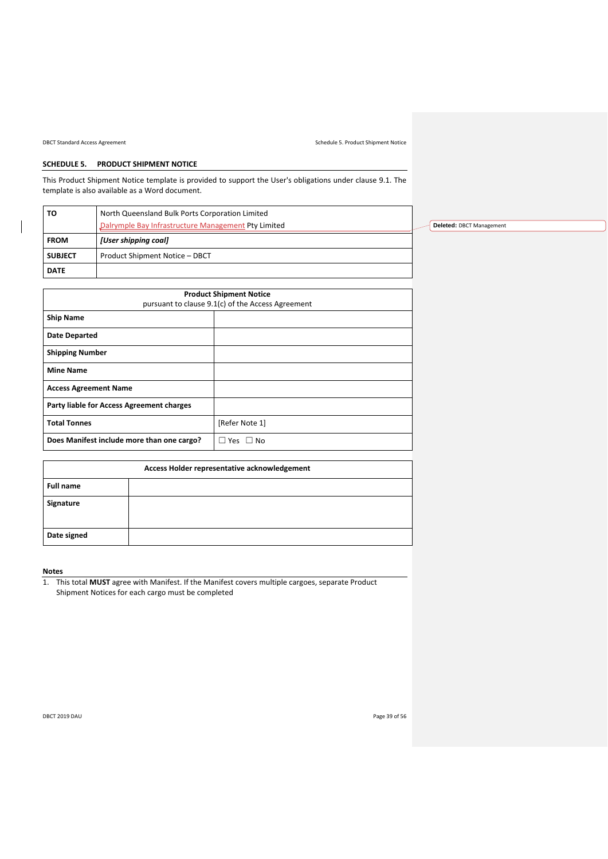DBCT Standard Access Agreement Schedule 5. Product Shipment Notice

# <span id="page-38-0"></span>**SCHEDULE 5. PRODUCT SHIPMENT NOTICE**

This Product Shipment Notice template is provided to support the User's obligations under clause [9.1.](#page-12-6) The template is also available as a Word document.

| то             | North Queensland Bulk Ports Corporation Limited     |                          |
|----------------|-----------------------------------------------------|--------------------------|
|                | Dalrymple Bay Infrastructure Management Pty Limited | Deleted: DBCT Management |
| <b>FROM</b>    | [User shipping coal]                                |                          |
| <b>SUBJECT</b> | Product Shipment Notice - DBCT                      |                          |
| <b>DATE</b>    |                                                     |                          |

| <b>Product Shipment Notice</b><br>pursuant to clause 9.1(c) of the Access Agreement |                      |  |  |  |  |
|-------------------------------------------------------------------------------------|----------------------|--|--|--|--|
| <b>Ship Name</b>                                                                    |                      |  |  |  |  |
| <b>Date Departed</b>                                                                |                      |  |  |  |  |
| <b>Shipping Number</b>                                                              |                      |  |  |  |  |
| <b>Mine Name</b>                                                                    |                      |  |  |  |  |
| <b>Access Agreement Name</b>                                                        |                      |  |  |  |  |
| Party liable for Access Agreement charges                                           |                      |  |  |  |  |
| <b>Total Tonnes</b>                                                                 | [Refer Note 1]       |  |  |  |  |
| Does Manifest include more than one cargo?                                          | $\Box$ Yes $\Box$ No |  |  |  |  |

|                  | Access Holder representative acknowledgement |  |  |  |  |  |  |
|------------------|----------------------------------------------|--|--|--|--|--|--|
| <b>Full name</b> |                                              |  |  |  |  |  |  |
| Signature        |                                              |  |  |  |  |  |  |
| Date signed      |                                              |  |  |  |  |  |  |

# **Notes**

1. This total **MUST** agree with Manifest. If the Manifest covers multiple cargoes, separate Product Shipment Notices for each cargo must be completed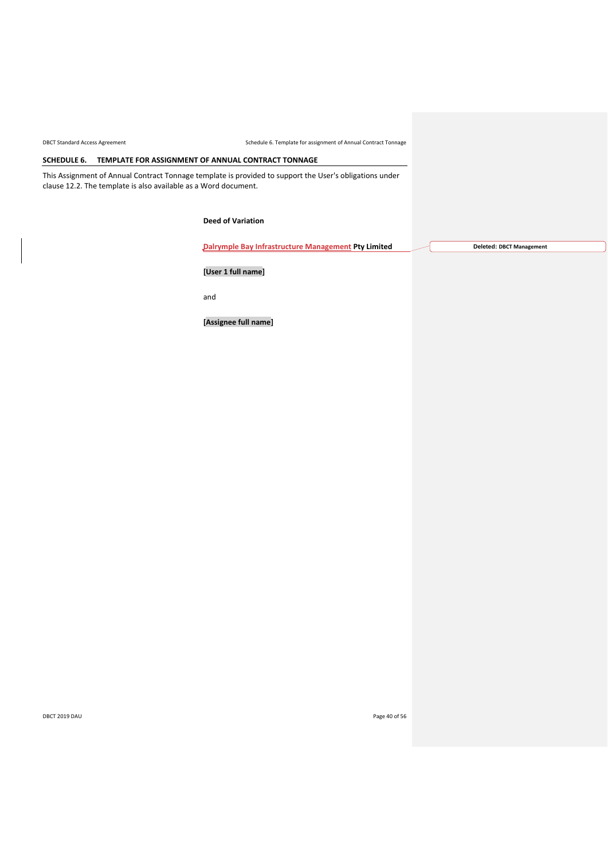DBCT Standard Access Agreement Schedule 6. Template for assignment of Annual Contract Tonnage

# <span id="page-39-0"></span>**SCHEDULE 6. TEMPLATE FOR ASSIGNMENT OF ANNUAL CONTRACT TONNAGE**

This Assignment of Annual Contract Tonnage template is provided to support the User's obligations under clause [12.2.](#page-16-1) The template is also available as a Word document.

**Deed of Variation**

**Dalrymple Bay Infrastructure Management Pty Limited**

**Deleted: DBCT Management**

**[User 1 full name]**

and

**[Assignee full name]**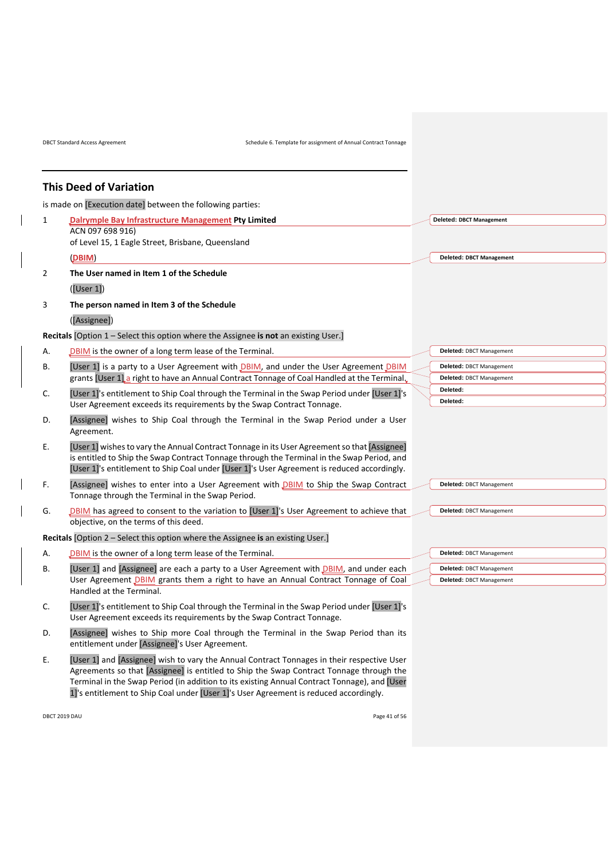DBCT Standard Access Agreement Schedule 6. Template for assignment of Annual Contract Tonnage

# **This Deed of Variation**

is made on [Execution date] between the following parties:

| 1              | <b>Dalrymple Bay Infrastructure Management Pty Limited</b><br>ACN 097 698 916)                                                                                                                                                                                                            | <b>Deleted: DBCT Management</b> |
|----------------|-------------------------------------------------------------------------------------------------------------------------------------------------------------------------------------------------------------------------------------------------------------------------------------------|---------------------------------|
|                | of Level 15, 1 Eagle Street, Brisbane, Queensland                                                                                                                                                                                                                                         |                                 |
|                | (DBIM)                                                                                                                                                                                                                                                                                    | <b>Deleted: DBCT Management</b> |
| $\overline{2}$ | The User named in Item 1 of the Schedule                                                                                                                                                                                                                                                  |                                 |
|                | ([User 1])                                                                                                                                                                                                                                                                                |                                 |
|                | The person named in Item 3 of the Schedule                                                                                                                                                                                                                                                |                                 |
| 3              |                                                                                                                                                                                                                                                                                           |                                 |
|                | ([Assignee])                                                                                                                                                                                                                                                                              |                                 |
|                | Recitals [Option 1 – Select this option where the Assignee is not an existing User.]                                                                                                                                                                                                      |                                 |
| А.             | DBIM is the owner of a long term lease of the Terminal.                                                                                                                                                                                                                                   | Deleted: DBCT Management        |
| В.             | [User 1] is a party to a User Agreement with DBIM, and under the User Agreement DBIM                                                                                                                                                                                                      | Deleted: DBCT Management        |
|                | grants [User 1] a right to have an Annual Contract Tonnage of Coal Handled at the Terminal.                                                                                                                                                                                               | Deleted: DBCT Management        |
| C.             | [User 1]'s entitlement to Ship Coal through the Terminal in the Swap Period under [User 1]'s                                                                                                                                                                                              | Deleted:                        |
|                | User Agreement exceeds its requirements by the Swap Contract Tonnage.                                                                                                                                                                                                                     | Deleted:                        |
| D.             | [Assignee] wishes to Ship Coal through the Terminal in the Swap Period under a User<br>Agreement.                                                                                                                                                                                         |                                 |
| Ε.             | [User 1] wishes to vary the Annual Contract Tonnage in its User Agreement so that [Assignee]<br>is entitled to Ship the Swap Contract Tonnage through the Terminal in the Swap Period, and<br>[User 1]'s entitlement to Ship Coal under [User 1]'s User Agreement is reduced accordingly. |                                 |
| F.             | [Assignee] wishes to enter into a User Agreement with <b>DBIM</b> to Ship the Swap Contract                                                                                                                                                                                               | Deleted: DBCT Management        |
|                | Tonnage through the Terminal in the Swap Period.                                                                                                                                                                                                                                          |                                 |
| G.             | DBIM has agreed to consent to the variation to [User 1]'s User Agreement to achieve that                                                                                                                                                                                                  | Deleted: DBCT Management        |
|                | objective, on the terms of this deed.                                                                                                                                                                                                                                                     |                                 |
|                | Recitals [Option 2 - Select this option where the Assignee is an existing User.]                                                                                                                                                                                                          |                                 |
| А.             | DBIM is the owner of a long term lease of the Terminal.                                                                                                                                                                                                                                   | Deleted: DBCT Management        |
| В.             | [User 1] and [Assignee] are each a party to a User Agreement with DBIM, and under each                                                                                                                                                                                                    | Deleted: DBCT Management        |
|                | User Agreement DBIM grants them a right to have an Annual Contract Tonnage of Coal                                                                                                                                                                                                        | Deleted: DBCT Management        |
|                | Handled at the Terminal.                                                                                                                                                                                                                                                                  |                                 |
| C.             | [User 1]'s entitlement to Ship Coal through the Terminal in the Swap Period under [User 1]'s<br>User Agreement exceeds its requirements by the Swap Contract Tonnage.                                                                                                                     |                                 |
| D.             | [Assignee] wishes to Ship more Coal through the Terminal in the Swap Period than its<br>entitlement under [Assignee]'s User Agreement.                                                                                                                                                    |                                 |
| Ε.             | [User 1] and [Assignee] wish to vary the Annual Contract Tonnages in their respective User                                                                                                                                                                                                |                                 |

Agreements so that [Assignee] is entitled to Ship the Swap Contract Tonnage through the Terminal in the Swap Period (in addition to its existing Annual Contract Tonnage), and [User 1]'s entitlement to Ship Coal under [User 1]'s User Agreement is reduced accordingly.

DBCT 2019 DAU Page 41 of 56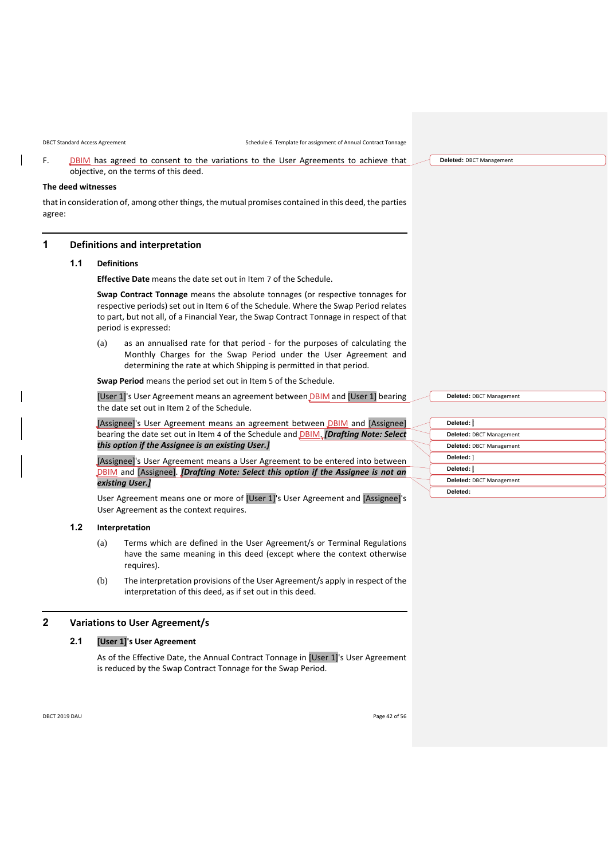F. DBIM has agreed to consent to the variations to the User Agreements to achieve that objective, on the terms of this deed.

# **The deed witnesses**

that in consideration of, among other things, the mutual promises contained in this deed, the parties agree:

# **1 Definitions and interpretation**

### **1.1 Definitions**

**Effective Date** means the date set out in Item [7](#page-44-0) of the Schedule.

**Swap Contract Tonnage** means the absolute tonnages (or respective tonnages for respective periods) set out in Item [6](#page-44-1) of the Schedule. Where the Swap Period relates to part, but not all, of a Financial Year, the Swap Contract Tonnage in respect of that period is expressed:

(a) as an annualised rate for that period - for the purposes of calculating the Monthly Charges for the Swap Period under the User Agreement and determining the rate at which Shipping is permitted in that period.

**Swap Period** means the period set out in Item [5](#page-44-2) of the Schedule.

[User 1]'s User Agreement means an agreement between DBIM and [User 1] bearing the date set out in Item [2](#page-44-3) of the Schedule.

[Assignee]'s User Agreement means an agreement between DBIM and [Assignee] bearing the date set out in Item [4](#page-44-4) of the Schedule and DBIM. *[Drafting Note: Select this option if the Assignee is an existing User.]*

[Assignee]'s User Agreement means a User Agreement to be entered into between DBIM and [Assignee]. *[Drafting Note: Select this option if the Assignee is not an existing User.]*

User Agreement means one or more of [User 1]'s User Agreement and [Assignee]'s User Agreement as the context requires.

# **1.2 Interpretation**

- (a) Terms which are defined in the User Agreement/s or Terminal Regulations have the same meaning in this deed (except where the context otherwise requires).
- (b) The interpretation provisions of the User Agreement/s apply in respect of the interpretation of this deed, as if set out in this deed.

# <span id="page-41-0"></span>**2 Variations to User Agreement/s**

# **2.1 [User 1]'s User Agreement**

As of the Effective Date, the Annual Contract Tonnage in [User 1]'s User Agreement is reduced by the Swap Contract Tonnage for the Swap Period.

| Deleted: [               |  |
|--------------------------|--|
| Deleted: DBCT Management |  |
| Deleted: DBCT Management |  |
| Deleted: 1               |  |
| Deleted: [               |  |
| Deleted: DBCT Management |  |
| Deleted:                 |  |
|                          |  |

**Deleted:** DBCT Management

**Deleted:** DBCT Management

DBCT 2019 DAU Page 42 of 56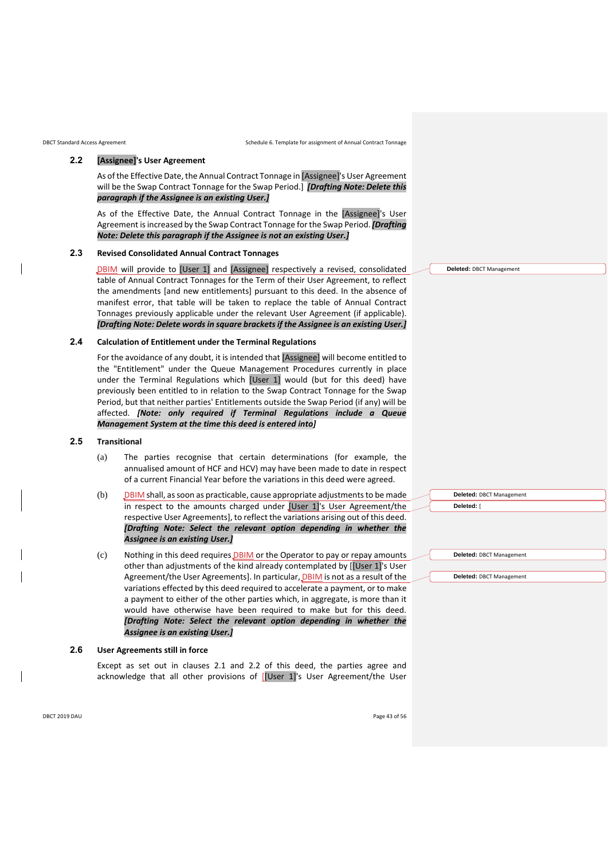<span id="page-42-0"></span>

# **2.2 [Assignee]'s User Agreement**

As of the Effective Date, the Annual Contract Tonnage in [Assignee]'s User Agreement will be the Swap Contract Tonnage for the Swap Period.] *[Drafting Note: Delete this paragraph if the Assignee is an existing User.]*

As of the Effective Date, the Annual Contract Tonnage in the [Assignee]'s User Agreement is increased by the Swap Contract Tonnage for the Swap Period. *[Drafting Note: Delete this paragraph if the Assignee is not an existing User.]*

# **2.3 Revised Consolidated Annual Contract Tonnages**

DBIM will provide to [User 1] and [Assignee] respectively a revised, consolidated table of Annual Contract Tonnages for the Term of their User Agreement, to reflect the amendments [and new entitlements] pursuant to this deed. In the absence of manifest error, that table will be taken to replace the table of Annual Contract Tonnages previously applicable under the relevant User Agreement (if applicable). *[Drafting Note: Delete words in square brackets if the Assignee is an existing User.]*

# **2.4 Calculation of Entitlement under the Terminal Regulations**

For the avoidance of any doubt, it is intended that [Assignee] will become entitled to the "Entitlement" under the Queue Management Procedures currently in place under the Terminal Regulations which [User 1] would (but for this deed) have previously been entitled to in relation to the Swap Contract Tonnage for the Swap Period, but that neither parties' Entitlements outside the Swap Period (if any) will be affected. *[Note: only required if Terminal Regulations include a Queue Management System at the time this deed is entered into]*

# **2.5 Transitional**

- (a) The parties recognise that certain determinations (for example, the annualised amount of HCF and HCV) may have been made to date in respect of a current Financial Year before the variations in this deed were agreed.
- (b) DBIM shall, as soon as practicable, cause appropriate adjustments to be made in respect to the amounts charged under [User 1]'s User Agreement/the respective User Agreements], to reflect the variations arising out of this deed. *[Drafting Note: Select the relevant option depending in whether the Assignee is an existing User.]*
- (c) Nothing in this deed requires DBIM or the Operator to pay or repay amounts other than adjustments of the kind already contemplated by [[User 1]'s User Agreement/the User Agreements]. In particular, DBIM is not as a result of the variations effected by this deed required to accelerate a payment, or to make a payment to either of the other parties which, in aggregate, is more than it would have otherwise have been required to make but for this deed. *[Drafting Note: Select the relevant option depending in whether the Assignee is an existing User.]*

#### **2.6 User Agreements still in force**

Except as set out in clauses [2.1](#page-41-0) and [2.2](#page-42-0) of this deed, the parties agree and acknowledge that all other provisions of [[User 1]'s User Agreement/the User

**Deleted:** DBCT Management

| Deleted: DBCT Management |
|--------------------------|
| Deleted: [               |
|                          |
|                          |
|                          |
| Deleted: DBCT Management |
|                          |

**Deleted:** DBCT Management

DBCT 2019 DAU Page 43 of 56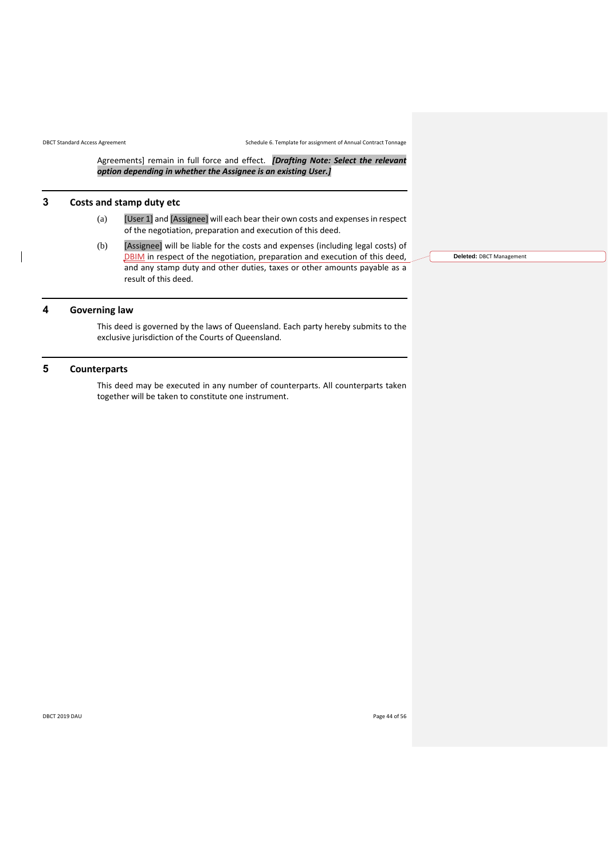Agreements] remain in full force and effect. *[Drafting Note: Select the relevant option depending in whether the Assignee is an existing User.]*

# **3 Costs and stamp duty etc**

- (a) [User 1] and [Assignee] will each bear their own costs and expenses in respect of the negotiation, preparation and execution of this deed.
- (b) [Assignee] will be liable for the costs and expenses (including legal costs) of DBIM in respect of the negotiation, preparation and execution of this deed, and any stamp duty and other duties, taxes or other amounts payable as a result of this deed.

# **4 Governing law**

This deed is governed by the laws of Queensland. Each party hereby submits to the exclusive jurisdiction of the Courts of Queensland.

# **5 Counterparts**

This deed may be executed in any number of counterparts. All counterparts taken together will be taken to constitute one instrument.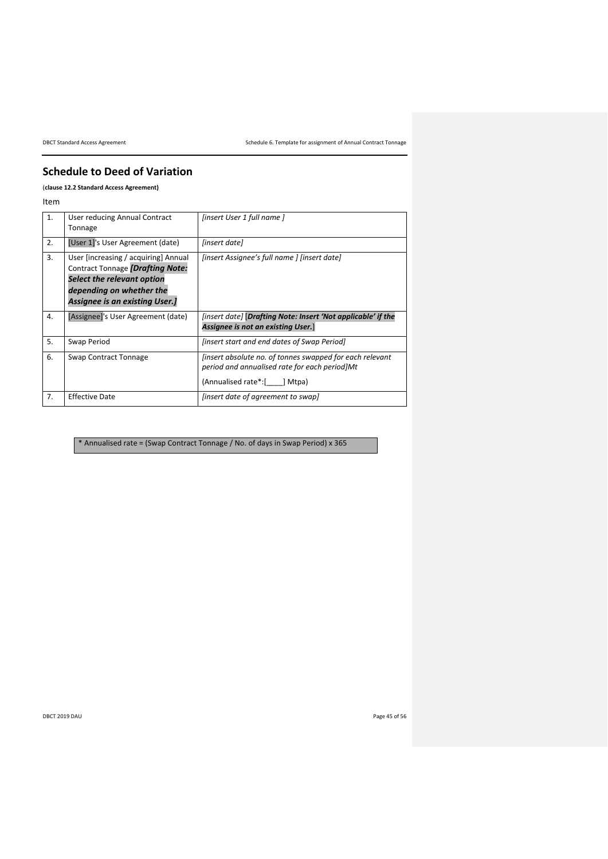DBCT Standard Access Agreement Schedule 6. Template for assignment of Annual Contract Tonnage

# **Schedule to Deed of Variation**

(**claus[e 12.2](#page-16-1) Standard Access Agreement)**

Item

<span id="page-44-4"></span><span id="page-44-3"></span>

| 1. | User reducing Annual Contract<br>Tonnage                                                                                                                                    | [insert User 1 full name]                                                                                                                       |
|----|-----------------------------------------------------------------------------------------------------------------------------------------------------------------------------|-------------------------------------------------------------------------------------------------------------------------------------------------|
| 2. | [User 1]'s User Agreement (date)                                                                                                                                            | [insert date]                                                                                                                                   |
| 3. | User [increasing / acquiring] Annual<br>Contract Tonnage [Drafting Note:<br>Select the relevant option<br>depending on whether the<br><b>Assignee is an existing User.]</b> | [insert Assignee's full name ] [insert date]                                                                                                    |
| 4. | [Assignee]'s User Agreement (date)                                                                                                                                          | [insert date] [Drafting Note: Insert 'Not applicable' if the<br>Assignee is not an existing User.                                               |
| 5. | Swap Period                                                                                                                                                                 | <i>linsert start and end dates of Swap Period]</i>                                                                                              |
| 6. | Swap Contract Tonnage                                                                                                                                                       | <i>linsert absolute no. of tonnes swapped for each relevant</i><br>period and annualised rate for each period Mt<br>(Annualised rate*:[ ] Mtpa) |
| 7. | <b>Effective Date</b>                                                                                                                                                       | (insert date of agreement to swap)                                                                                                              |

<span id="page-44-2"></span><span id="page-44-1"></span><span id="page-44-0"></span>\* Annualised rate = (Swap Contract Tonnage / No. of days in Swap Period) x 365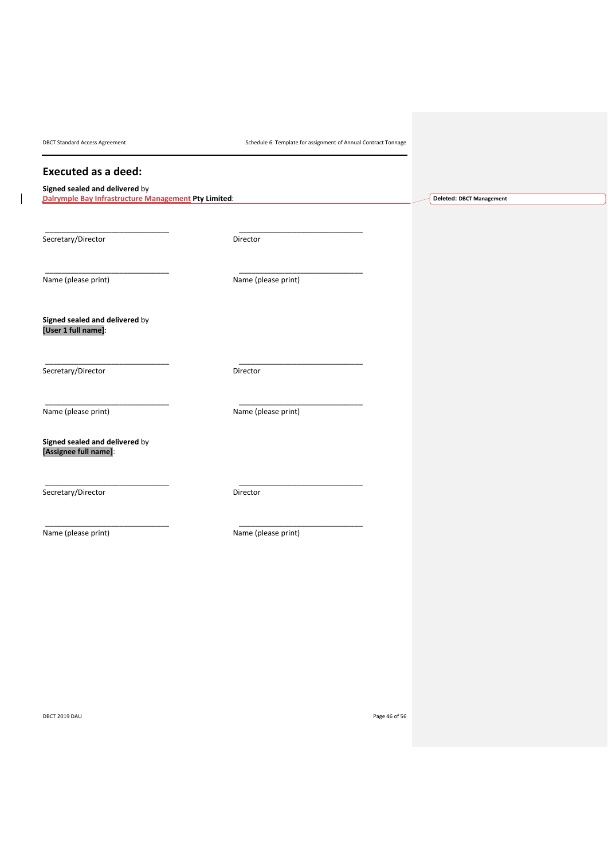DBCT Standard Access Agreement Schedule 6. Template for assignment of Annual Contract Tonnage

**Deleted: DBCT Management**

# **Executed as a deed:**

# **Signed sealed and delivered** by

**Dalrymple Bay Infrastructure Management Pty Limited**:

Secretary/Director Director Director

\_\_\_\_\_\_\_\_\_\_\_\_\_\_\_\_\_\_\_\_\_\_\_\_\_\_\_\_\_\_ \_\_\_\_\_\_\_\_\_\_\_\_\_\_\_\_\_\_\_\_\_\_\_\_\_\_\_\_\_\_

\_\_\_\_\_\_\_\_\_\_\_\_\_\_\_\_\_\_\_\_\_\_\_\_\_\_\_\_\_\_ \_\_\_\_\_\_\_\_\_\_\_\_\_\_\_\_\_\_\_\_\_\_\_\_\_\_\_\_\_\_

\_\_\_\_\_\_\_\_\_\_\_\_\_\_\_\_\_\_\_\_\_\_\_\_\_\_\_\_\_\_ \_\_\_\_\_\_\_\_\_\_\_\_\_\_\_\_\_\_\_\_\_\_\_\_\_\_\_\_\_\_

\_\_\_\_\_\_\_\_\_\_\_\_\_\_\_\_\_\_\_\_\_\_\_\_\_\_\_\_\_\_ \_\_\_\_\_\_\_\_\_\_\_\_\_\_\_\_\_\_\_\_\_\_\_\_\_\_\_\_\_\_

\_\_\_\_\_\_\_\_\_\_\_\_\_\_\_\_\_\_\_\_\_\_\_\_\_\_\_\_\_\_ \_\_\_\_\_\_\_\_\_\_\_\_\_\_\_\_\_\_\_\_\_\_\_\_\_\_\_\_\_\_

Name (please print) Name (please print)

**Signed sealed and delivered** by **[User 1 full name]**:

Secretary/Director Director Director

Name (please print) Name (please print)

**Signed sealed and delivered** by

**[Assignee full name]**:

Secretary/Director Director Director

\_\_\_\_\_\_\_\_\_\_\_\_\_\_\_\_\_\_\_\_\_\_\_\_\_\_\_\_\_\_ \_\_\_\_\_\_\_\_\_\_\_\_\_\_\_\_\_\_\_\_\_\_\_\_\_\_\_\_\_\_ Name (please print) Name (please print)

DBCT 2019 DAU Page 46 of 56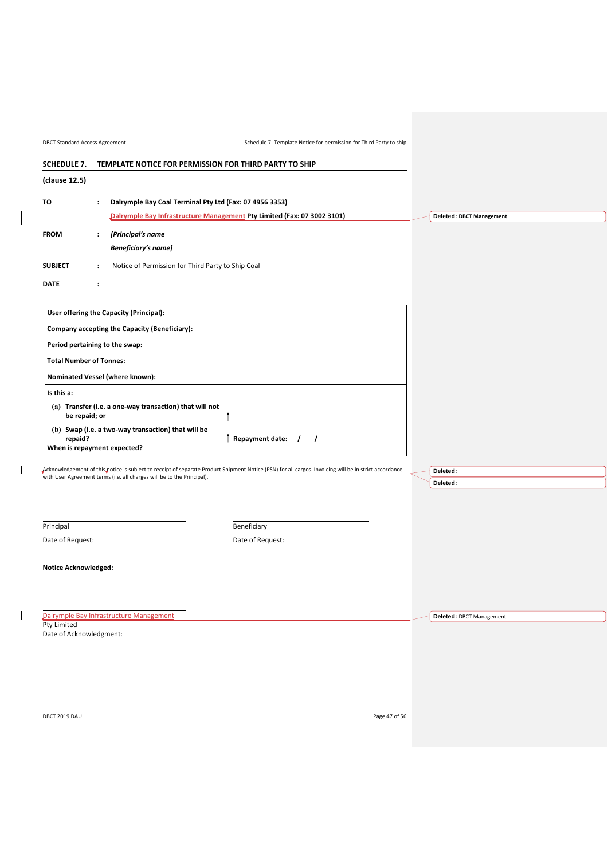<span id="page-46-0"></span>

| <b>DBCT Standard Access Agreement</b>                                        |                      |                                                                        | Schedule 7. Template Notice for permission for Third Party to ship                                                                                    |  |                                 |
|------------------------------------------------------------------------------|----------------------|------------------------------------------------------------------------|-------------------------------------------------------------------------------------------------------------------------------------------------------|--|---------------------------------|
| <b>SCHEDULE 7.</b><br>TEMPLATE NOTICE FOR PERMISSION FOR THIRD PARTY TO SHIP |                      |                                                                        |                                                                                                                                                       |  |                                 |
| (clause 12.5)                                                                |                      |                                                                        |                                                                                                                                                       |  |                                 |
| TO                                                                           | $\ddot{\phantom{a}}$ | Dalrymple Bay Coal Terminal Pty Ltd (Fax: 07 4956 3353)                |                                                                                                                                                       |  |                                 |
|                                                                              |                      |                                                                        | Dalrymple Bay Infrastructure Management Pty Limited (Fax: 07 3002 3101)                                                                               |  | <b>Deleted: DBCT Management</b> |
| <b>FROM</b>                                                                  | $\ddot{\phantom{a}}$ | [Principal's name                                                      |                                                                                                                                                       |  |                                 |
|                                                                              |                      | <b>Beneficiary's name]</b>                                             |                                                                                                                                                       |  |                                 |
| <b>SUBJECT</b>                                                               | $\ddot{\phantom{a}}$ | Notice of Permission for Third Party to Ship Coal                      |                                                                                                                                                       |  |                                 |
| <b>DATE</b>                                                                  | $\ddot{\phantom{a}}$ |                                                                        |                                                                                                                                                       |  |                                 |
|                                                                              |                      |                                                                        |                                                                                                                                                       |  |                                 |
|                                                                              |                      | User offering the Capacity (Principal):                                |                                                                                                                                                       |  |                                 |
|                                                                              |                      | Company accepting the Capacity (Beneficiary):                          |                                                                                                                                                       |  |                                 |
| Period pertaining to the swap:                                               |                      |                                                                        |                                                                                                                                                       |  |                                 |
| <b>Total Number of Tonnes:</b>                                               |                      |                                                                        |                                                                                                                                                       |  |                                 |
|                                                                              |                      | Nominated Vessel (where known):                                        |                                                                                                                                                       |  |                                 |
| Is this a:                                                                   |                      |                                                                        |                                                                                                                                                       |  |                                 |
| be repaid; or                                                                |                      | (a) Transfer (i.e. a one-way transaction) that will not                |                                                                                                                                                       |  |                                 |
| repaid?<br>When is repayment expected?                                       |                      | (b) Swap (i.e. a two-way transaction) that will be                     | Repayment date:<br>$\overline{1}$                                                                                                                     |  |                                 |
|                                                                              |                      |                                                                        |                                                                                                                                                       |  |                                 |
|                                                                              |                      | with User Agreement terms (i.e. all charges will be to the Principal). | Acknowledgement of this notice is subject to receipt of separate Product Shipment Notice (PSN) for all cargos. Invoicing will be in strict accordance |  | Deleted:                        |
|                                                                              |                      |                                                                        |                                                                                                                                                       |  | Deleted:                        |
|                                                                              |                      |                                                                        |                                                                                                                                                       |  |                                 |
|                                                                              |                      |                                                                        |                                                                                                                                                       |  |                                 |

Principal

 $\begin{array}{c} \begin{array}{c} \end{array} \end{array}$ 

Date of Request:

**Beneficiary** 

Date of Request:

**Notice Acknowledged:**

Dalrymple Bay Infrastructure Management Pty Limited

Date of Acknowledgment:

DBCT 2019 DAU Page 47 of 56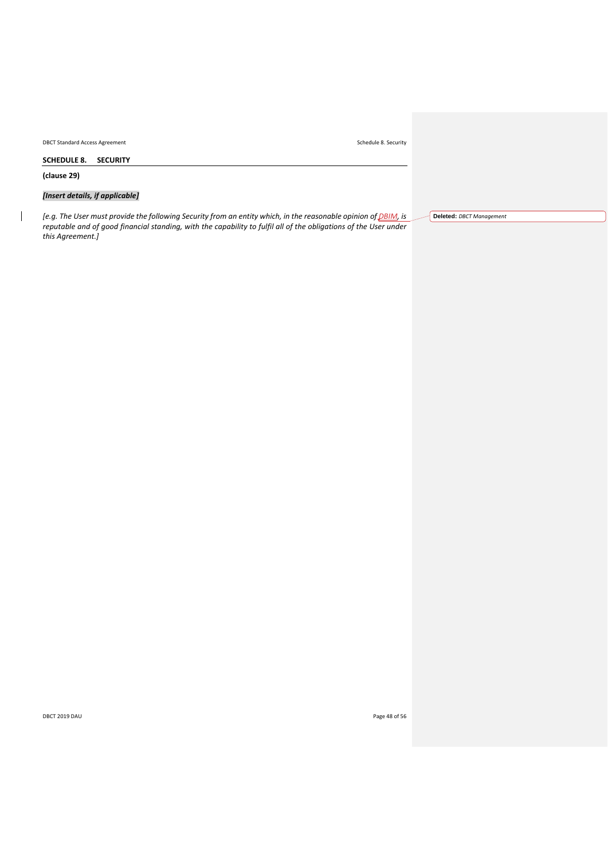DBCT Standard Access Agreement Schedule 8. Security

<span id="page-47-0"></span>**SCHEDULE 8. SECURITY**

**(clause [29\)](#page-29-0)**

 $\begin{array}{c} \hline \end{array}$ 

*[Insert details, if applicable]*

*[e.g. The User must provide the following Security from an entity which, in the reasonable opinion of DBIM, is reputable and of good financial standing, with the capability to fulfil all of the obligations of the User under this Agreement.]*

**Deleted:** *DBCT Management*

DBCT 2019 DAU Page 48 of 56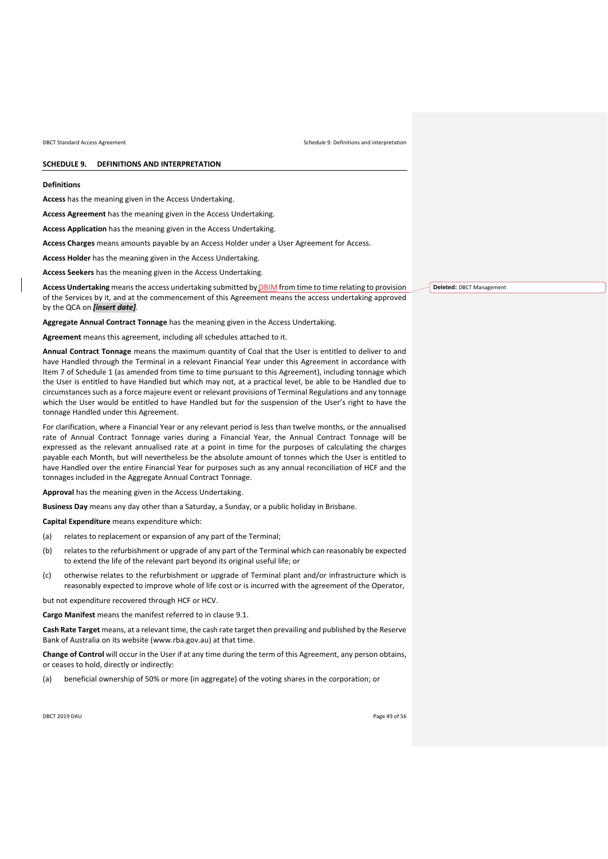#### <span id="page-48-0"></span>**SCHEDULE 9. DEFINITIONS AND INTERPRETATION**

#### **Definitions**

**Access** has the meaning given in the Access Undertaking.

**Access Agreement** has the meaning given in the Access Undertaking.

**Access Application** has the meaning given in the Access Undertaking.

**Access Charges** means amounts payable by an Access Holder under a User Agreement for Access.

**Access Holder** has the meaning given in the Access Undertaking.

**Access Seekers** has the meaning given in the Access Undertaking.

**Access Undertaking** means the access undertaking submitted by DBIM from time to time relating to provision of the Services by it, and at the commencement of this Agreement means the access undertaking approved by the QCA on *[insert date]*.

**Aggregate Annual Contract Tonnage** has the meaning given in the Access Undertaking.

**Agreement** means this agreement, including all schedules attached to it.

**Annual Contract Tonnage** means the maximum quantity of Coal that the User is entitled to deliver to and have Handled through the Terminal in a relevant Financial Year under this Agreement in accordance with Item [7](#page-32-2) of [Schedule 1](#page-32-0) (as amended from time to time pursuant to this Agreement), including tonnage which the User is entitled to have Handled but which may not, at a practical level, be able to be Handled due to circumstances such as a force majeure event or relevant provisions of Terminal Regulations and any tonnage which the User would be entitled to have Handled but for the suspension of the User's right to have the tonnage Handled under this Agreement.

For clarification, where a Financial Year or any relevant period is less than twelve months, or the annualised rate of Annual Contract Tonnage varies during a Financial Year, the Annual Contract Tonnage will be expressed as the relevant annualised rate at a point in time for the purposes of calculating the charges payable each Month, but will nevertheless be the absolute amount of tonnes which the User is entitled to have Handled over the entire Financial Year for purposes such as any annual reconciliation of HCF and the tonnages included in the Aggregate Annual Contract Tonnage.

**Approval** has the meaning given in the Access Undertaking.

**Business Day** means any day other than a Saturday, a Sunday, or a public holiday in Brisbane.

**Capital Expenditure** means expenditure which:

- (a) relates to replacement or expansion of any part of the Terminal;
- (b) relates to the refurbishment or upgrade of any part of the Terminal which can reasonably be expected to extend the life of the relevant part beyond its original useful life; or
- (c) otherwise relates to the refurbishment or upgrade of Terminal plant and/or infrastructure which is reasonably expected to improve whole of life cost or is incurred with the agreement of the Operator,

but not expenditure recovered through HCF or HCV.

**Cargo Manifest** means the manifest referred to in clause [9.1.](#page-12-6)

**Cash Rate Target** means, at a relevant time, the cash rate target then prevailing and published by the Reserve Bank of Australia on its website (www.rba.gov.au) at that time.

**Change of Control** will occur in the User if at any time during the term of this Agreement, any person obtains, or ceases to hold, directly or indirectly:

(a) beneficial ownership of 50% or more (in aggregate) of the voting shares in the corporation; or

DBCT 2019 DAU Page 49 of 56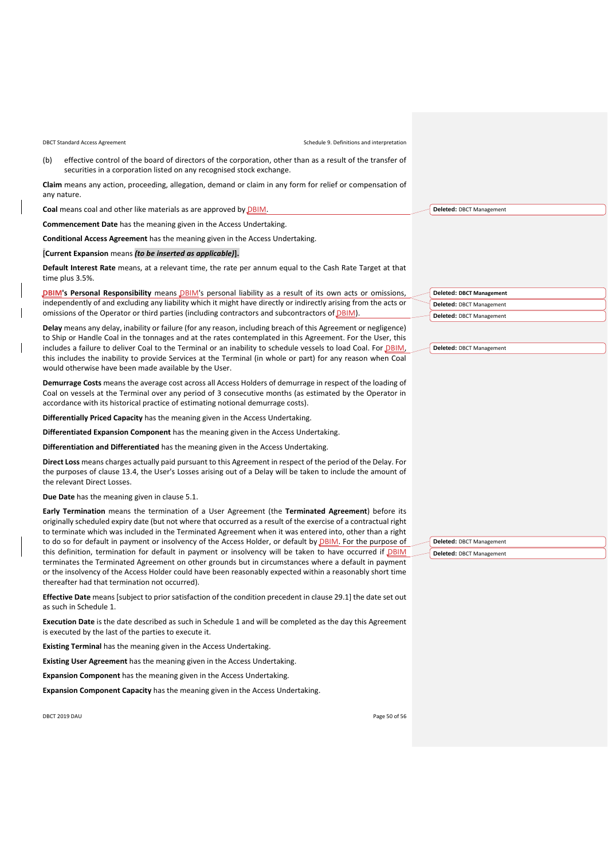(b) effective control of the board of directors of the corporation, other than as a result of the transfer of securities in a corporation listed on any recognised stock exchange.

**Claim** means any action, proceeding, allegation, demand or claim in any form for relief or compensation of any nature.

**Coal** means coal and other like materials as are approved by DBIM.

**Commencement Date** has the meaning given in the Access Undertaking.

**Conditional Access Agreement** has the meaning given in the Access Undertaking.

[**Current Expansion** means *(to be inserted as applicable)***].**

**Default Interest Rate** means, at a relevant time, the rate per annum equal to the Cash Rate Target at that time plus 3.5%.

**DBIM's Personal Responsibility** means DBIM's personal liability as a result of its own acts or omissions, independently of and excluding any liability which it might have directly or indirectly arising from the acts or omissions of the Operator or third parties (including contractors and subcontractors of DBIM).

**Delay** means any delay, inability or failure (for any reason, including breach of this Agreement or negligence) to Ship or Handle Coal in the tonnages and at the rates contemplated in this Agreement. For the User, this includes a failure to deliver Coal to the Terminal or an inability to schedule vessels to load Coal. For DBIM, this includes the inability to provide Services at the Terminal (in whole or part) for any reason when Coal would otherwise have been made available by the User.

**Demurrage Costs** means the average cost across all Access Holders of demurrage in respect of the loading of Coal on vessels at the Terminal over any period of 3 consecutive months (as estimated by the Operator in accordance with its historical practice of estimating notional demurrage costs).

**Differentially Priced Capacity** has the meaning given in the Access Undertaking.

**Differentiated Expansion Component** has the meaning given in the Access Undertaking.

**Differentiation and Differentiated** has the meaning given in the Access Undertaking.

**Direct Loss** means charges actually paid pursuant to this Agreement in respect of the period of the Delay. For the purposes of clause [13.4,](#page-19-3) the User's Losses arising out of a Delay will be taken to include the amount of the relevant Direct Losses.

**Due Date** has the meaning given in clause [5.1.](#page-7-3)

**Early Termination** means the termination of a User Agreement (the **Terminated Agreement**) before its originally scheduled expiry date (but not where that occurred as a result of the exercise of a contractual right to terminate which was included in the Terminated Agreement when it was entered into, other than a right to do so for default in payment or insolvency of the Access Holder, or default by **DBIM**. For the purpose of this definition, termination for default in payment or insolvency will be taken to have occurred if **DBIM** terminates the Terminated Agreement on other grounds but in circumstances where a default in payment or the insolvency of the Access Holder could have been reasonably expected within a reasonably short time thereafter had that termination not occurred).

**Effective Date** means [subject to prior satisfaction of the condition precedent in clause [29.1\]](#page-29-1) the date set out as such in [Schedule 1.](#page-32-0)

**Execution Date** is the date described as such in [Schedule 1](#page-32-0) and will be completed as the day this Agreement is executed by the last of the parties to execute it.

**Existing Terminal** has the meaning given in the Access Undertaking.

**Existing User Agreement** has the meaning given in the Access Undertaking.

**Expansion Component** has the meaning given in the Access Undertaking.

**Expansion Component Capacity** has the meaning given in the Access Undertaking.

DBCT 2019 DAU Page 50 of 56

| <b>Deleted: DBCT Management</b> |
|---------------------------------|
| Deleted: DBCT Management        |
| Deleted: DBCT Management        |

| Deleted: DBCT Management |  |
|--------------------------|--|
|--------------------------|--|

**Deleted:** DBCT Management

**Deleted:** DBCT Management **Deleted:** DBCT Management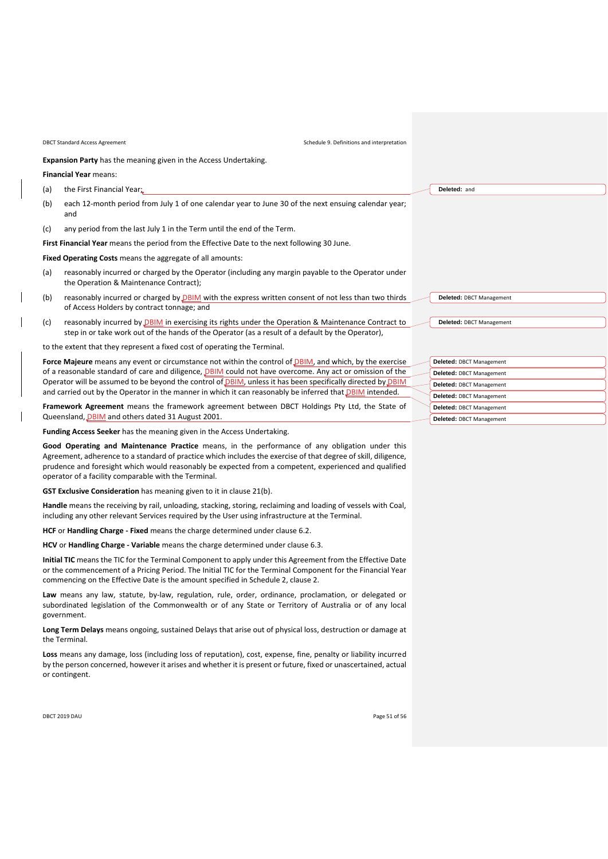**Expansion Party** has the meaning given in the Access Undertaking.

**Financial Year** means:

(a) the First Financial Year;

- (b) each 12-month period from July 1 of one calendar year to June 30 of the next ensuing calendar year; and
- (c) any period from the last July 1 in the Term until the end of the Term.

**First Financial Year** means the period from the Effective Date to the next following 30 June.

**Fixed Operating Costs** means the aggregate of all amounts:

- (a) reasonably incurred or charged by the Operator (including any margin payable to the Operator under the Operation & Maintenance Contract);
- (b) reasonably incurred or charged by  $DBIM$  with the express written consent of not less than two thirds of Access Holders by contract tonnage; and
- (c) reasonably incurred by DBIM in exercising its rights under the Operation & Maintenance Contract to step in or take work out of the hands of the Operator (as a result of a default by the Operator),

to the extent that they represent a fixed cost of operating the Terminal.

Force Maieure means any event or circumstance not within the control of **DBIM**, and which, by the exercise of a reasonable standard of care and diligence, *DBIM* could not have overcome. Any act or omission of the Operator will be assumed to be beyond the control of DBIM, unless it has been specifically directed by DBIN and carried out by the Operator in the manner in which it can reasonably be inferred that **DBIM** intended.

**Framework Agreement** means the framework agreement between DBCT Holdings Pty Ltd, the State of Queensland, *DBIM* and others dated 31 August 2001.

**Funding Access Seeker** has the meaning given in the Access Undertaking.

**Good Operating and Maintenance Practice** means, in the performance of any obligation under this Agreement, adherence to a standard of practice which includes the exercise of that degree of skill, diligence, prudence and foresight which would reasonably be expected from a competent, experienced and qualified operator of a facility comparable with the Terminal.

**GST Exclusive Consideration** has meaning given to it in clause [21\(b\).](#page-26-3)

**Handle** means the receiving by rail, unloading, stacking, storing, reclaiming and loading of vessels with Coal, including any other relevant Services required by the User using infrastructure at the Terminal.

**HCF** or **Handling Charge - Fixed** means the charge determined under clause [6.2.](#page-9-1)

**HCV** or **Handling Charge - Variable** means the charge determined under claus[e 6.3.](#page-9-2)

**Initial TIC** means the TIC for the Terminal Component to apply under this Agreement from the Effective Date or the commencement of a Pricing Period. The Initial TIC for the Terminal Component for the Financial Year commencing on the Effective Date is the amount specified in [Schedule 2,](#page-33-0) clause [2.](#page-33-1)

**Law** means any law, statute, by-law, regulation, rule, order, ordinance, proclamation, or delegated or subordinated legislation of the Commonwealth or of any State or Territory of Australia or of any local government.

**Long Term Delays** means ongoing, sustained Delays that arise out of physical loss, destruction or damage at the Terminal.

**Loss** means any damage, loss (including loss of reputation), cost, expense, fine, penalty or liability incurred by the person concerned, however it arises and whether it is present or future, fixed or unascertained, actual or contingent.

DBCT 2019 DAU Page 51 of 56

| Deleted: DBCT Management |  |  |
|--------------------------|--|--|
|                          |  |  |

**Deleted:** and

| Deleted: DBCT Management        |
|---------------------------------|
| Deleted: DBCT Management        |
| <b>Deleted: DBCT Management</b> |
| Deleted: DBCT Management        |
| Deleted: DBCT Management        |
| Deleted: DBCT Management        |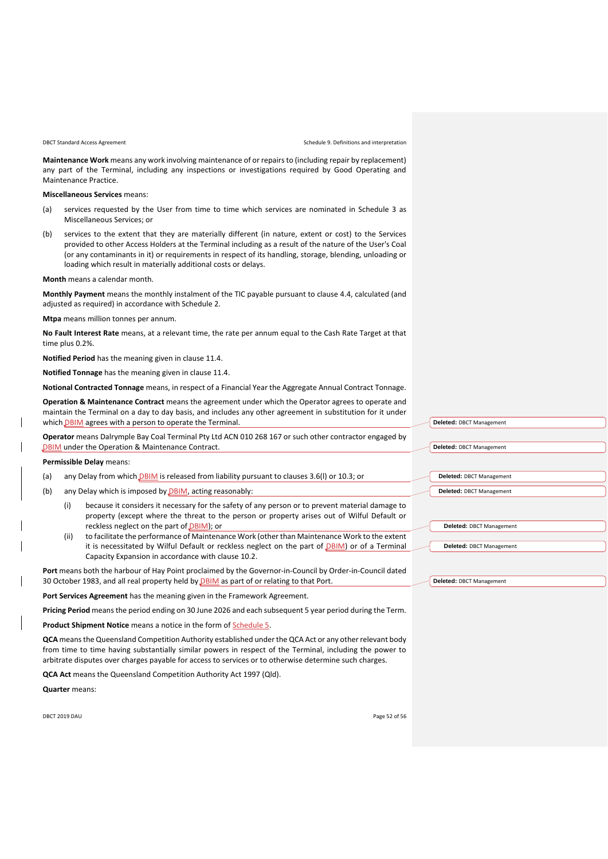**Maintenance Work** means any work involving maintenance of or repairs to (including repair by replacement) any part of the Terminal, including any inspections or investigations required by Good Operating and Maintenance Practice.

**Miscellaneous Services** means:

- (a) services requested by the User from time to time which services are nominated in [Schedule 3](#page-34-0) as Miscellaneous Services; or
- (b) services to the extent that they are materially different (in nature, extent or cost) to the Services provided to other Access Holders at the Terminal including as a result of the nature of the User's Coal (or any contaminants in it) or requirements in respect of its handling, storage, blending, unloading or loading which result in materially additional costs or delays.

**Month** means a calendar month.

**Monthly Payment** means the monthly instalment of the TIC payable pursuant to clause [4.4,](#page-7-4) calculated (and adjusted as required) in accordance with [Schedule 2.](#page-33-0)

**Mtpa** means million tonnes per annum.

**No Fault Interest Rate** means, at a relevant time, the rate per annum equal to the Cash Rate Target at that time plus 0.2%.

**Notified Period** has the meaning given in clause [11.4.](#page-15-3)

**Notified Tonnage** has the meaning given in clause [11.4.](#page-15-3)

**Notional Contracted Tonnage** means, in respect of a Financial Year the Aggregate Annual Contract Tonnage.

**Operation & Maintenance Contract** means the agreement under which the Operator agrees to operate and maintain the Terminal on a day to day basis, and includes any other agreement in substitution for it under which **DBIM** agrees with a person to operate the Terminal.

**Operator** means Dalrymple Bay Coal Terminal Pty Ltd ACN 010 268 167 or such other contractor engaged by **DBIM** under the Operation & Maintenance Contract.

**Permissible Delay** means:

- (a) any Delay from which *DBIM* is released from liability pursuant to clauses 3.6(I) or [10.3;](#page-13-2) or
- (b) any Delay which is imposed by DBIM, acting reasonably:
	- (i) because it considers it necessary for the safety of any person or to prevent material damage to property (except where the threat to the person or property arises out of Wilful Default or reckless neglect on the part of DBIM); or
	- (ii) to facilitate the performance of Maintenance Work (other than Maintenance Work to the extent it is necessitated by Wilful Default or reckless neglect on the part of *DBIM*) or of a Terminal Capacity Expansion in accordance with clause [10.2.](#page-13-3)

**Port** means both the harbour of Hay Point proclaimed by the Governor-in-Council by Order-in-Council dated 30 October 1983, and all real property held by DBIM as part of or relating to that Port.

**Port Services Agreement** has the meaning given in the Framework Agreement.

**Pricing Period** means the period ending on 30 June 2026 and each subsequent 5 year period during the Term.

**Product Shipment Notice** means a notice in the form of **Schedule 5.** 

**QCA** means the Queensland Competition Authority established under the QCA Act or any other relevant body from time to time having substantially similar powers in respect of the Terminal, including the power to arbitrate disputes over charges payable for access to services or to otherwise determine such charges.

**QCA Act** means the Queensland Competition Authority Act 1997 (Qld).

**Quarter** means:

DBCT 2019 DAU Page 52 of 56

| Deleted: DBCT Management |
|--------------------------|
|                          |
| Deleted: DBCT Management |
|                          |
|                          |
| Deleted: DBCT Management |
| Deleted: DBCT Management |
|                          |
|                          |
| Deleted: DBCT Management |
|                          |
| Deleted: DBCT Management |
|                          |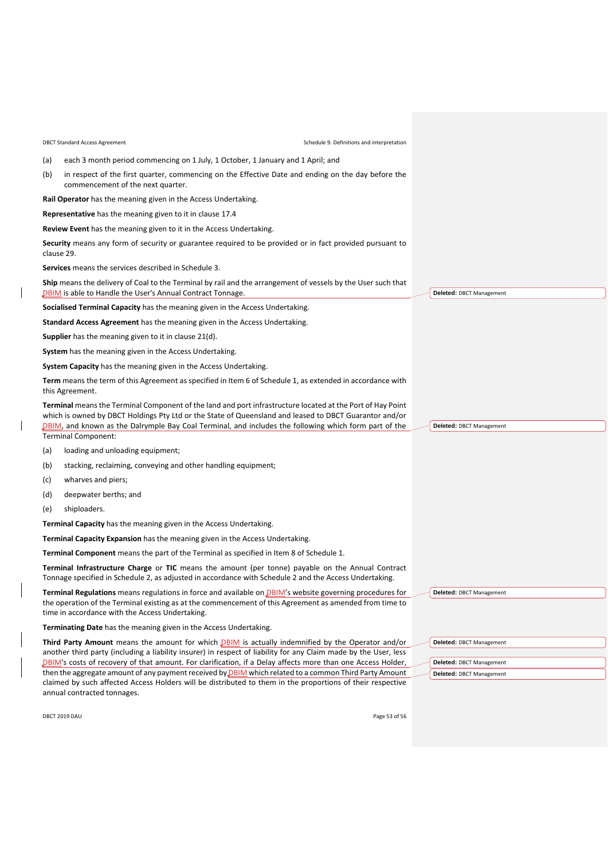(a) each 3 month period commencing on 1 July, 1 October, 1 January and 1 April; and

(b) in respect of the first quarter, commencing on the Effective Date and ending on the day before the commencement of the next quarter.

**Rail Operator** has the meaning given in the Access Undertaking.

**Representative** has the meaning given to it in claus[e 17.4](#page-24-4)

**Review Event** has the meaning given to it in the Access Undertaking.

**Security** means any form of security or guarantee required to be provided or in fact provided pursuant to clause [29.](#page-29-0)

**Services** means the services described i[n Schedule 3.](#page-34-0)

**Ship** means the delivery of Coal to the Terminal by rail and the arrangement of vessels by the User such that DBIM is able to Handle the User's Annual Contract Tonnage.

**Socialised Terminal Capacity** has the meaning given in the Access Undertaking.

**Standard Access Agreement** has the meaning given in the Access Undertaking.

**Supplier** has the meaning given to it in clause [21\(d\).](#page-26-2)

**System** has the meaning given in the Access Undertaking.

**System Capacity** has the meaning given in the Access Undertaking.

**Term** means the term of this Agreement as specified in Ite[m 6](#page-32-1) o[f Schedule 1,](#page-32-0) as extended in accordance with this Agreement.

**Terminal** means the Terminal Component of the land and port infrastructure located at the Port of Hay Point which is owned by DBCT Holdings Pty Ltd or the State of Queensland and leased to DBCT Guarantor and/or DBIM, and known as the Dalrymple Bay Coal Terminal, and includes the following which form part of the Terminal Component:

(a) loading and unloading equipment;

- (b) stacking, reclaiming, conveying and other handling equipment;
- (c) wharves and piers;
- (d) deepwater berths; and
- (e) shiploaders.

**Terminal Capacity** has the meaning given in the Access Undertaking.

**Terminal Capacity Expansion** has the meaning given in the Access Undertaking.

**Terminal Component** means the part of the Terminal as specified in Item [8](#page-32-4) o[f Schedule 1.](#page-32-0) 

**Terminal Infrastructure Charge** or **TIC** means the amount (per tonne) payable on the Annual Contract Tonnage specified in [Schedule 2,](#page-33-0) as adjusted in accordance with [Schedule 2](#page-33-0) and the Access Undertaking.

**Terminal Regulations** means regulations in force and available on DBIM's website governing procedures for the operation of the Terminal existing as at the commencement of this Agreement as amended from time to time in accordance with the Access Undertaking.

**Terminating Date** has the meaning given in the Access Undertaking.

**Third Party Amount** means the amount for which **DBIM** is actually indemnified by the Operator and/or another third party (including a liability insurer) in respect of liability for any Claim made by the User, less **DBIM**'s costs of recovery of that amount. For clarification, if a Delay affects more than one Access Holder, then the aggregate amount of any payment received by DBIM which related to a common Third Party Amount claimed by such affected Access Holders will be distributed to them in the proportions of their respective annual contracted tonnages.

DBCT 2019 DAU Page 53 of 56

**Deleted:** DBCT Management

**Deleted:** DBCT Management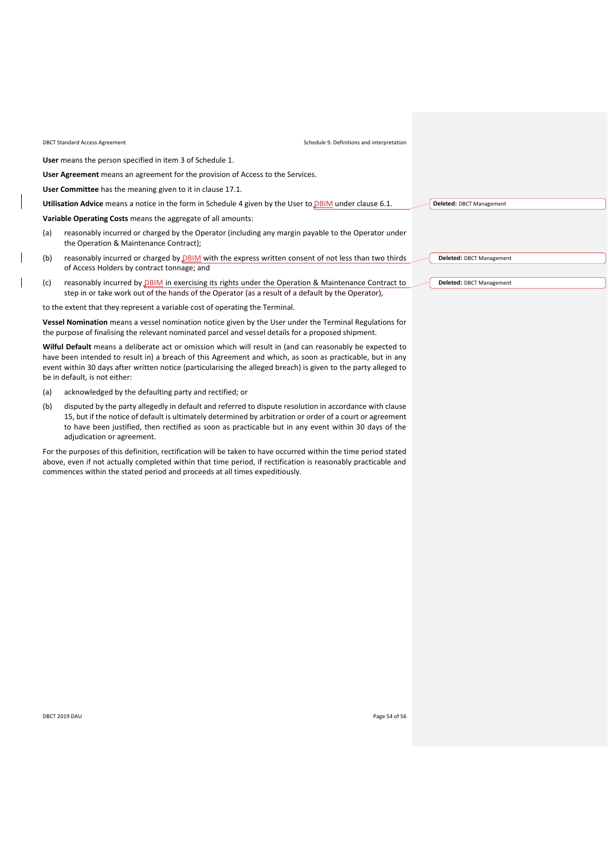**User** means the person specified in ite[m 3](#page-32-3) of [Schedule 1.](#page-32-0)

**User Agreement** means an agreement for the provision of Access to the Services.

**User Committee** has the meaning given to it in clause [17.1.](#page-23-1)

Utilisation Advice means a notice in the form in [Schedule 4](#page-37-0) given by the User to **DBIM** under claus[e 6.1.](#page-9-3)

**Variable Operating Costs** means the aggregate of all amounts:

- (a) reasonably incurred or charged by the Operator (including any margin payable to the Operator under the Operation & Maintenance Contract);
- (b) reasonably incurred or charged by  $DBIM$  with the express written consent of not less than two thirds of Access Holders by contract tonnage; and
- (c) reasonably incurred by  $DBIM$  in exercising its rights under the Operation & Maintenance Contract to step in or take work out of the hands of the Operator (as a result of a default by the Operator),

to the extent that they represent a variable cost of operating the Terminal.

**Vessel Nomination** means a vessel nomination notice given by the User under the Terminal Regulations for the purpose of finalising the relevant nominated parcel and vessel details for a proposed shipment.

**Wilful Default** means a deliberate act or omission which will result in (and can reasonably be expected to have been intended to result in) a breach of this Agreement and which, as soon as practicable, but in any event within 30 days after written notice (particularising the alleged breach) is given to the party alleged to be in default, is not either:

- (a) acknowledged by the defaulting party and rectified; or
- (b) disputed by the party allegedly in default and referred to dispute resolution in accordance with clause [15,](#page-21-0) but if the notice of default is ultimately determined by arbitration or order of a court or agreement to have been justified, then rectified as soon as practicable but in any event within 30 days of the adjudication or agreement.

For the purposes of this definition, rectification will be taken to have occurred within the time period stated above, even if not actually completed within that time period, if rectification is reasonably practicable and commences within the stated period and proceeds at all times expeditiously.

**Deleted:** DBCT Management

**Deleted:** DBCT Management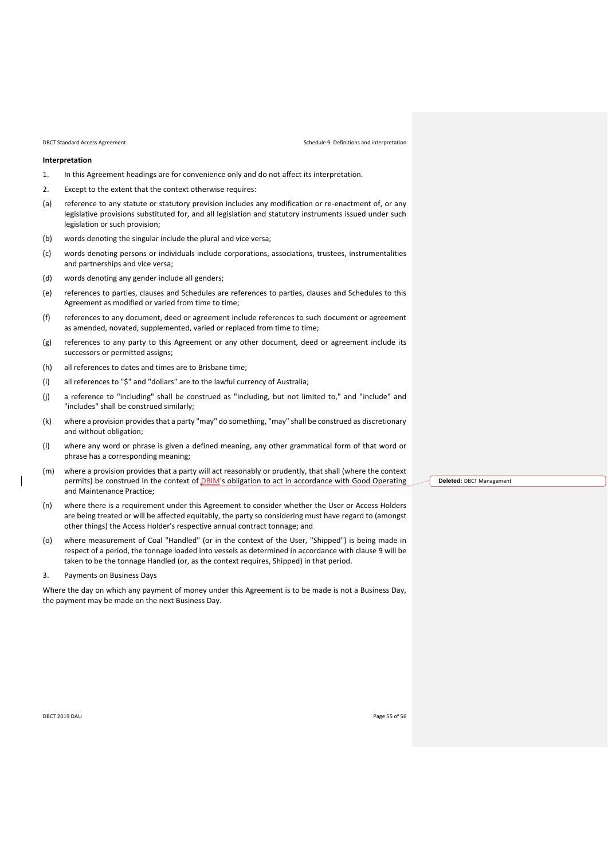#### **Interpretation**

- 1. In this Agreement headings are for convenience only and do not affect its interpretation.
- 2. Except to the extent that the context otherwise requires:
- (a) reference to any statute or statutory provision includes any modification or re-enactment of, or any legislative provisions substituted for, and all legislation and statutory instruments issued under such legislation or such provision;
- (b) words denoting the singular include the plural and vice versa;
- (c) words denoting persons or individuals include corporations, associations, trustees, instrumentalities and partnerships and vice versa;
- (d) words denoting any gender include all genders;
- (e) references to parties, clauses and Schedules are references to parties, clauses and Schedules to this Agreement as modified or varied from time to time;
- (f) references to any document, deed or agreement include references to such document or agreement as amended, novated, supplemented, varied or replaced from time to time;
- (g) references to any party to this Agreement or any other document, deed or agreement include its successors or permitted assigns;
- (h) all references to dates and times are to Brisbane time;
- (i) all references to "\$" and "dollars" are to the lawful currency of Australia;
- (j) a reference to "including" shall be construed as "including, but not limited to," and "include" and "includes" shall be construed similarly;
- (k) where a provision provides that a party "may" do something, "may" shall be construed as discretionary and without obligation;
- (l) where any word or phrase is given a defined meaning, any other grammatical form of that word or phrase has a corresponding meaning;
- (m) where a provision provides that a party will act reasonably or prudently, that shall (where the context permits) be construed in the context of DBIM's obligation to act in accordance with Good Operating and Maintenance Practice;
- (n) where there is a requirement under this Agreement to consider whether the User or Access Holders are being treated or will be affected equitably, the party so considering must have regard to (amongst other things) the Access Holder's respective annual contract tonnage; and
- (o) where measurement of Coal "Handled" (or in the context of the User, "Shipped") is being made in respect of a period, the tonnage loaded into vessels as determined in accordance with clause [9](#page-12-1) will be taken to be the tonnage Handled (or, as the context requires, Shipped) in that period.
- 3. Payments on Business Days

Where the day on which any payment of money under this Agreement is to be made is not a Business Day, the payment may be made on the next Business Day.